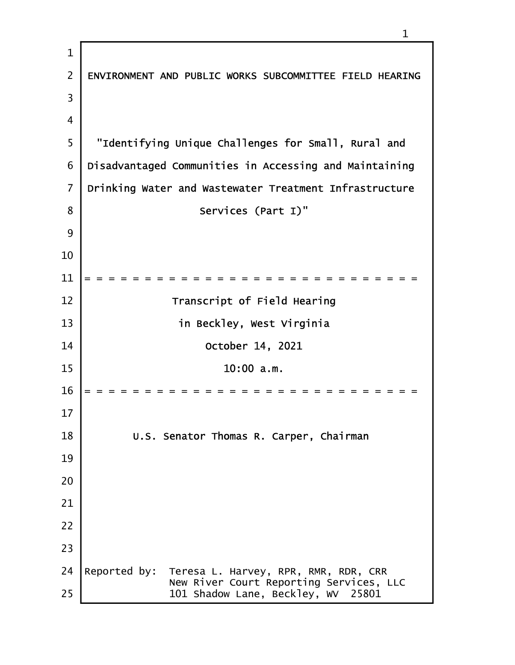2 | ENVIRONMENT AND PUBLIC WORKS SUBCOMMITTEE FIELD HEARING | 5 | "Identifying Unique Challenges for Small, Rural and | 6 | Disadvantaged Communities in Accessing and Maintaining | 7 | Drinking Water and Wastewater Treatment Infrastructure | Services (Part I)" 8 = = = = = = = = = = = = = = = = = = = = = = = = = = = = 11 Transcript of Field Hearing 12 in Beckley, West Virginia 13 October 14, 2021 14 10:00 a.m. = = = = = = = = = = = = = = = = = = = = = = = = = = = = U.S. Senator Thomas R. Carper, Chairman 18 Teresa L. Harvey, RPR, RMR, RDR, CRR New River Court Reporting Services, LLC 101 Shadow Lane, Beckley, WV 25801  $\mathbf{1}$  3  $4 \mid$  9 10 15  $16 = 22 = 32 = 16$ 17 19 20 21 | **1999** 22 23 24 Reported by: 25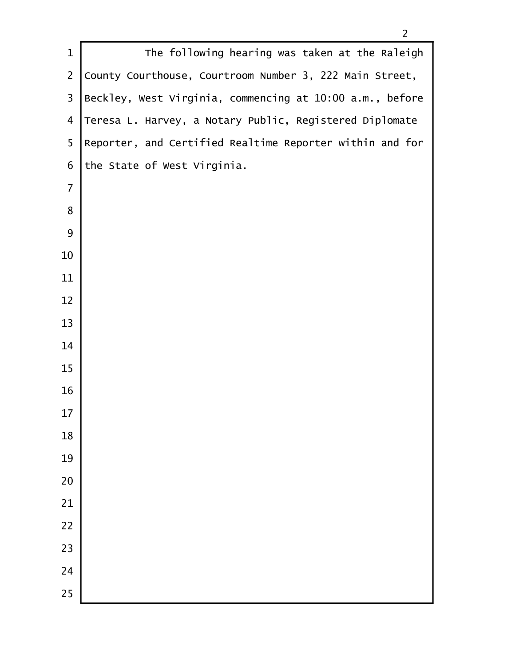| $\mathbf{1}$   | The following hearing was taken at the Raleigh           |
|----------------|----------------------------------------------------------|
| $\overline{2}$ | County Courthouse, Courtroom Number 3, 222 Main Street,  |
| $\overline{3}$ | Beckley, West Virginia, commencing at 10:00 a.m., before |
| $\overline{4}$ | Teresa L. Harvey, a Notary Public, Registered Diplomate  |
| 5              | Reporter, and Certified Realtime Reporter within and for |
| $6\,$          | the State of West Virginia.                              |
| $\overline{7}$ |                                                          |
| 8              |                                                          |
| 9              |                                                          |
| 10             |                                                          |
| 11             |                                                          |
| 12             |                                                          |
| 13             |                                                          |
| 14             |                                                          |
| 15             |                                                          |
| 16             |                                                          |
| 17             |                                                          |
| 18             |                                                          |
| 19             |                                                          |
| 20             |                                                          |
| 21             |                                                          |
| 22             |                                                          |
| 23             |                                                          |
| 24             |                                                          |
| 25             |                                                          |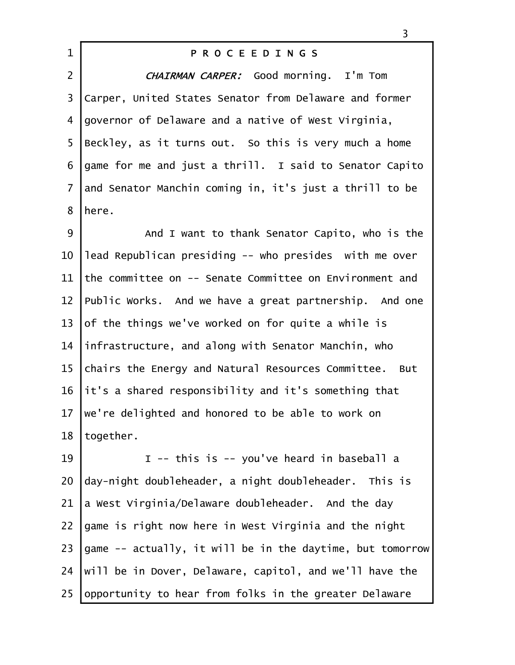1 PROCEEDINGS PROCEDINGS CHAIRMAN CARPER: Good morning. I'm Tom 2 Carper, United States Senator from Delaware and former 3 governor of Delaware and a native of West Virginia, 4 Beckley, as it turns out. So this is very much a home 5 game for me and just a thrill. I said to Senator Capito 6 and Senator Manchin coming in, it's just a thrill to be 7 8 | here.

And I want to thank Senator Capito, who is the 9 10 |lead Republican presiding -- who presides with me over | 11 |the committee on -- Senate Committee on Environment and | Public Works. And we have a great partnership. And one 12 13 |of the things we've worked on for quite a while is | 14 |infrastructure, and along with Senator Manchin, who | chairs the Energy and Natural Resources Committee. But 15 16 |it's a shared responsibility and it's something that | 17 |we're delighted and honored to be able to work on | 18 | together.

I -- this is -- you've heard in baseball a 19 20 |day-night doubleheader, a night doubleheader. This is | 21 |a West Virginia/Delaware doubleheader. And the day | 22 |game is right now here in West Virginia and the night | 23 |game -- actually, it will be in the daytime, but tomorrow| 24 |will be in Dover, Delaware, capitol, and we'll have the | opportunity to hear from folks in the greater Delaware 25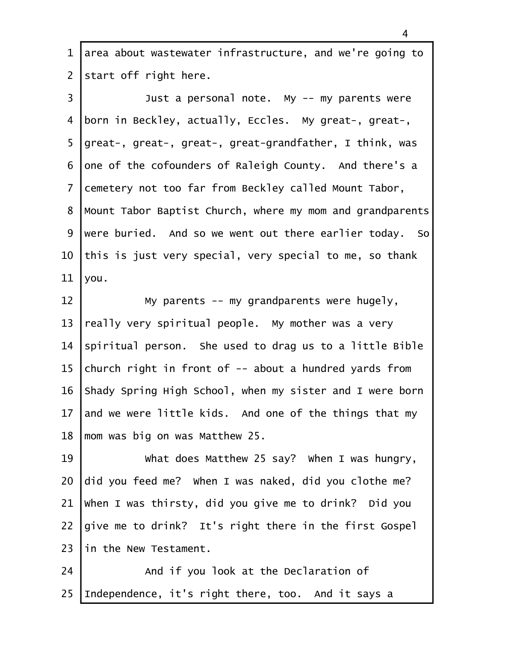1 |area about wastewater infrastructure, and we're going to | 2 start off right here.

Just a personal note. My -- my parents were 3 born in Beckley, actually, Eccles. My great-, great-, 4 great-, great-, great-, great-grandfather, I think, was 5 6 |one of the cofounders of Raleigh County. And there's a | cemetery not too far from Beckley called Mount Tabor, 7 Mount Tabor Baptist Church, where my mom and grandparents 8 9 |were buried. And so we went out there earlier today. So| 10 |this is just very special, very special to me, so thank |  $11$  |you.

My parents -- my grandparents were hugely, 12 13 |really very spiritual people. My mother was a very | 14 |spiritual person. She used to drag us to a little Bible | church right in front of -- about a hundred yards from 15 16 |Shady Spring High School, when my sister and I were born | 17 |and we were little kids. And one of the things that my | mom was big on was Matthew 25. 18

What does Matthew 25 say? When I was hungry, 19 20 |did you feed me? When I was naked, did you clothe me? | 21 |when I was thirsty, did you give me to drink? Did you | give me to drink? It's right there in the first Gospel 22 23 |in the New Testament.

And if you look at the Declaration of 24 Independence, it's right there, too. And it says a 25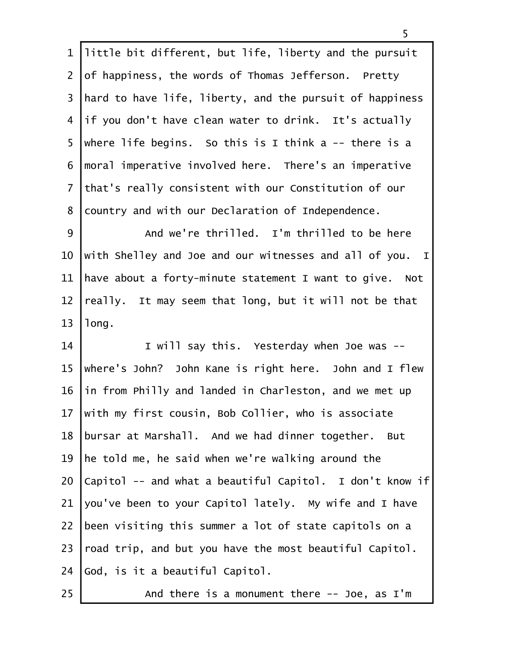little bit different, but life, liberty and the pursuit 1 2 of happiness, the words of Thomas Jefferson. Pretty the proor and the Mondelling Portugal and Mondelling Por hard to have life, liberty, and the pursuit of happiness 3 4 |if you don't have clean water to drink. It's actually | where life begins. So this is I think a -- there is a 5 moral imperative involved here. There's an imperative 6 7 |that's really consistent with our Constitution of our | 8 Country and with our Declaration of Independence. The country and with our Declaration of Independence.

And we're thrilled. I'm thrilled to be here 9 10 |with Shelley and Joe and our witnesses and all of you. ɪ| 11 |have about a forty-minute statement I want to give. Not | 12 |really. It may seem that long, but it will not be that | long. 13

I will say this. Yesterday when Joe was -- 14 where's John? John Kane is right here. John and I flew 15 16 |in from Philly and landed in Charleston, and we met up | 17 |with my first cousin, Bob Collier, who is associate | bursar at Marshall. And we had dinner together. But 18 he told me, he said when we're walking around the 19 20 |Capitol -- and what a beautiful Capitol. I don't know if| 21 |you've been to your Capitol lately. My wife and I have | been visiting this summer a lot of state capitols on a 22 23 |road trip, and but you have the most beautiful Capitol. | God, is it a beautiful Capitol. 24

And there is a monument there -- Joe, as I'm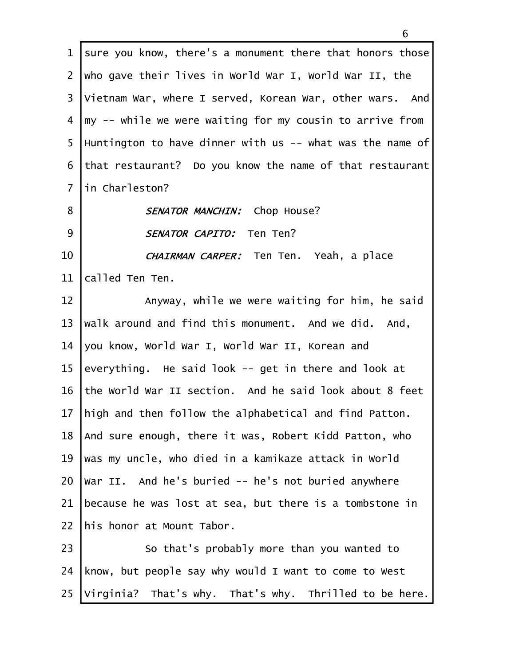1 |sure you know, there's a monument there that honors those| 2 |who gave their lives in World War I, World War II, the | Vietnam War, where I served, Korean War, other wars. And 3 4 |my -- while we were waiting for my cousin to arrive from | Huntington to have dinner with us -- what was the name of 5 6 |that restaurant? Do you know the name of that restaurant| in Charleston? 7

8 | *SENATOR MANCHIN:* Chop House? | SENATOR CAPITO: Ten Ten? 9 CHAIRMAN CARPER: Ten Ten. Yeah, a place 10 called Ten Ten. 11

Anyway, while we were waiting for him, he said 12 13 |walk around and find this monument. And we did. And, I you know, World War I, World War II, Korean and 14 15 |everything. He said look -- get in there and look at | 16 |the World War II section. And he said look about 8 feet | 17 |high and then follow the alphabetical and find Patton. | 18 |And sure enough, there it was, Robert Kidd Patton, who | 19 |was my uncle, who died in a kamikaze attack in World | War II. And he's buried -- he's not buried anywhere 20 because he was lost at sea, but there is a tombstone in 21 22 |his honor at Mount Tabor.

23 | So that's probably more than you wanted to 24 |know, but people say why would I want to come to West | Virginia? That's why. That's why. Thrilled to be here. 25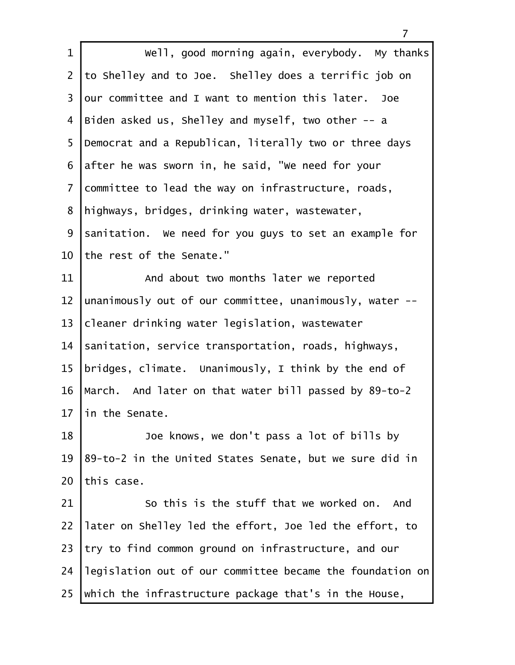Well, good morning again, everybody. My thanks 1 2 |to Shelley and to Joe. Shelley does a terrific job on | 3 |our committee and I want to mention this later. Joe | 4 |Biden asked us, Shelley and myself, two other -- a | Democrat and a Republican, literally two or three days 5 after he was sworn in, he said, "We need for your 6 7 |committee to lead the way on infrastructure, roads, | 8 |highways, bridges, drinking water, wastewater, | 9 |sanitation. We need for you guys to set an example for | the rest of the Senate." 10 And about two months later we reported 11 12 |unanimously out of our committee, unanimously, water -- | cleaner drinking water legislation, wastewater 13 14 |sanitation, service transportation, roads, highways, | bridges, climate. Unanimously, I think by the end of 15 March. And later on that water bill passed by 89-to-2 16 17 In the Senate. Joe knows, we don't pass a lot of bills by 18 89-to-2 in the United States Senate, but we sure did in 19 20 this case. The set of the set of the set of the set of the set of the set of the set of the set of the set o 21 | So this is the stuff that we worked on. And | later on Shelley led the effort, Joe led the effort, to 22 23 |try to find common ground on infrastructure, and our | 24 |legislation out of our committee became the foundation on| which the infrastructure package that's in the House, 25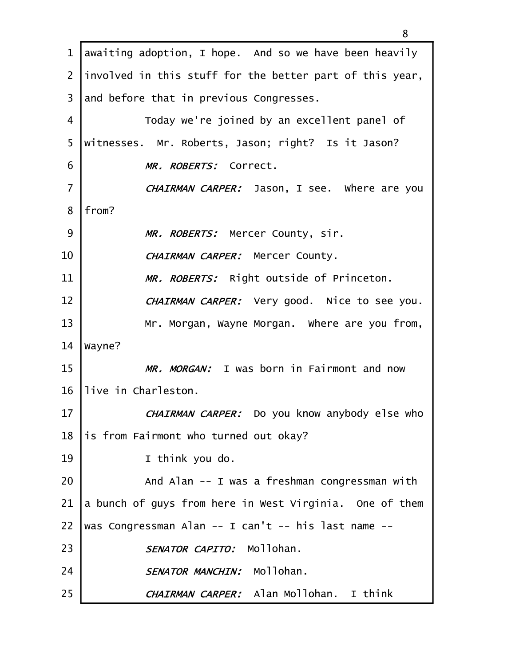| $\mathbf{1}$   | awaiting adoption, I hope. And so we have been heavily   |
|----------------|----------------------------------------------------------|
| $\overline{2}$ | involved in this stuff for the better part of this year, |
| 3              | and before that in previous Congresses.                  |
| 4              | Today we're joined by an excellent panel of              |
| 5              | witnesses. Mr. Roberts, Jason; right? Is it Jason?       |
| 6              | MR. ROBERTS: Correct.                                    |
| $\overline{7}$ | <b>CHAIRMAN CARPER:</b> Jason, I see. Where are you      |
| 8              | from?                                                    |
| 9              | MR. ROBERTS: Mercer County, sir.                         |
| 10             | CHAIRMAN CARPER: Mercer County.                          |
| 11             | MR. ROBERTS: Right outside of Princeton.                 |
| 12             | CHAIRMAN CARPER: Very good. Nice to see you.             |
| 13             | Mr. Morgan, Wayne Morgan. Where are you from,            |
| 14             | Wayne?                                                   |
| 15             | MR. MORGAN: I was born in Fairmont and now               |
| 16             | live in Charleston.                                      |
| 17             | <b>CHAIRMAN CARPER:</b> Do you know anybody else who     |
| 18             | is from Fairmont who turned out okay?                    |
| 19             | I think you do.                                          |
| 20             | And Alan -- I was a freshman congressman with            |
| 21             | a bunch of guys from here in West Virginia. One of them  |
| 22             | was Congressman Alan -- I can't -- his last name --      |
| 23             | Mollohan.<br><b>SENATOR CAPITO:</b>                      |
| 24             | SENATOR MANCHIN: Mollohan.                               |
| 25             | I think<br>CHAIRMAN CARPER: Alan Mollohan.               |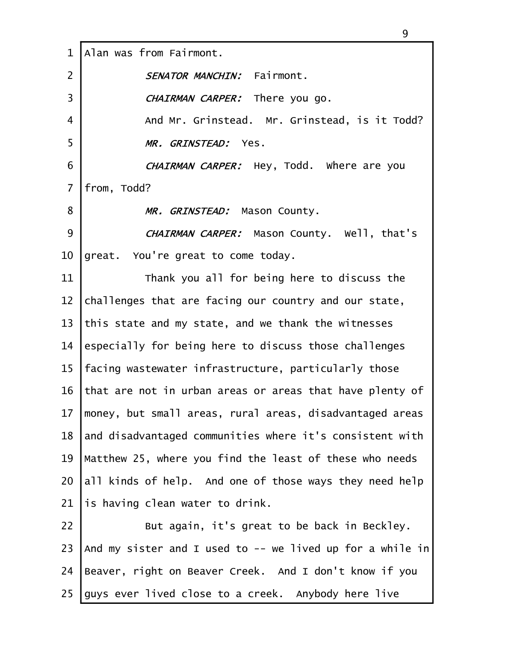1 |Alan was from Fairmont. 2 SENATOR MANCHIN: Fairmont. CHAIRMAN CARPER: There you go. 3 And Mr. Grinstead. Mr. Grinstead, is it Todd? 4 5 | MR*. GRINSTEAD:* Yes. CHAIRMAN CARPER: Hey, Todd. Where are you 6 from, Todd? 7 8 | *MR. GRINSTEAD:* Mason County. CHAIRMAN CARPER: Mason County. Well, that's 9 great. You're great to come today. 10 Thank you all for being here to discuss the 11 12 |challenges that are facing our country and our state, | 13 |this state and my state, and we thank the witnesses | 14 |especially for being here to discuss those challenges | 15 |facing wastewater infrastructure, particularly those | | 16 |that are not in urban areas or areas that have plenty of | money, but small areas, rural areas, disadvantaged areas 17 18 |and disadvantaged communities where it's consistent with | Matthew 25, where you find the least of these who needs 19 20 |all kinds of help. And one of those ways they need help | 21 |is having clean water to drink. 22 | But again, it's great to be back in Beckley. | 23 |And my sister and I used to -- we lived up for a while in| 24 |Beaver, right on Beaver Creek. And I don't know if you | guys ever lived close to a creek. Anybody here live 25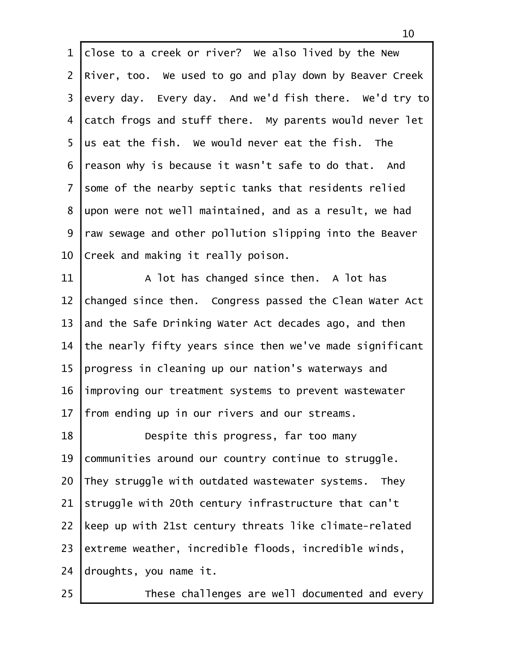1 | close to a creek or river? We also lived by the New l 2 |River, too. We used to go and play down by Beaver Creek | 3 |every day. Every day. And we'd fish there. We'd try to| 4 |catch frogs and stuff there. My parents would never let | us eat the fish. We would never eat the fish. The 5 6 |reason why is because it wasn't safe to do that. And | 7 |some of the nearby septic tanks that residents relied | 8 |upon were not well maintained, and as a result, we had | 9 |raw sewage and other pollution slipping into the Beaver | Creek and making it really poison. 10

A lot has changed since then. A lot has 11 changed since then. Congress passed the Clean Water Act 12 13 |and the Safe Drinking Water Act decades ago, and then | 14 |the nearly fifty years since then we've made significant | progress in cleaning up our nation's waterways and 15 16 |improving our treatment systems to prevent wastewater | 17 | from ending up in our rivers and our streams. |

Despite this progress, far too many 18 communities around our country continue to struggle. 19 20 |They struggle with outdated wastewater systems. They | 21 |struggle with 20th century infrastructure that can't | 22 |keep up with 21st century threats like climate-related | 23 |extreme weather, incredible floods, incredible winds, | 24 droughts, you name it.

25

These challenges are well documented and every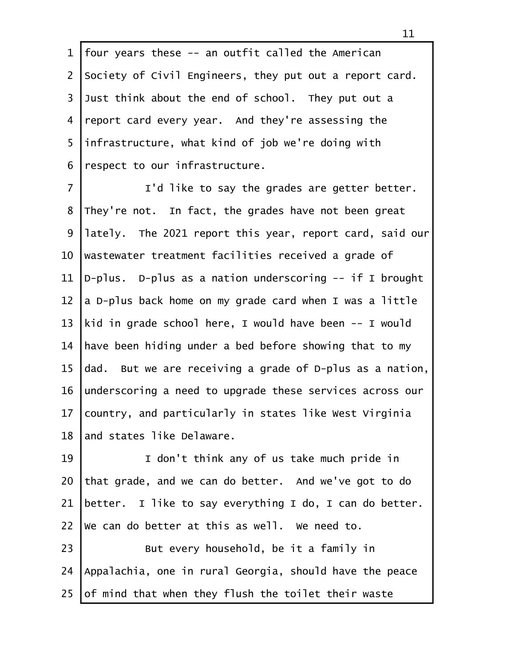four years these -- an outfit called the American 1 2 Society of Civil Engineers, they put out a report card. I 3 Just think about the end of school. They put out a lack think about the end of school. They put out a report card every year. And they're assessing the 4 infrastructure, what kind of job we're doing with 5 respect to our infrastructure. 6

I'd like to say the grades are getter better. 7 They're not. In fact, the grades have not been great 8 9 |lately. The 2021 report this year, report card, said our| 10 |wastewater treatment facilities received a grade of | D-plus. D-plus as a nation underscoring -- if I brought 11 12 |a D-plus back home on my grade card when I was a little | kid in grade school here, I would have been -- I would 13 14 |have been hiding under a bed before showing that to my | 15 |dad. But we are receiving a grade of D-plus as a nation,| 16 |underscoring a need to upgrade these services across our | 17 |country, and particularly in states like west Virginia | and states like Delaware. 18

I don't think any of us take much pride in 19 20 |that grade, and we can do better. And we've got to do | better. I like to say everything I do, I can do better. 21 22 |we can do better at this as well. We need to. |

23 | But every household, be it a family in 24 |Appalachia, one in rural Georgia, should have the peace | of mind that when they flush the toilet their waste 25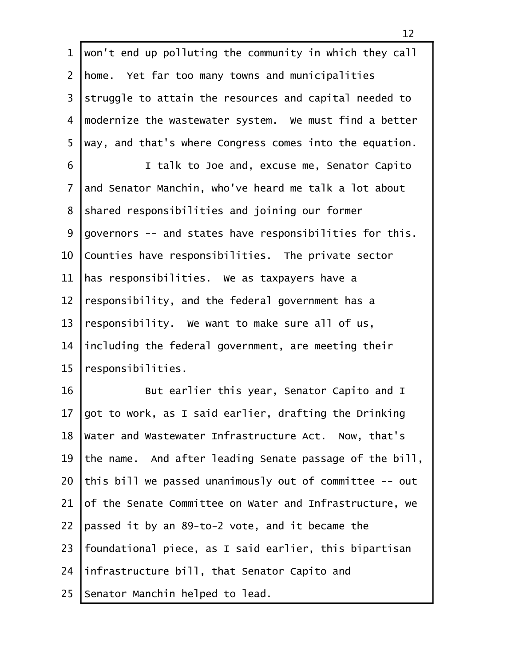won't end up polluting the community in which they call 1 home. Yet far too many towns and municipalities 2 3 |struggle to attain the resources and capital needed to | modernize the wastewater system. We must find a better 4 way, and that's where Congress comes into the equation. 5 I talk to Joe and, excuse me, Senator Capito 6 7 |and Senator Manchin, who've heard me talk a lot about | 8 |shared responsibilities and joining our former | 9 |governors -- and states have responsibilities for this. | Counties have responsibilities. The private sector 10 has responsibilities. We as taxpayers have a 11 12 |responsibility, and the federal government has a 13 |responsibility. We want to make sure all of us, | 14 |including the federal government, are meeting their | responsibilities. 15 But earlier this year, Senator Capito and I 16 got to work, as I said earlier, drafting the Drinking 17 18 |Water and Wastewater Infrastructure Act. Now, that's | 19 |the name. And after leading Senate passage of the bill, | 20 |this bill we passed unanimously out of committee -- out | 21 of the Senate Committee on Water and Infrastructure, we I passed it by an 89-to-2 vote, and it became the 22 23 |foundational piece, as I said earlier, this bipartisan | 24 |infrastructure bill, that Senator Capito and Senator Manchin helped to lead. 25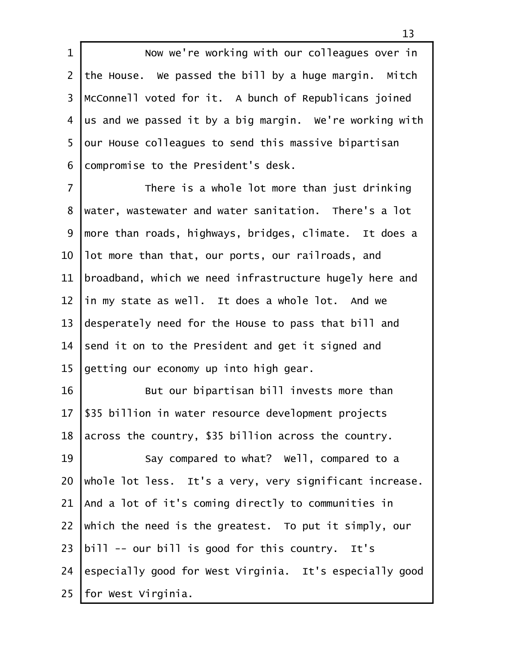1 Now we're working with our colleagues over in  $\vert$ 2 |the House. We passed the bill by a huge margin. Mitch | McConnell voted for it. A bunch of Republicans joined 3 us and we passed it by a big margin. We're working with 4 5 |our House colleagues to send this massive bipartisan | compromise to the President's desk. 6

There is a whole lot more than just drinking 7 8 |water, wastewater and water sanitation. There's a lot | 9 |more than roads, highways, bridges, climate. It does a | lot more than that, our ports, our railroads, and 10 broadband, which we need infrastructure hugely here and 11 in my state as well. It does a whole lot. And we 12 13 |desperately need for the House to pass that bill and | send it on to the President and get it signed and 14 getting our economy up into high gear. 15

But our bipartisan bill invests more than 16 17 |\$35 billion in water resource development projects | 18 |across the country, \$35 billion across the country. |

19 | Say compared to what? Well, compared to a | 20 |whole lot less. It's a very, very significant increase. | 21 |And a lot of it's coming directly to communities in | 22 |which the need is the greatest. To put it simply, our | bill -- our bill is good for this country. It's 23 24 |especially good for West Virginia. It's especially good | for West Virginia. 25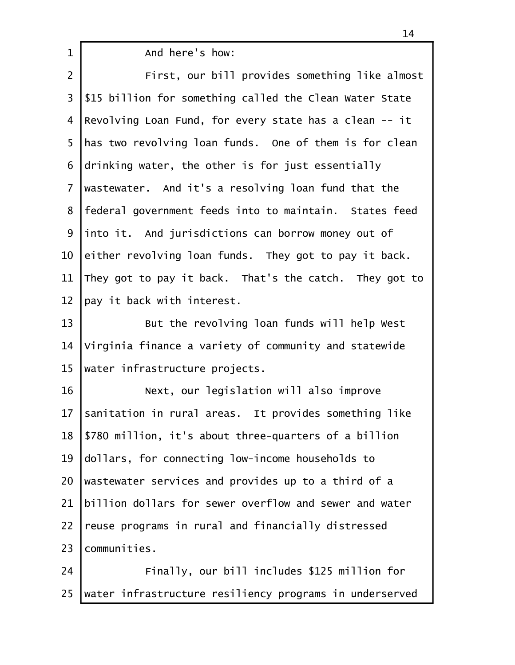|                | 14                                                      |
|----------------|---------------------------------------------------------|
| $\mathbf 1$    | And here's how:                                         |
| $\overline{2}$ | First, our bill provides something like almost          |
| 3              | \$15 billion for something called the Clean Water State |
| 4              | Revolving Loan Fund, for every state has a clean -- it  |
| 5              | has two revolving loan funds. One of them is for clean  |
| 6              | drinking water, the other is for just essentially       |
| $\overline{7}$ | wastewater. And it's a resolving loan fund that the     |
| 8              | federal government feeds into to maintain. States feed  |
| 9              | into it. And jurisdictions can borrow money out of      |
| 10             | either revolving loan funds. They got to pay it back.   |
| 11             | They got to pay it back. That's the catch. They got to  |
| 12             | pay it back with interest.                              |
| 13             | But the revolving loan funds will help west             |
| 14             | Virginia finance a variety of community and statewide   |
| 15             | water infrastructure projects.                          |
| 16             | Next, our legislation will also improve                 |
| 17             | sanitation in rural areas. It provides something like   |
| 18             | \$780 million, it's about three-quarters of a billion   |
| 19             | dollars, for connecting low-income households to        |
| 20             | wastewater services and provides up to a third of a     |
| 21             | billion dollars for sewer overflow and sewer and water  |
| 22             | reuse programs in rural and financially distressed      |
| 23             | communities.                                            |
| 24             | Finally, our bill includes \$125 million for            |
| 25             | water infrastructure resiliency programs in underserved |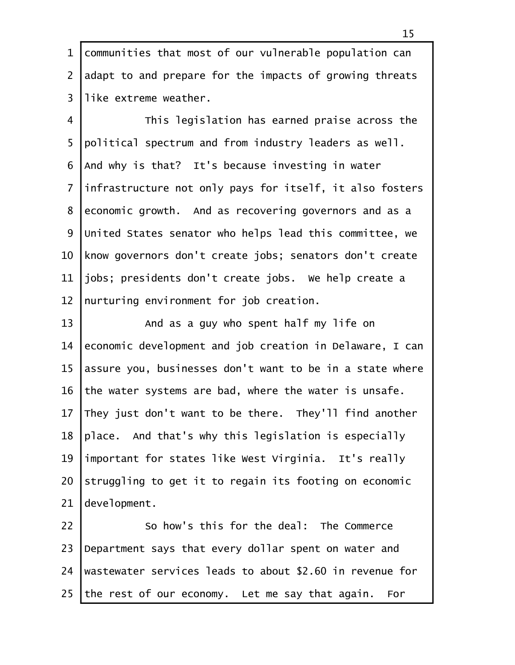1 | communities that most of our vulnerable population can 2 |adapt to and prepare for the impacts of growing threats | 3 |like extreme weather.

This legislation has earned praise across the 4 political spectrum and from industry leaders as well. 5 6 |And why is that? It's because investing in water [11] [11] Interpretational co infrastructure not only pays for itself, it also fosters 7 8 |economic growth. And as recovering governors and as a | United States senator who helps lead this committee, we 9 know governors don't create jobs; senators don't create 10 11 |jobs; presidents don't create jobs. we help create a | 12 |nurturing environment for job creation. |

And as a guy who spent half my life on 13 14 |economic development and job creation in Delaware, I can | 15 |assure you, businesses don't want to be in a state where | 16 |the water systems are bad, where the water is unsafe. | 17 |They just don't want to be there. They'll find another | place. And that's why this legislation is especially 18 important for states like West Virginia. It's really 19 20 |struggling to get it to regain its footing on economic | 21 development.

22 | So how's this for the deal: The Commerce | So how's this for the deal: The Commerce Department says that every dollar spent on water and 23 24 |wastewater services leads to about \$2.60 in revenue for | the rest of our economy. Let me say that again. For 25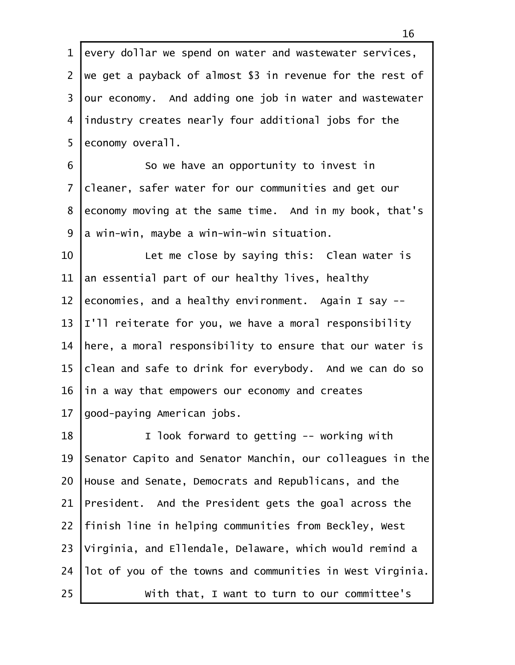1 |every dollar we spend on water and wastewater services, I 2 |we get a payback of almost \$3 in revenue for the rest of | 3 |our economy. And adding one job in water and wastewater | 4 |industry creates nearly four additional jobs for the | 5 economy overall.

6 So we have an opportunity to invest in Theory College and Solve have an opportunity to invest in cleaner, safer water for our communities and get our 7 8 |economy moving at the same time. And in my book, that's | 9 |a win-win, maybe a win-win-win situation. |

Let me close by saying this: Clean water is 10 11 |an essential part of our healthy lives, healthy 12 |economies, and a healthy environment. Again I say -- | 13 |I'll reiterate for you, we have a moral responsibility | here, a moral responsibility to ensure that our water is 14 clean and safe to drink for everybody. And we can do so 15 16 |in a way that empowers our economy and creates good-paying American jobs. 17

I look forward to getting -- working with 18 19 |Senator Capito and Senator Manchin, our colleagues in the| 20 |House and Senate, Democrats and Republicans, and the | 21 |President. And the President gets the goal across the | 22 |finish line in helping communities from Beckley, West | Virginia, and Ellendale, Delaware, which would remind a 23 24 |lot of you of the towns and communities in West Virginia.| With that, I want to turn to our committee's 25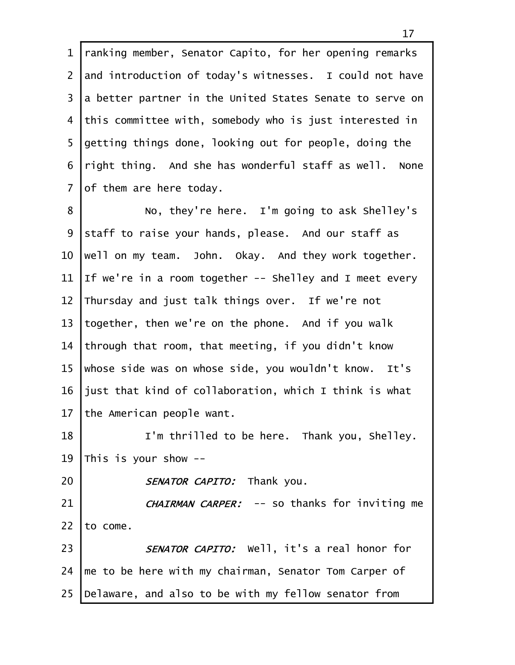1 |ranking member, Senator Capito, for her opening remarks | 2 |and introduction of today's witnesses. I could not have | 3 |a better partner in the United States Senate to serve on | 4 |this committee with, somebody who is just interested in | getting things done, looking out for people, doing the 5 right thing. And she has wonderful staff as well. None 6 of them are here today. 7

No, they're here. I'm going to ask Shelley's 8 9 |staff to raise your hands, please. And our staff as | 10 |well on my team. John. Okay. And they work together. | If we're in a room together -- Shelley and I meet every 11 Thursday and just talk things over. If we're not 12 13 |together, then we're on the phone. And if you walk | 14 |through that room, that meeting, if you didn't know | whose side was on whose side, you wouldn't know. It's 15 16 |just that kind of collaboration, which I think is what | 17 |the American people want.

I'm thrilled to be here. Thank you, Shelley. 18 This is your show -- 19

SENATOR CAPITO: Thank you. 20

CHAIRMAN CARPER: -- so thanks for inviting me 21 22 to come.

SENATOR CAPITO: Well, it's a real honor for 23 24 |me to be here with my chairman, Senator Tom Carper of | Delaware, and also to be with my fellow senator from 25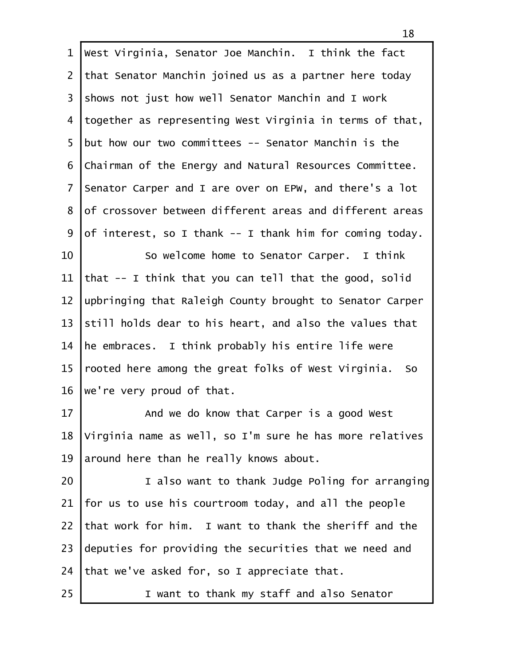West Virginia, Senator Joe Manchin. I think the fact 1 2 |that Senator Manchin joined us as a partner here today | 3 Shows not just how well Senator Manchin and I work Theory (1986) (1986) (1986) (1987) (1988) (1988) 4 |together as representing West Virginia in terms of that, | but how our two committees -- Senator Manchin is the 5 Chairman of the Energy and Natural Resources Committee. 6 7 |Senator Carper and I are over on EPW, and there's a lot | 8 of crossover between different areas and different areas | 9 |of interest, so I thank -- I thank him for coming today. |

10 | So welcome home to Senator Carper. I think | I 11 |that -- I think that you can tell that the good, solid | 12 |upbringing that Raleigh County brought to Senator Carper | 13 |still holds dear to his heart, and also the values that | he embraces. I think probably his entire life were 14 15 |rooted here among the great folks of West Virginia. So | 16 |we're very proud of that.

And we do know that Carper is a good West 17 Virginia name as well, so I'm sure he has more relatives 18 19 |around here than he really knows about. |

20 | I also want to thank Judge Poling for arranging| I 21 |for us to use his courtroom today, and all the people | 22 |that work for him. I want to thank the sheriff and the | 23 |deputies for providing the securities that we need and | 24 |that we've asked for, so I appreciate that. |

25

I want to thank my staff and also Senator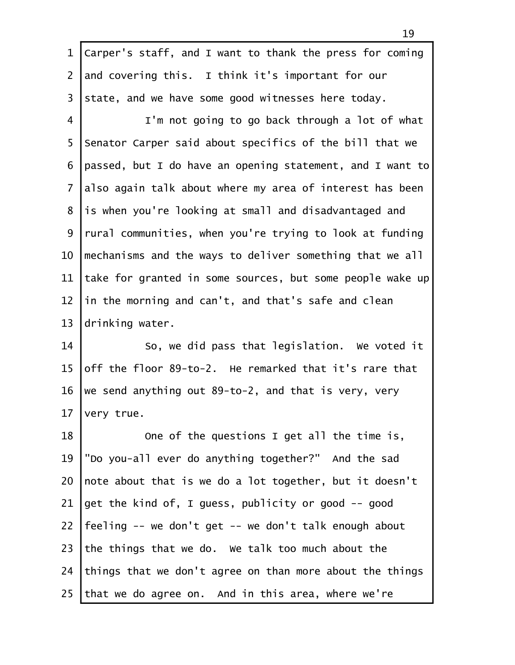Carper's staff, and I want to thank the press for coming 1 2 |and covering this. I think it's important for our | 3 state, and we have some good witnesses here today. The state of the some solution of the state of  $\sim$ 

4 I'm not going to go back through a lot of what I Senator Carper said about specifics of the bill that we 5 passed, but I do have an opening statement, and I want to 6 7 |also again talk about where my area of interest has been | 8 |is when you're looking at small and disadvantaged and | 9 |rural communities, when you're trying to look at funding | 10 |mechanisms and the ways to deliver something that we all | 11 |take for granted in some sources, but some people wake up| 12 |in the morning and can't, and that's safe and clean | drinking water. 13

So, we did pass that legislation. We voted it 14 15 |off the floor 89-to-2. He remarked that it's rare that | 16 |we send anything out 89-to-2, and that is very, very | very true. 17

One of the questions I get all the time is, 18 "Do you-all ever do anything together?" And the sad 19 20 |note about that is we do a lot together, but it doesn't | get the kind of, I guess, publicity or good -- good 21 22 |feeling -- we don't get -- we don't talk enough about | 23 |the things that we do. We talk too much about the | 24 |things that we don't agree on than more about the things | that we do agree on. And in this area, where we're 25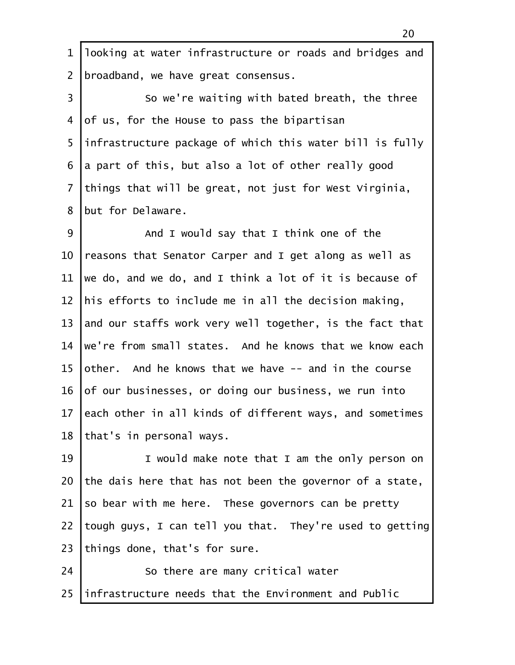1 |looking at water infrastructure or roads and bridges and | broadband, we have great consensus. 2

3 | So we're waiting with bated breath, the three | 4 of us, for the House to pass the bipartisan Theory II are the House in the House II and II are the House II a infrastructure package of which this water bill is fully 5 6 |a part of this, but also a lot of other really good | 7 |things that will be great, not just for West Virginia, | 8 |but for Delaware.

And I would say that I think one of the 9 10 |reasons that Senator Carper and I get along as well as | 11 |we do, and we do, and I think a lot of it is because of | 12 |his efforts to include me in all the decision making, | 13 |and our staffs work very well together, is the fact that | 14 |we're from small states. And he knows that we know each | 15 |other. And he knows that we have -- and in the course | 16 |of our businesses, or doing our business, we run into | 17 |each other in all kinds of different ways, and sometimes | 18 |that's in personal ways.

I would make note that I am the only person on 19 20 |the dais here that has not been the governor of a state, | 21 |so bear with me here. These governors can be pretty | 22 |tough guys, I can tell you that. They're used to getting| 23 |things done, that's for sure.

24 | So there are many critical water Theory II is a set of the set of the set of the set of the set of the se infrastructure needs that the Environment and Public 25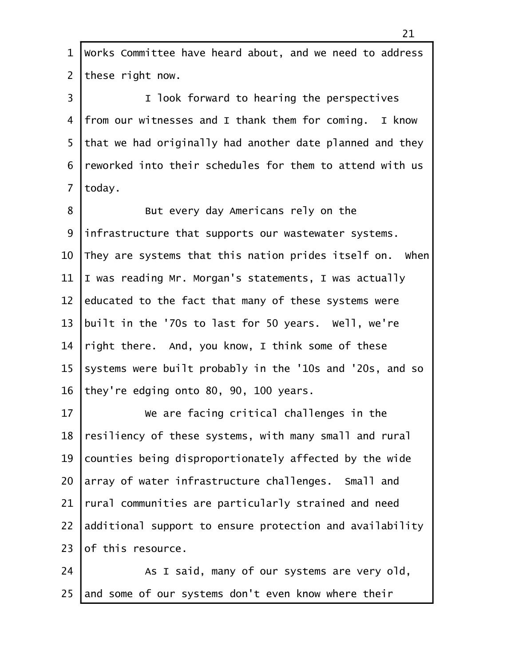Works Committee have heard about, and we need to address 1 2 |these right now. I look forward to hearing the perspectives 3 from our witnesses and I thank them for coming. I know 4 5 |that we had originally had another date planned and they | 6 |reworked into their schedules for them to attend with us | 7 | today. But every day Americans rely on the 8 9 |infrastructure that supports our wastewater systems. | 10 |They are systems that this nation prides itself on. When| 11 |I was reading Mr. Morgan's statements, I was actually | 12 |educated to the fact that many of these systems were | built in the '70s to last for 50 years. Well, we're 13 14 |right there. And, you know, I think some of these | 15 |systems were built probably in the '10s and '20s, and so | they're edging onto 80, 90, 100 years. 16 We are facing critical challenges in the 17 18 |resiliency of these systems, with many small and rural | 19 |counties being disproportionately affected by the wide | 20 |array of water infrastructure challenges. Small and | 21 |rural communities are particularly strained and need \_\_\_\_\_\_\_\_\_\_\_\_\_\_\_\_\_\_ 22 |additional support to ensure protection and availability |

As I said, many of our systems are very old, 24 and some of our systems don't even know where their 25

23 of this resource.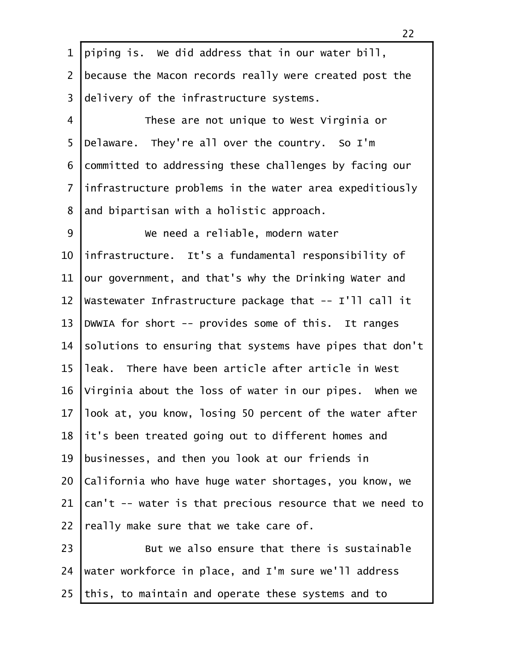piping is. We did address that in our water bill, 1 because the Macon records really were created post the 2 delivery of the infrastructure systems. 3

These are not unique to West Virginia or 4 Delaware. They're all over the country. So I'm 5 6 |committed to addressing these challenges by facing our | 7 |infrastructure problems in the water area expeditiously | and bipartisan with a holistic approach. 8

We need a reliable, modern water 9 10 |infrastructure. It's a fundamental responsibility of | 11 |our government, and that's why the Drinking Water and | Wastewater Infrastructure package that -- I'll call it 12 DWWIA for short -- provides some of this. It ranges 13 14 |solutions to ensuring that systems have pipes that don't | 15 |leak. There have been article after article in West | Virginia about the loss of water in our pipes. When we 16 17 |look at, you know, losing 50 percent of the water after | 18 |it's been treated going out to different homes and | businesses, and then you look at our friends in 19 20 |California who have huge water shortages, you know, we | 21 |can't -- water is that precious resource that we need to | 22 |really make sure that we take care of. |

23 | But we also ensure that there is sustainable | 24 |water workforce in place, and I'm sure we'll address | this, to maintain and operate these systems and to 25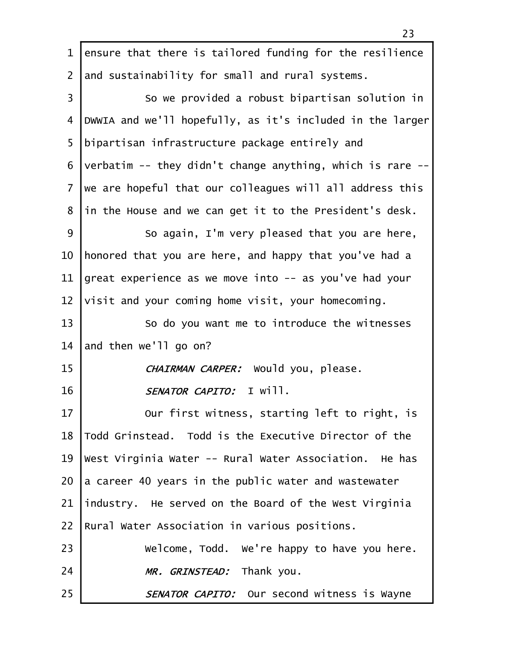1 |ensure that there is tailored funding for the resilience | and sustainability for small and rural systems. So we provided a robust bipartisan solution in DWWIA and we'll hopefully, as it's included in the larger bipartisan infrastructure package entirely and verbatim -- they didn't change anything, which is rare - we are hopeful that our colleagues will all address this 8 |in the House and we can get it to the President's desk. | So again, I'm very pleased that you are here, 10 |honored that you are here, and happy that you've had a | great experience as we move into -- as you've had your visit and your coming home visit, your homecoming. 13 | So do you want me to introduce the witnesses | and then we'll go on? CHAIRMAN CARPER: Would you, please. 16 | *SENATOR CAPITO:* I will. Our first witness, starting left to right, is Todd Grinstead. Todd is the Executive Director of the West Virginia Water -- Rural Water Association. He has 20 |a career 40 years in the public water and wastewater | 21 |industry. He served on the Board of the West Virginia | 22 |Rural Water Association in various positions. | Welcome, Todd. We're happy to have you here. 24 | *MR. GRINSTEAD:* Thank you. SENATOR CAPITO: Our second witness is Wayne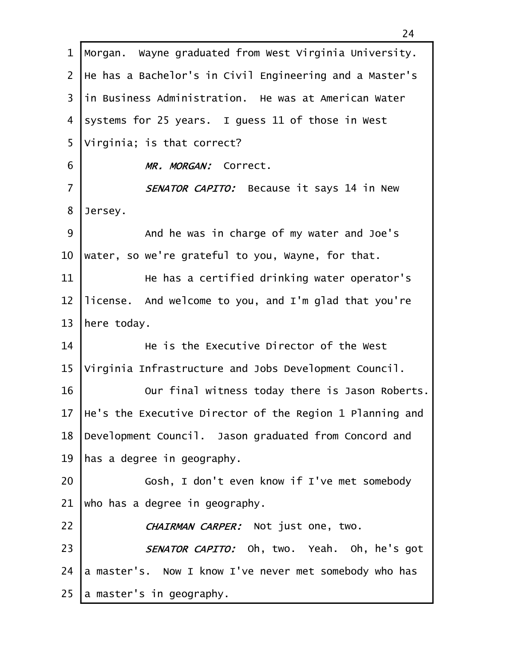Morgan. Wayne graduated from West Virginia University. 2 |He has a Bachelor's in Civil Engineering and a Master's | 3 |in Business Administration. He was at American Water | 4 |systems for 25 years. I guess 11 of those in West | Virginia; is that correct? 6 MR. MORGAN: Correct. SENATOR CAPITO: Because it says 14 in New Jersey. And he was in charge of my water and Joe's 10 |water, so we're grateful to you, Wayne, for that. | He has a certified drinking water operator's license. And welcome to you, and I'm glad that you're 13 | here today. He is the Executive Director of the West Virginia Infrastructure and Jobs Development Council. Our final witness today there is Jason Roberts. 17 |He's the Executive Director of the Region 1 Planning and | Development Council. Jason graduated from Concord and 19 |has a degree in geography. Gosh, I don't even know if I've met somebody who has a degree in geography. CHAIRMAN CARPER: Not just one, two. SENATOR CAPITO: Oh, two. Yeah. Oh, he's got 24 |a master's. Now I know I've never met somebody who has | a master's in geography.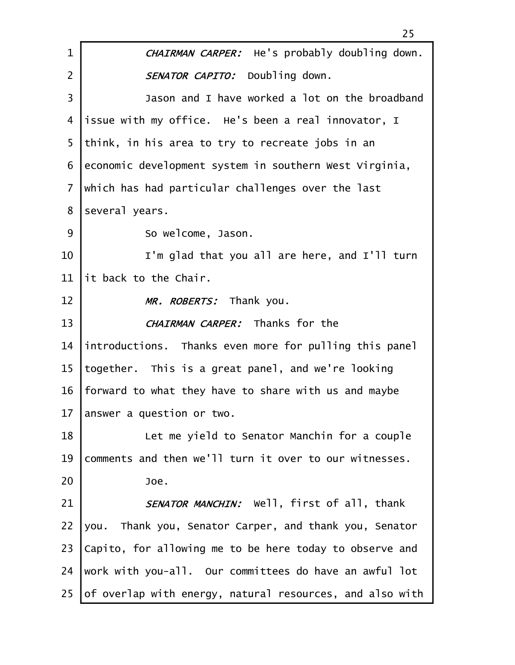|                | 25                                                        |
|----------------|-----------------------------------------------------------|
| $\mathbf 1$    | <b>CHAIRMAN CARPER:</b> He's probably doubling down.      |
| $\overline{2}$ | SENATOR CAPITO: Doubling down.                            |
| 3              | Jason and I have worked a lot on the broadband            |
| 4              | issue with my office. He's been a real innovator, I       |
| 5              | think, in his area to try to recreate jobs in an          |
| 6              | economic development system in southern West Virginia,    |
| $\overline{7}$ | which has had particular challenges over the last         |
| 8              | several years.                                            |
| 9              | So welcome, Jason.                                        |
| 10             | I'm glad that you all are here, and I'll turn             |
| 11             | it back to the Chair.                                     |
| 12             | MR. ROBERTS: Thank you.                                   |
| 13             | <b>CHAIRMAN CARPER:</b> Thanks for the                    |
| 14             | introductions. Thanks even more for pulling this panel    |
| 15             | together. This is a great panel, and we're looking        |
| 16             | forward to what they have to share with us and maybe      |
| 17             | answer a question or two.                                 |
| 18             | Let me yield to Senator Manchin for a couple              |
| 19             | comments and then we'll turn it over to our witnesses.    |
| 20             | Joe.                                                      |
| 21             | <b>SENATOR MANCHIN:</b> Well, first of all, thank         |
| 22             | Thank you, Senator Carper, and thank you, Senator<br>you. |
| 23             | Capito, for allowing me to be here today to observe and   |
| 24             | work with you-all. Our committees do have an awful lot    |
| 25             | of overlap with energy, natural resources, and also with  |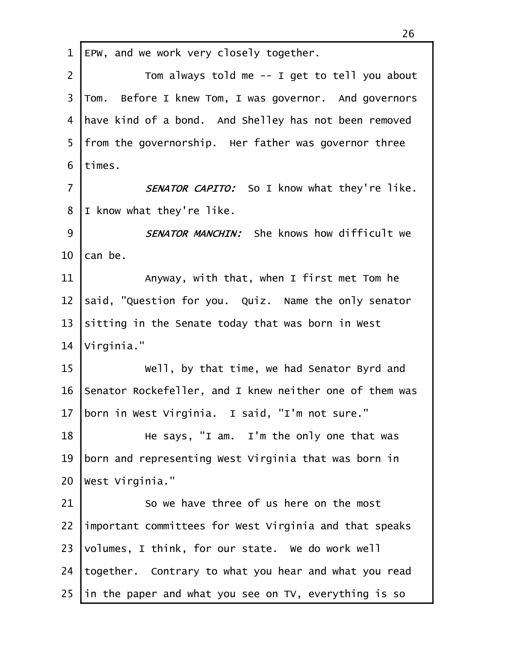EPW, and we work very closely together. 1 2 | Tom always told me -- I get to tell you about | Tom. Before I knew Tom, I was governor. And governors 3 have kind of a bond. And Shelley has not been removed 4 5 | from the governorship. Her father was governor three | 6 times. SENATOR CAPITO: So I know what they're like. 7 8 I know what they're like. SENATOR MANCHIN: She knows how difficult we 9 can be. 10 Anyway, with that, when I first met Tom he 11 12 |said, "Question for you. Quiz. Name the only senator | 13 |sitting in the Senate today that was born in West | Virginia." 14 Well, by that time, we had Senator Byrd and 15 16 Senator Rockefeller, and I knew neither one of them was I born in West Virginia. I said, "I'm not sure." 17 He says, "I am. I'm the only one that was 18 born and representing West Virginia that was born in 19 West Virginia." 20 21 | So we have three of us here on the most 22 |important committees for West Virginia and that speaks | volumes, I think, for our state. We do work well 23 24 |together. Contrary to what you hear and what you read | in the paper and what you see on TV, everything is so 25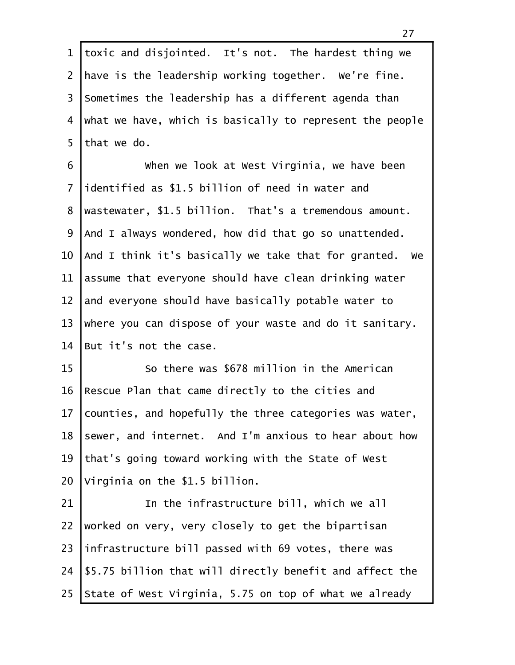It's not. The hardest thing we have is the leadership working together. We're fine. 2 3 Sometimes the leadership has a different agenda than the continuity of the control of the local standard and what we have, which is basically to represent the people 4  $5$  that we do. 1 | toxic and disjointed.

When we look at West Virginia, we have been 6 identified as \$1.5 billion of need in water and 7 wastewater, \$1.5 billion. That's a tremendous amount. 8 9 |And I always wondered, how did that go so unattended. | 10 |And I think it's basically we take that for granted. We | 11 |assume that everyone should have clean drinking water | 12 |and everyone should have basically potable water to | 13 |where you can dispose of your waste and do it sanitary. | 14 |But it's not the case.

So there was \$678 million in the American 15 16 |Rescue Plan that came directly to the cities and Theorem I are the US of the Cities and 17 |counties, and hopefully the three categories was water, | 18 |sewer, and internet. And I'm anxious to hear about how | 19 |that's going toward working with the State of West | Virginia on the \$1.5 billion. 20

21 | The infrastructure bill, which we all The Linux Control I 22 |worked on very, very closely to get the bipartisan | 23 |infrastructure bill passed with 69 votes, there was | 24 |\$5.75 billion that will directly benefit and affect the | State of West Virginia, 5.75 on top of what we already 25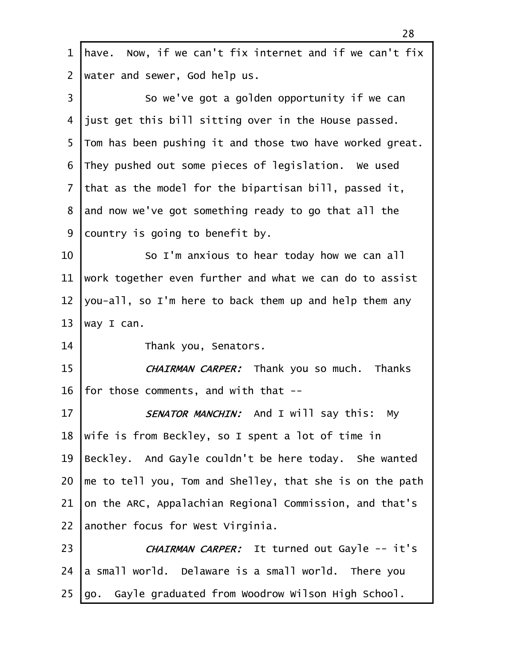| $\mathbf{1}$   | have. Now, if we can't fix internet and if we can't fix  |
|----------------|----------------------------------------------------------|
| $\overline{2}$ | water and sewer, God help us.                            |
| 3              | So we've got a golden opportunity if we can              |
| 4              | just get this bill sitting over in the House passed.     |
| 5              | Tom has been pushing it and those two have worked great. |
| 6              | They pushed out some pieces of legislation. We used      |
| $\overline{7}$ | that as the model for the bipartisan bill, passed it,    |
| 8              | and now we've got something ready to go that all the     |
| 9              | country is going to benefit by.                          |
| 10             | So I'm anxious to hear today how we can all              |
| 11             | work together even further and what we can do to assist  |
| 12             | you-all, so I'm here to back them up and help them any   |
| 13             | way I can.                                               |
| 14             | Thank you, Senators.                                     |
| 15             | <b>CHAIRMAN CARPER:</b> Thank you so much. Thanks        |
| 16             | for those comments, and with that --                     |
| 17             | <b>SENATOR MANCHIN:</b> And I will say this:<br>My       |
| 18             | wife is from Beckley, so I spent a lot of time in        |
| 19             | Beckley. And Gayle couldn't be here today. She wanted    |
| 20             | me to tell you, Tom and Shelley, that she is on the path |
| 21             | on the ARC, Appalachian Regional Commission, and that's  |
| 22             | another focus for West Virginia.                         |
| 23             | CHAIRMAN CARPER: It turned out Gayle -- it's             |
| 24             | a small world. Delaware is a small world. There you      |
| 25             | Gayle graduated from Woodrow Wilson High School.<br>go.  |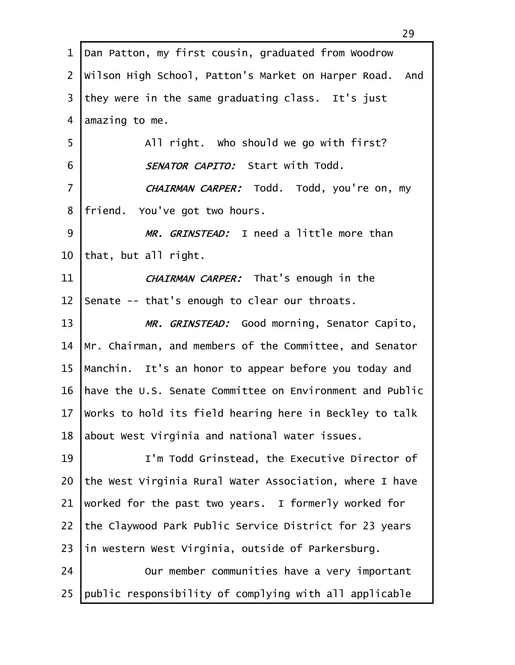Dan Patton, my first cousin, graduated from Woodrow 1 2 |Wilson High School, Patton's Market on Harper Road. And | 3 |they were in the same graduating class. It's just | amazing to me. 4 All right. Who should we go with first? 5 SENATOR CAPITO: Start with Todd. 6 CHAIRMAN CARPER: Todd. Todd, you're on, my 7 8 | friend. You've got two hours. MR. GRINSTEAD: I need a little more than 9 10 |that, but all right. CHAIRMAN CARPER: That's enough in the 11 12 |Senate -- that's enough to clear our throats. | MR. GRINSTEAD: Good morning, Senator Capito, 13 14 |Mr. Chairman, and members of the Committee, and Senator | Manchin. It's an honor to appear before you today and 15 have the U.S. Senate Committee on Environment and Public 16 17 |Works to hold its field hearing here in Beckley to talk | 18 |about West Virginia and national water issues. | I'm Todd Grinstead, the Executive Director of 19 20 |the West Virginia Rural Water Association, where I have | 21 |worked for the past two years. I formerly worked for | 22 |the Claywood Park Public Service District for 23 years | 23 |in western West Virginia, outside of Parkersburg. | 24 | Our member communities have a very important | public responsibility of complying with all applicable 25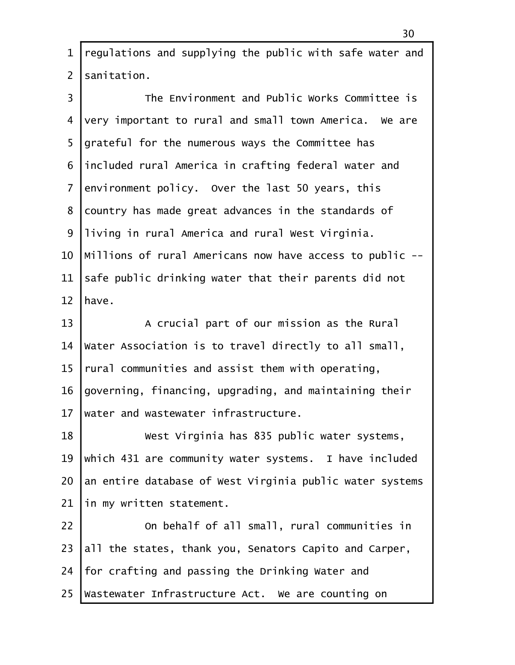1 | regulations and supplying the public with safe water and | 2 Sanitation.

3 | The Environment and Public Works Committee is | very important to rural and small town America. We are 4 grateful for the numerous ways the Committee has 5 6 |included rural America in crafting federal water and | environment policy. Over the last 50 years, this 7 country has made great advances in the standards of 8 9 |living in rural America and rural West Virginia. | 10 |Millions of rural Americans now have access to public -- | 11 |safe public drinking water that their parents did not | have. 12

A crucial part of our mission as the Rural 13 Water Association is to travel directly to all small, 14 15 |rural communities and assist them with operating, | governing, financing, upgrading, and maintaining their 16 water and wastewater infrastructure. 17

West Virginia has 835 public water systems, 18 which 431 are community water systems. I have included 19 20 |an entire database of West Virginia public water systems | 21 |in my written statement.

On behalf of all small, rural communities in 22 23 |all the states, thank you, Senators Capito and Carper, | for crafting and passing the Drinking Water and 24 Wastewater Infrastructure Act. We are counting on 25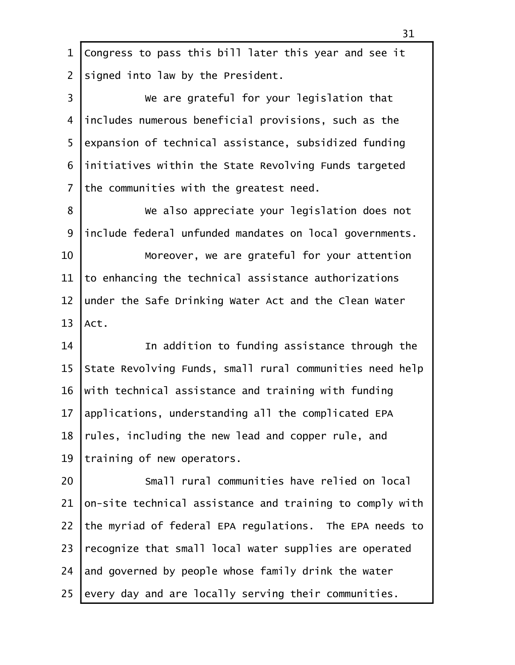We are grateful for your legislation that 3 4 |includes numerous beneficial provisions, such as the | expansion of technical assistance, subsidized funding 5 6 |initiatives within the State Revolving Funds targeted | 7 |the communities with the greatest need.

We also appreciate your legislation does not 8 9 |include federal unfunded mandates on local governments. |

Moreover, we are grateful for your attention 10 11 |to enhancing the technical assistance authorizations | 12 |under the Safe Drinking Water Act and the Clean Water |  $13$   $|$  Act.

In addition to funding assistance through the 14 15 |State Revolving Funds, small rural communities need help | 16 |with technical assistance and training with funding | 17 |applications, understanding all the complicated EPA | 18 |rules, including the new lead and copper rule, and | 19 |training of new operators.

Small rural communities have relied on local 20 21 |on-site technical assistance and training to comply with | 22 |the myriad of federal EPA regulations. The EPA needs to | 23 |recognize that small local water supplies are operated | 24 |and governed by people whose family drink the water | every day and are locally serving their communities. 25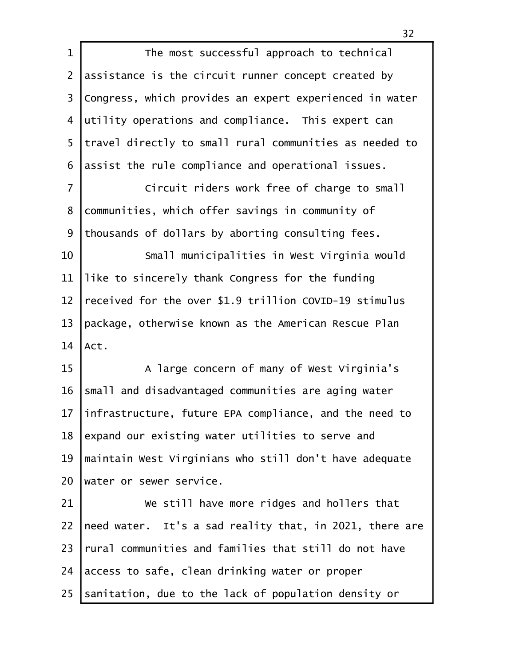1 | The most successful approach to technical 2 |assistance is the circuit runner concept created by | Congress, which provides an expert experienced in water 3 utility operations and compliance. This expert can 4 5 |travel directly to small rural communities as needed to | assist the rule compliance and operational issues. 6 Circuit riders work free of charge to small 7 communities, which offer savings in community of 8 9 |thousands of dollars by aborting consulting fees. | Small municipalities in West Virginia would 10 like to sincerely thank Congress for the funding 11 12 |received for the over \$1.9 trillion COVID-19 stimulus | package, otherwise known as the American Rescue Plan 13  $14$  Act. A large concern of many of West Virginia's 15 small and disadvantaged communities are aging water 16 17 |infrastructure, future EPA compliance, and the need to | 18 |expand our existing water utilities to serve and maintain West Virginians who still don't have adequate 19 20 |water or sewer service. 21 | We still have more ridges and hollers that need water. It's a sad reality that, in 2021, there are 22 23 |rural communities and families that still do not have | access to safe, clean drinking water or proper 24 sanitation, due to the lack of population density or 25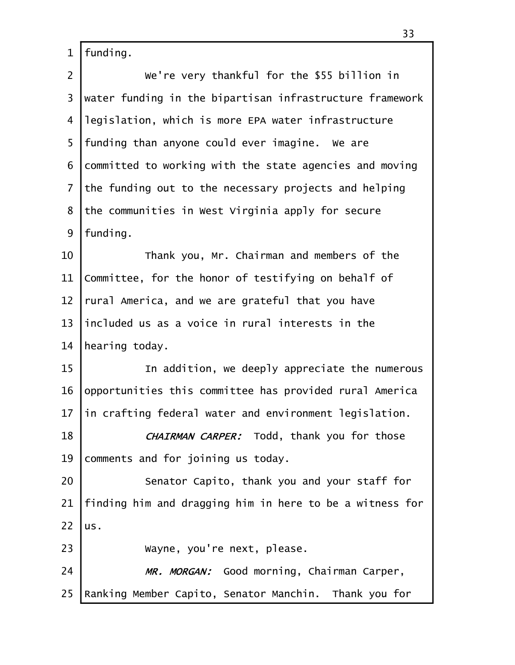1 | funding.

2 | We're very thankful for the \$55 billion in 3 |water funding in the bipartisan infrastructure framework | 4 |legislation, which is more EPA water infrastructure | 5 | funding than anyone could ever imagine. We are Theorem I are the set of the set of the set of the set of t 6 | committed to working with the state agencies and moving | 7 |the funding out to the necessary projects and helping | the communities in West Virginia apply for secure 8 funding. 9

Thank you, Mr. Chairman and members of the 10 Committee, for the honor of testifying on behalf of 11 12 |rural America, and we are grateful that you have 13 |included us as a voice in rural interests in the hearing today. 14

15 | In addition, we deeply appreciate the numerous | 16 |opportunities this committee has provided rural America | 17 |in crafting federal water and environment legislation. |

CHAIRMAN CARPER: Todd, thank you for those 18 comments and for joining us today. 19

Senator Capito, thank you and your staff for 20 21 |finding him and dragging him in here to be a witness for | us. The contract of the contract of the contract of the contract of the contract of the contract of the contract of the contract of the contract of the contract of the contract of the contract of the contract of the contra  $22 \mid \textsf{us.}$ 

Wayne, you're next, please. 23

MR. MORGAN: Good morning, Chairman Carper, 24 Ranking Member Capito, Senator Manchin. Thank you for 25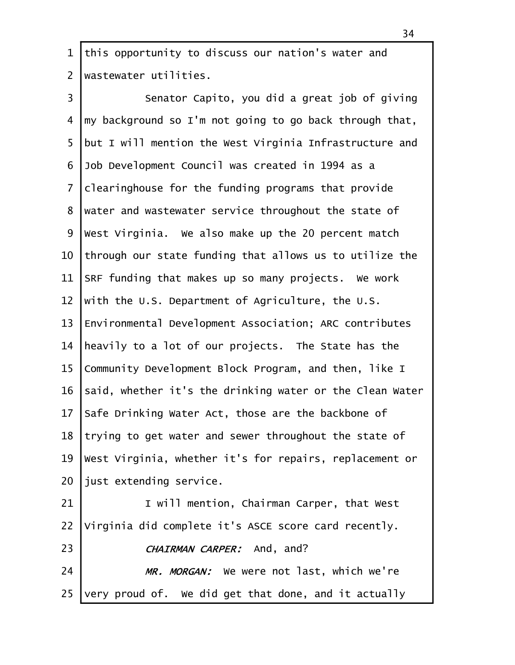1 |this opportunity to discuss our nation's water and | wastewater utilities. 2

Senator Capito, you did a great job of giving 3 4 |my background so I'm not going to go back through that, I but I will mention the West Virginia Infrastructure and 5 Job Development Council was created in 1994 as a 6 7 |clearinghouse for the funding programs that provide | 8 |water and wastewater service throughout the state of Theorem (1986) [19] Mondon School (1986) [19] Mondon S West Virginia. We also make up the 20 percent match 9 10 |through our state funding that allows us to utilize the | 11 |SRF funding that makes up so many projects. We work | with the U.S. Department of Agriculture, the U.S. 12 Environmental Development Association; ARC contributes 13 heavily to a lot of our projects. The State has the 14 Community Development Block Program, and then, like I 15 16 |said, whether it's the drinking water or the Clean Water | 17 |Safe Drinking Water Act, those are the backbone of | 18 |trying to get water and sewer throughout the state of | 19 |West Virginia, whether it's for repairs, replacement or | 20 |just extending service. 21 | I will mention, Chairman Carper, that West Virginia did complete it's ASCE score card recently. 22 CHAIRMAN CARPER: And, and? 23

MR. MORGAN: We were not last, which we're 24 very proud of. We did get that done, and it actually 25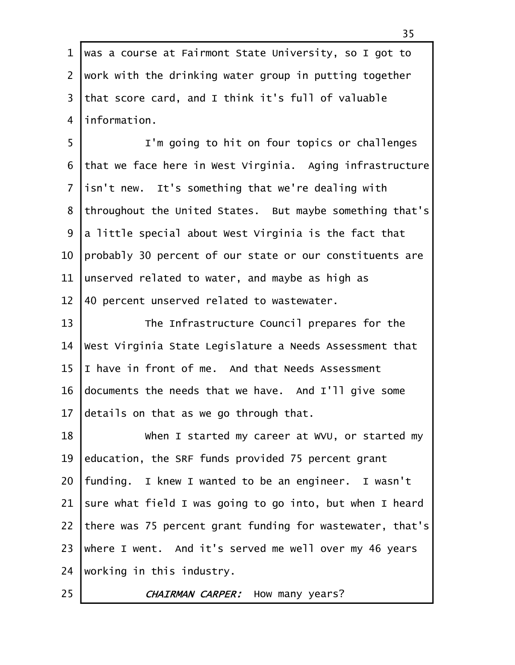was a course at Fairmont State University, so I got to 1 2 |work with the drinking water group in putting together | 3 |that score card, and I think it's full of valuable | 4 | information.

I'm going to hit on four topics or challenges 5 6 |that we face here in West Virginia. Aging infrastructure| 7 |isn't new. It's something that we're dealing with | 8 |throughout the United States. But maybe something that's| 9 |a little special about West Virginia is the fact that | 10 |probably 30 percent of our state or our constituents are | unserved related to water, and maybe as high as 11 40 percent unserved related to wastewater. 12

13 | The Infrastructure Council prepares for the l 14 |West Virginia State Legislature a Needs Assessment that | 15 |I have in front of me. And that Needs Assessment documents the needs that we have. And I'll give some 16 17 |details on that as we go through that.

When I started my career at WVU, or started my 18 19 |education, the SRF funds provided 75 percent grant | 20 |funding. I knew I wanted to be an engineer. I wasn't | 21 |sure what field I was going to go into, but when I heard | 22 |there was 75 percent grant funding for wastewater, that's| 23 |where I went. And it's served me well over my 46 years | working in this industry. 24

25

CHAIRMAN CARPER: How many years?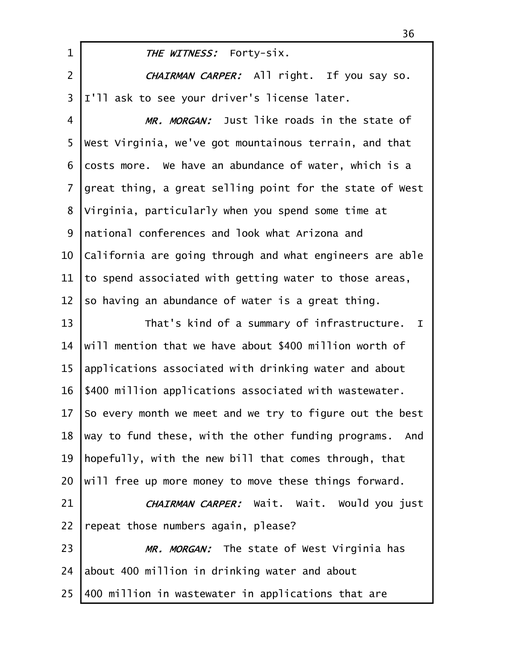36 1 THE WITNESS: Forty-six. CHAIRMAN CARPER: All right. If you say so. 2 I'll ask to see your driver's license later. 3 4 | MR*. MORGAN:* Just like roads in the state of West Virginia, we've got mountainous terrain, and that 5 6 | costs more. We have an abundance of water, which is a | 7 |great thing, a great selling point for the state of West | Virginia, particularly when you spend some time at 8 national conferences and look what Arizona and 9 10 |California are going through and what engineers are able | 11 |to spend associated with getting water to those areas, | 12 |so having an abundance of water is a great thing. | 13 | That's kind of a summary of infrastructure. I 14 |will mention that we have about \$400 million worth of | 15 |applications associated with drinking water and about | 16 |\$400 million applications associated with wastewater. | 17 |So every month we meet and we try to figure out the best | 18 |way to fund these, with the other funding programs. And | hopefully, with the new bill that comes through, that 19 20 |will free up more money to move these things forward. | CHAIRMAN CARPER: Wait. Wait. Would you just 21 repeat those numbers again, please? 22 MR. MORGAN: The state of West Virginia has 23 24 |about 400 million in drinking water and about 400 million in wastewater in applications that are 25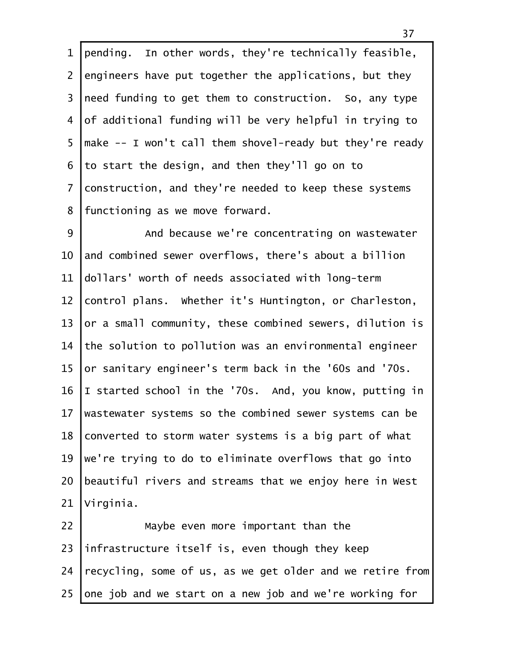pending. In other words, they're technically feasible, 1 2 |engineers have put together the applications, but they | 3 |need funding to get them to construction. So, any type | 4 |of additional funding will be very helpful in trying to | make -- I won't call them shovel-ready but they're ready 5 to start the design, and then they'll go on to 6 construction, and they're needed to keep these systems 7 8 | functioning as we move forward.

And because we're concentrating on wastewater 9 10 |and combined sewer overflows, there's about a billion | 11 |dollars' worth of needs associated with long-term | control plans. Whether it's Huntington, or Charleston, 12 13 |or a small community, these combined sewers, dilution is | 14 |the solution to pollution was an environmental engineer | 15 |or sanitary engineer's term back in the '60s and '70s. | 16 |I started school in the '70s. And, you know, putting in | 17 |wastewater systems so the combined sewer systems can be | 18 |converted to storm water systems is a big part of what | 19 |we're trying to do to eliminate overflows that go into | beautiful rivers and streams that we enjoy here in West 20 Virginia. 21

22 | Maybe even more important than the Theory II are not as a more important than 23 |infrastructure itself is, even though they keep | 24 |recycling, some of us, as we get older and we retire from| one job and we start on a new job and we're working for 25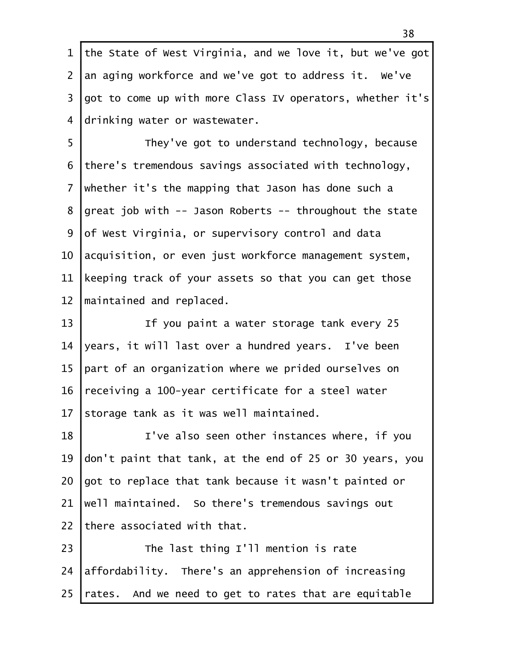1 |the State of West Virginia, and we love it, but we've got| 2 |an aging workforce and we've got to address it. We've | 3 |got to come up with more Class IV operators, whether it's| 4 |drinking water or wastewater.

They've got to understand technology, because 5 6 |there's tremendous savings associated with technology, | whether it's the mapping that Jason has done such a 7 8 |great job with -- Jason Roberts -- throughout the state | 9 of West Virginia, or supervisory control and data Theory Constants and Mata 10 |acquisition, or even just workforce management system, | 11 |keeping track of your assets so that you can get those | maintained and replaced. 12

If you paint a water storage tank every 25 13 years, it will last over a hundred years. I've been 14 part of an organization where we prided ourselves on 15 16 |receiving a 100-year certificate for a steel water | 17 |storage tank as it was well maintained. |

I've also seen other instances where, if you 18 19 |don't paint that tank, at the end of 25 or 30 years, you | 20 |got to replace that tank because it wasn't painted or | 21 |well maintained. So there's tremendous savings out | 22 |there associated with that.

23 | The last thing I'll mention is rate | International Library 24 |affordability. There's an apprehension of increasing | rates. And we need to get to rates that are equitable 25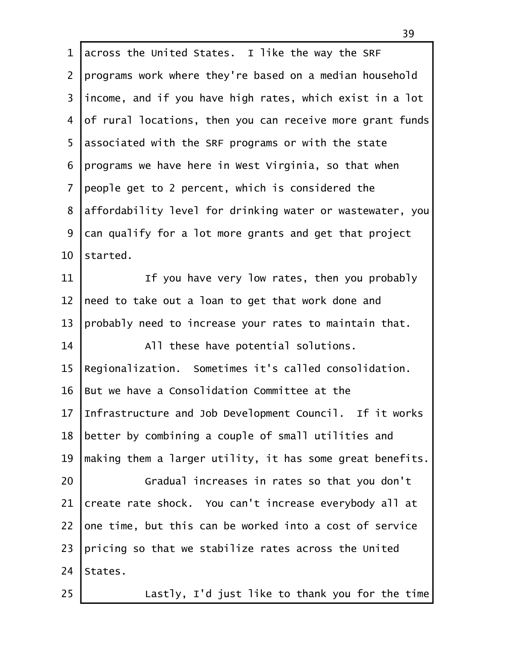39 across the United States. I like the way the SRF 1 2 |programs work where they're based on a median household | 3 |income, and if you have high rates, which exist in a lot | 4 |of rural locations, then you can receive more grant funds| 5 |associated with the SRF programs or with the state | programs we have here in West Virginia, so that when 6 people get to 2 percent, which is considered the 7 8 |affordability level for drinking water or wastewater, you| 9 |can qualify for a lot more grants and get that project | 10 started. If you have very low rates, then you probably 11 12 |need to take out a loan to get that work done and **that i** 13 |probably need to increase your rates to maintain that. | All these have potential solutions. 14 15 |Regionalization. Sometimes it's called consolidation. | But we have a Consolidation Committee at the 16 Infrastructure and Job Development Council. If it works 17 better by combining a couple of small utilities and 18 19 |making them a larger utility, it has some great benefits.| 20 | Gradual increases in rates so that you don't | 21 |create rate shock. You can't increase everybody all at | 22 |one time, but this can be worked into a cost of service | 23 |pricing so that we stabilize rates across the United | 24 States.

Lastly, I'd just like to thank you for the time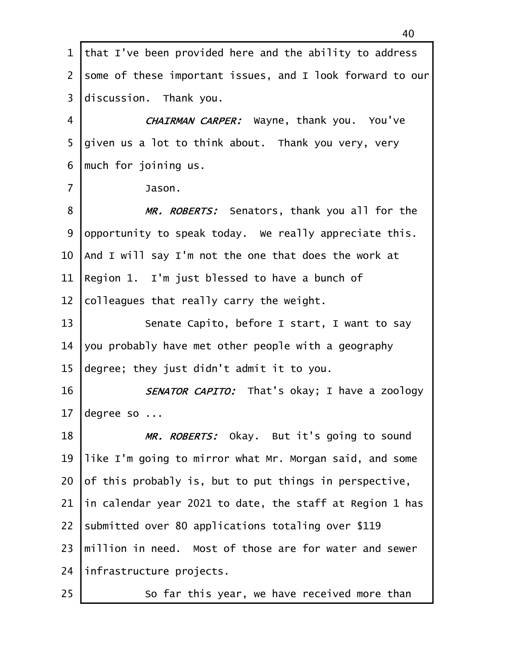| $\mathbf{1}$   | that I've been provided here and the ability to address   |
|----------------|-----------------------------------------------------------|
| $\mathbf{2}$   | some of these important issues, and I look forward to our |
| $\overline{3}$ | discussion. Thank you.                                    |
| 4              | <b>CHAIRMAN CARPER:</b> Wayne, thank you. You've          |
| 5              | given us a lot to think about. Thank you very, very       |
| 6              | much for joining us.                                      |
| $\overline{7}$ | Jason.                                                    |
| 8              | MR. ROBERTS: Senators, thank you all for the              |
| 9              | opportunity to speak today. We really appreciate this.    |
| 10             | And I will say I'm not the one that does the work at      |
| 11             | Region 1. I'm just blessed to have a bunch of             |
| 12             | colleagues that really carry the weight.                  |
| 13             | Senate Capito, before I start, I want to say              |
| 14             | you probably have met other people with a geography       |
| 15             | degree; they just didn't admit it to you.                 |
| 16             | SENATOR CAPITO: That's okay; I have a zoology             |
| 17             | degree so $\dots$                                         |
| 18             | MR. ROBERTS: Okay. But it's going to sound                |
| 19             | like I'm going to mirror what Mr. Morgan said, and some   |
| 20             | of this probably is, but to put things in perspective,    |
| 21             | in calendar year 2021 to date, the staff at Region 1 has  |
| 22             | submitted over 80 applications totaling over \$119        |
| 23             | million in need. Most of those are for water and sewer    |
| 24             | infrastructure projects.                                  |
| 25             | So far this year, we have received more than              |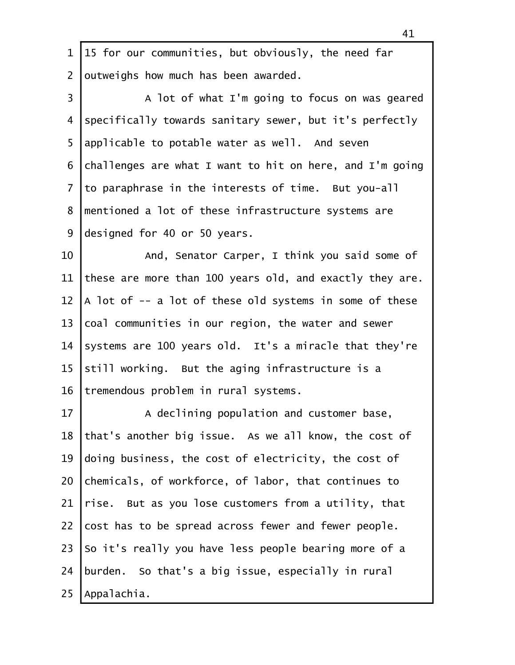15 for our communities, but obviously, the need far 1 2 |outweighs how much has been awarded. A lot of what I'm going to focus on was geared 3 4 |specifically towards sanitary sewer, but it's perfectly |

applicable to potable water as well. And seven 5 6 |challenges are what I want to hit on here, and I'm going | 7 |to paraphrase in the interests of time. But you-all | mentioned a lot of these infrastructure systems are 8 designed for 40 or 50 years. 9

And, Senator Carper, I think you said some of 10 11 |these are more than 100 years old, and exactly they are. | 12 |A lot of -- a lot of these old systems in some of these | coal communities in our region, the water and sewer 13 14 |systems are 100 years old. It's a miracle that they're | 15 |still working. But the aging infrastructure is a 16 |tremendous problem in rural systems.

A declining population and customer base, 17 18 |that's another big issue. As we all know, the cost of | 19 |doing business, the cost of electricity, the cost of | 20 |chemicals, of workforce, of labor, that continues to | 21 |rise. But as you lose customers from a utility, that | 22 |cost has to be spread across fewer and fewer people.  $\qquad \qquad \mid$ 23 |So it's really you have less people bearing more of a | burden. So that's a big issue, especially in rural 24 Appalachia. 25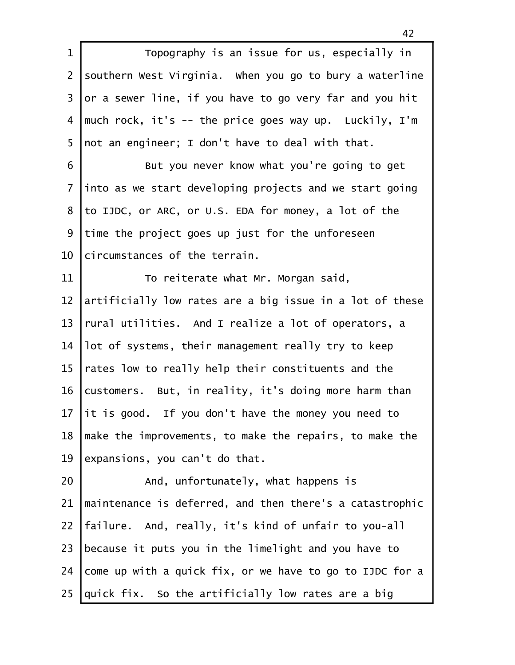1 | Topography is an issue for us, especially in 2 |southern West Virginia. When you go to bury a waterline | 3 |or a sewer line, if you have to go very far and you hit | much rock, it's -- the price goes way up. Luckily, I'm 4 not an engineer; I don't have to deal with that. 5 6 | But you never know what you're going to get | 7 |into as we start developing projects and we start going | 8 |to IJDC, or ARC, or U.S. EDA for money, a lot of the | time the project goes up just for the unforeseen 9 10 |circumstances of the terrain. To reiterate what Mr. Morgan said, 11 12 |artificially low rates are a big issue in a lot of these | 13 |rural utilities. And I realize a lot of operators, a | lot of systems, their management really try to keep 14 15 |rates low to really help their constituents and the | 16 |customers. But, in reality, it's doing more harm than | it is good. If you don't have the money you need to 17 18 |make the improvements, to make the repairs, to make the | 19 |expansions, you can't do that. And, unfortunately, what happens is 20 21 |maintenance is deferred, and then there's a catastrophic | 22 |failure. And, really, it's kind of unfair to you-all | because it puts you in the limelight and you have to 23 24 |come up with a quick fix, or we have to go to IJDC for a | quick fix. So the artificially low rates are a big 25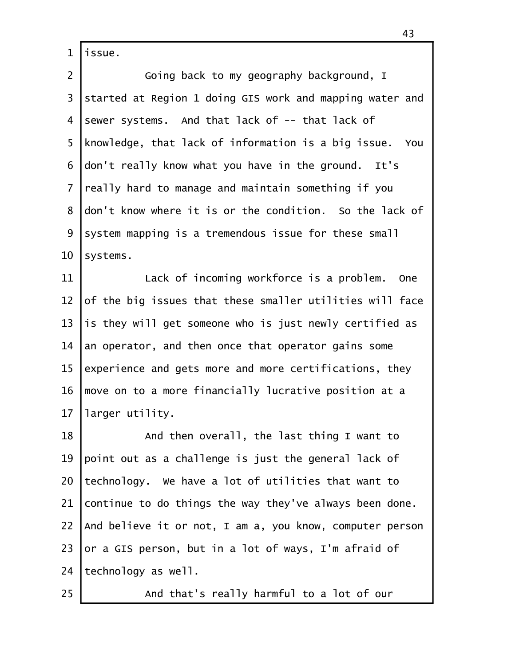1 | issue.

25

Going back to my geography background, I 2 3 |started at Region 1 doing GIS work and mapping water and | sewer systems. And that lack of -- that lack of 4 knowledge, that lack of information is a big issue. You 5 6 |don't really know what you have in the ground. It's | 7 |really hard to manage and maintain something if you | 8 |don't know where it is or the condition. So the lack of | 9 |system mapping is a tremendous issue for these small | 10 Systems.

Lack of incoming workforce is a problem. One 11 12 |of the big issues that these smaller utilities will face | is they will get someone who is just newly certified as 13 14 |an operator, and then once that operator gains some | 15 |experience and gets more and more certifications, they | 16 |move on to a more financially lucrative position at a | larger utility. 17

And then overall, the last thing I want to 18 point out as a challenge is just the general lack of 19 20 |technology. We have a lot of utilities that want to | 21 | continue to do things the way they've always been done. I 22 |And believe it or not, I am a, you know, computer person | 23 |or a GIS person, but in a lot of ways, I'm afraid of | 24 |technology as well.

And that's really harmful to a lot of our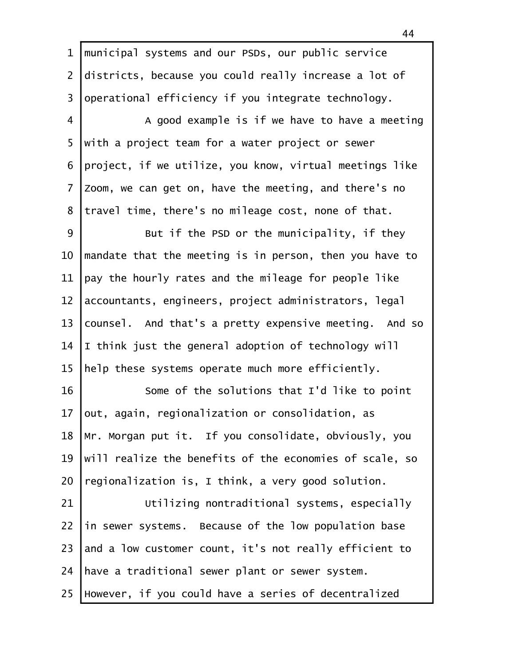municipal systems and our PSDs, our public service 1 2 |districts, because you could really increase a lot of | 3 |operational efficiency if you integrate technology. | A good example is if we have to have a meeting 4 with a project team for a water project or sewer 5 project, if we utilize, you know, virtual meetings like 6 7 |Zoom, we can get on, have the meeting, and there's no | 8 |travel time, there's no mileage cost, none of that. | 9 | But if the PSD or the municipality, if they | 10 |mandate that the meeting is in person, then you have to | pay the hourly rates and the mileage for people like 11 12 |accountants, engineers, project administrators, legal | counsel. And that's a pretty expensive meeting. And so 13 14 |I think just the general adoption of technology will | help these systems operate much more efficiently. 15 16 | Some of the solutions that I'd like to point | International Li 17 |out, again, regionalization or consolidation, as 18 |Mr. Morgan put it. If you consolidate, obviously, you | will realize the benefits of the economies of scale, so 19 20 |regionalization is, I think, a very good solution. | Utilizing nontraditional systems, especially 21 22 |in sewer systems. Because of the low population base | 23 |and a low customer count, it's not really efficient to | have a traditional sewer plant or sewer system. 24 However, if you could have a series of decentralized 25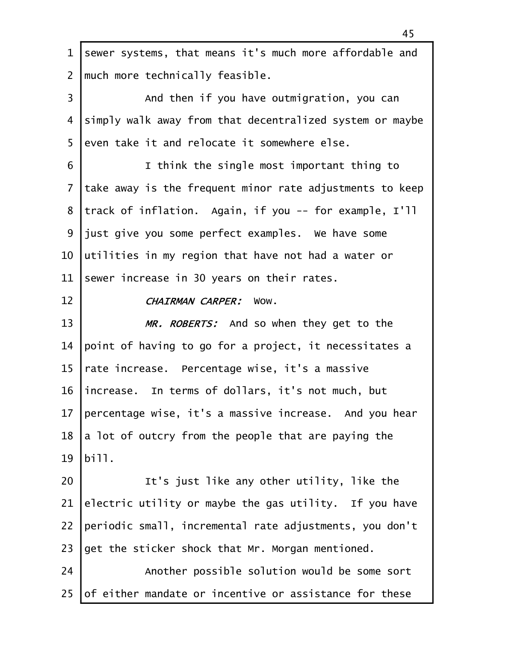| $\mathbf 1$    | sewer systems, that means it's much more affordable and  |
|----------------|----------------------------------------------------------|
| $\overline{2}$ | much more technically feasible.                          |
| 3              | And then if you have outmigration, you can               |
| $\overline{4}$ | simply walk away from that decentralized system or maybe |
| 5              | even take it and relocate it somewhere else.             |
| 6              | I think the single most important thing to               |
| $\overline{7}$ | take away is the frequent minor rate adjustments to keep |
| 8              | track of inflation. Again, if you -- for example, I'll   |
| 9              | just give you some perfect examples. We have some        |
| 10             | utilities in my region that have not had a water or      |
| 11             | sewer increase in 30 years on their rates.               |
| 12             | CHAIRMAN CARPER: WOW.                                    |
| 13             | MR. ROBERTS: And so when they get to the                 |
| 14             | point of having to go for a project, it necessitates a   |
| 15             | rate increase. Percentage wise, it's a massive           |
| 16             | increase. In terms of dollars, it's not much, but        |
| 17             | percentage wise, it's a massive increase. And you hear   |
| 18             | a lot of outcry from the people that are paying the      |
| 19             | bi11.                                                    |
| 20             | It's just like any other utility, like the               |
| 21             | electric utility or maybe the gas utility. If you have   |
| 22             | periodic small, incremental rate adjustments, you don't  |
| 23             | get the sticker shock that Mr. Morgan mentioned.         |
| 24             | Another possible solution would be some sort             |
| 25             | of either mandate or incentive or assistance for these   |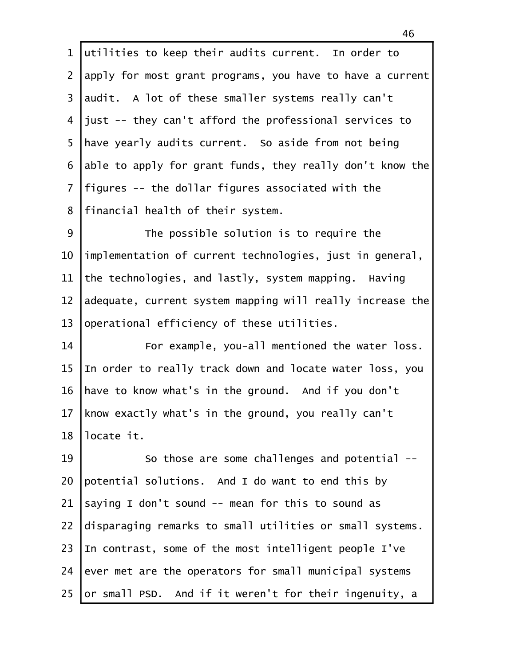1 |utilities to keep their audits current. In order to | 2 |apply for most grant programs, you have to have a current| 3 |audit. A lot of these smaller systems really can't | 4 |just -- they can't afford the professional services to | have yearly audits current. So aside from not being 5 6 |able to apply for grant funds, they really don't know the| figures -- the dollar figures associated with the 7 8 | financial health of their system.

The possible solution is to require the 9 10 |implementation of current technologies, just in general, | 11 |the technologies, and lastly, system mapping. Having | 12 |adequate, current system mapping will really increase the| 13 |operational efficiency of these utilities. |

For example, you-all mentioned the water loss. 14 In order to really track down and locate water loss, you 15 have to know what's in the ground. And if you don't 16 know exactly what's in the ground, you really can't 17 locate it. 18

So those are some challenges and potential -- 19 potential solutions. And I do want to end this by 20 21 |saying I don't sound -- mean for this to sound as 22 |disparaging remarks to small utilities or small systems. | 23 |In contrast, some of the most intelligent people I've | 24 |ever met are the operators for small municipal systems | or small PSD. And if it weren't for their ingenuity, a 25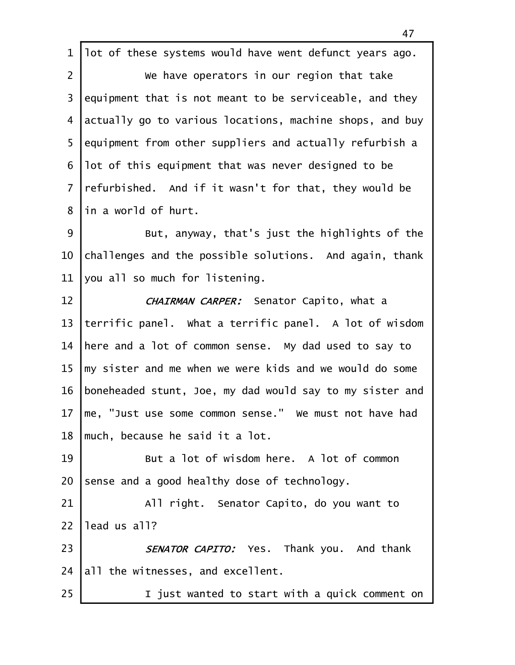1 |lot of these systems would have went defunct years ago. | 2 | We have operators in our region that take | I 3 |equipment that is not meant to be serviceable, and they | actually go to various locations, machine shops, and buy 4 5 |equipment from other suppliers and actually refurbish a | 6 |lot of this equipment that was never designed to be | 7 |refurbished. And if it wasn't for that, they would be | 8 |in a world of hurt. But, anyway, that's just the highlights of the 9 challenges and the possible solutions. And again, thank 10 you all so much for listening. 11 CHAIRMAN CARPER: Senator Capito, what a 12 13 |terrific panel. What a terrific panel. A lot of wisdom | here and a lot of common sense. My dad used to say to 14 my sister and me when we were kids and we would do some 15 boneheaded stunt, Joe, my dad would say to my sister and 16 17 |me, "Just use some common sense." We must not have had | much, because he said it a lot. 18 But a lot of wisdom here. A lot of common 19 20 |sense and a good healthy dose of technology. | All right. Senator Capito, do you want to 21 lead us all? 22 SENATOR CAPITO: Yes. Thank you. And thank 23 24 |all the witnesses, and excellent. I just wanted to start with a quick comment on 25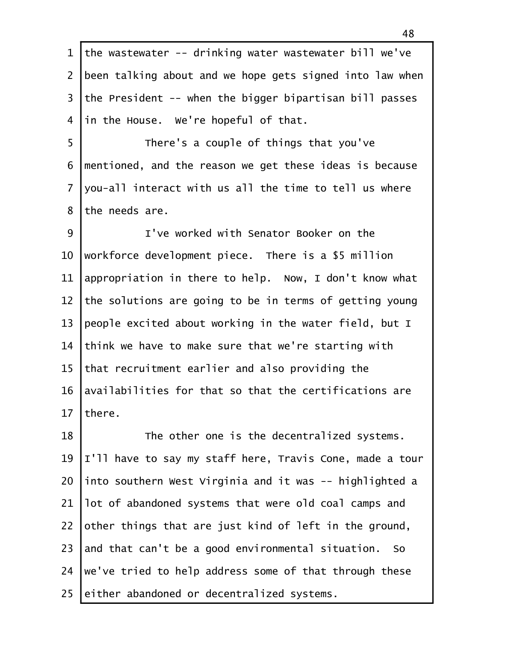1 |the wastewater -- drinking water wastewater bill we've | been talking about and we hope gets signed into law when 2 3 |the President -- when the bigger bipartisan bill passes | in the House. We're hopeful of that. 4

There's a couple of things that you've 5 mentioned, and the reason we get these ideas is because 6 you-all interact with us all the time to tell us where 7 8 the needs are.

I've worked with Senator Booker on the 9 workforce development piece. There is a \$5 million 10 11 |appropriation in there to help. Now, I don't know what | 12 |the solutions are going to be in terms of getting young | people excited about working in the water field, but I 13 14 |think we have to make sure that we're starting with | 15 |that recruitment earlier and also providing the availabilities for that so that the certifications are 16  $17$  there.

18 | The other one is the decentralized systems. I'll have to say my staff here, Travis Cone, made a tour 19 20 |into southern West Virginia and it was -- highlighted a | 21 |lot of abandoned systems that were old coal camps and | other things that are just kind of left in the ground, 22 23 |and that can't be a good environmental situation. So | 24 |we've tried to help address some of that through these | either abandoned or decentralized systems. 25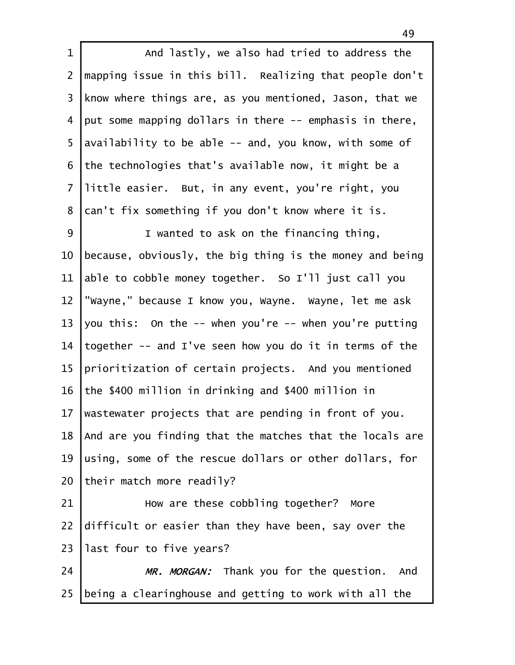1 | And lastly, we also had tried to address the mapping issue in this bill. Realizing that people don't 2 3 |know where things are, as you mentioned, Jason, that we | put some mapping dollars in there -- emphasis in there, 4 availability to be able -- and, you know, with some of 5 6 |the technologies that's available now, it might be a | little easier. But, in any event, you're right, you 7 can't fix something if you don't know where it is. 8 9 | I wanted to ask on the financing thing, | because, obviously, the big thing is the money and being 10 able to cobble money together. So I'll just call you 11 "Wayne," because I know you, Wayne. Wayne, let me ask 12 13 |you this: On the -- when you're -- when you're putting | together -- and I've seen how you do it in terms of the 14 15 |prioritization of certain projects. And you mentioned | the \$400 million in drinking and \$400 million in 16 17 |wastewater projects that are pending in front of you. | 18 |And are you finding that the matches that the locals are | 19 |using, some of the rescue dollars or other dollars, for | 20 |their match more readily? How are these cobbling together? More 21 22 |difficult or easier than they have been, say over the | last four to five years? 23 MR. MORGAN: Thank you for the question. And 24 being a clearinghouse and getting to work with all the 25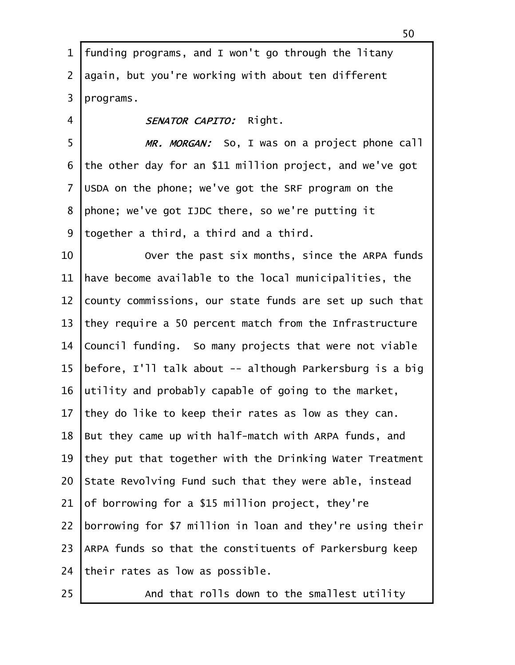1 | funding programs, and I won't go through the litany | 2 |again, but you're working with about ten different | 3 programs. SENATOR CAPITO: Right. 4 MR. MORGAN: So, I was on a project phone call 5 6 |the other day for an \$11 million project, and we've got | USDA on the phone; we've got the SRF program on the 7 phone; we've got IJDC there, so we're putting it 8 together a third, a third and a third. 9 10 | Over the past six months, since the ARPA funds | have become available to the local municipalities, the 11 12 |county commissions, our state funds are set up such that | 13 |they require a 50 percent match from the Infrastructure | Council funding. So many projects that were not viable 14 before, I'll talk about -- although Parkersburg is a big 15 utility and probably capable of going to the market, 16 17 |they do like to keep their rates as low as they can. | 18 |But they came up with half-match with ARPA funds, and | 19 |they put that together with the Drinking Water Treatment | 20 |State Revolving Fund such that they were able, instead | 21 |of borrowing for a \$15 million project, they're | borrowing for \$7 million in loan and they're using their 22 23 |ARPA funds so that the constituents of Parkersburg keep | 24 |their rates as low as possible.

25

And that rolls down to the smallest utility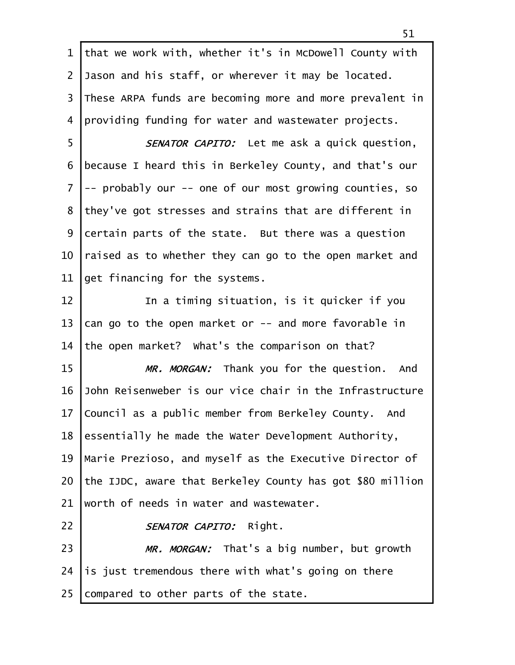1 |that we work with, whether it's in McDowell County with | Jason and his staff, or wherever it may be located. 2 These ARPA funds are becoming more and more prevalent in 3 providing funding for water and wastewater projects. 4 SENATOR CAPITO: Let me ask a quick question, 5 because I heard this in Berkeley County, and that's our 6 7 |-- probably our -- one of our most growing counties, so | 8 |they've got stresses and strains that are different in | 9 |certain parts of the state. But there was a question | 10 |raised as to whether they can go to the open market and | get financing for the systems. 11 In a timing situation, is it quicker if you 12 13 |can go to the open market or -- and more favorable in | the open market? What's the comparison on that? 14 MR. MORGAN: Thank you for the question. And 15 John Reisenweber is our vice chair in the Infrastructure 16 Council as a public member from Berkeley County. And 17 18 |essentially he made the Water Development Authority, | Marie Prezioso, and myself as the Executive Director of 19 20 |the IJDC, aware that Berkeley County has got \$80 million | 21 |worth of needs in water and wastewater. SENATOR CAPITO: Right. 22 MR. MORGAN: That's a big number, but growth 23 24 |is just tremendous there with what's going on there | compared to other parts of the state. 25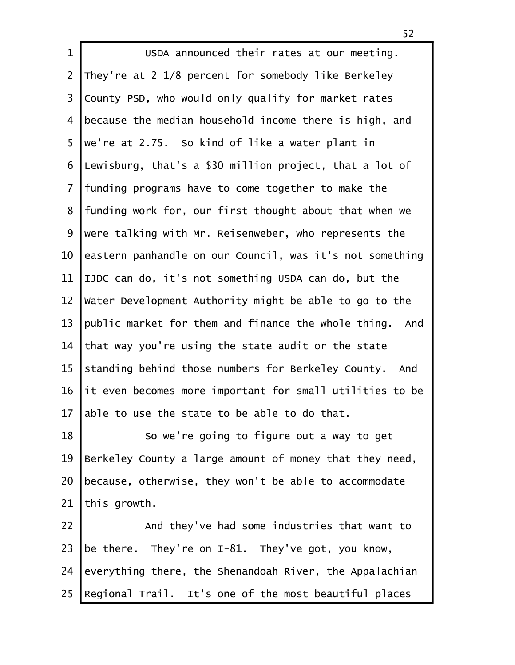1 | USDA announced their rates at our meeting. 2 |They're at 2 1/8 percent for somebody like Berkeley | 3 County PSD, who would only qualify for market rates [11] [11] [11] [11] [11] [1 because the median household income there is high, and 4 we're at 2.75. So kind of like a water plant in 5 Lewisburg, that's a \$30 million project, that a lot of 6 funding programs have to come together to make the 7 8 |funding work for, our first thought about that when we | 9 |were talking with Mr. Reisenweber, who represents the | 10 |eastern panhandle on our Council, was it's not something | IJDC can do, it's not something USDA can do, but the 11 12 |Water Development Authority might be able to go to the | 13 |public market for them and finance the whole thing. And | 14 |that way you're using the state audit or the state | 15 |standing behind those numbers for Berkeley County. And | 16 |it even becomes more important for small utilities to be | 17 |able to use the state to be able to do that. | So we're going to figure out a way to get 18 19 |Berkeley County a large amount of money that they need, I because, otherwise, they won't be able to accommodate 20 21 this growth.

And they've had some industries that want to 22 be there. They're on I-81. They've got, you know, 23 24 |everything there, the Shenandoah River, the Appalachian | Regional Trail. It's one of the most beautiful places 25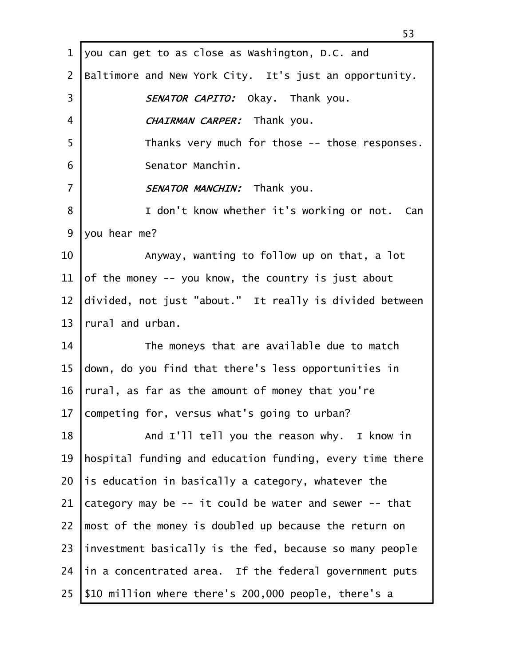| 1               | you can get to as close as Washington, D.C. and          |
|-----------------|----------------------------------------------------------|
| $\overline{2}$  | Baltimore and New York City. It's just an opportunity.   |
| $\overline{3}$  | <b>SENATOR CAPITO:</b> Okay. Thank you.                  |
| 4               | CHAIRMAN CARPER: Thank you.                              |
| 5               | Thanks very much for those -- those responses.           |
| 6               | Senator Manchin.                                         |
| $\overline{7}$  | <b>SENATOR MANCHIN:</b> Thank you.                       |
| 8               | I don't know whether it's working or not. Can            |
| 9               | you hear me?                                             |
| 10              | Anyway, wanting to follow up on that, a lot              |
| 11              | of the money -- you know, the country is just about      |
| 12              | divided, not just "about." It really is divided between  |
| 13              | rural and urban.                                         |
| 14              | The moneys that are available due to match               |
| 15              | down, do you find that there's less opportunities in     |
| 16              | rural, as far as the amount of money that you're         |
| 17 <sub>2</sub> | competing for, versus what's going to urban?             |
| 18              | And I'll tell you the reason why. I know in              |
| 19              | hospital funding and education funding, every time there |
| 20              | is education in basically a category, whatever the       |
| 21              | category may be $-$ it could be water and sewer $-$ that |
| 22              | most of the money is doubled up because the return on    |
| 23              | investment basically is the fed, because so many people  |
| 24              | in a concentrated area. If the federal government puts   |
| 25              | \$10 million where there's 200,000 people, there's a     |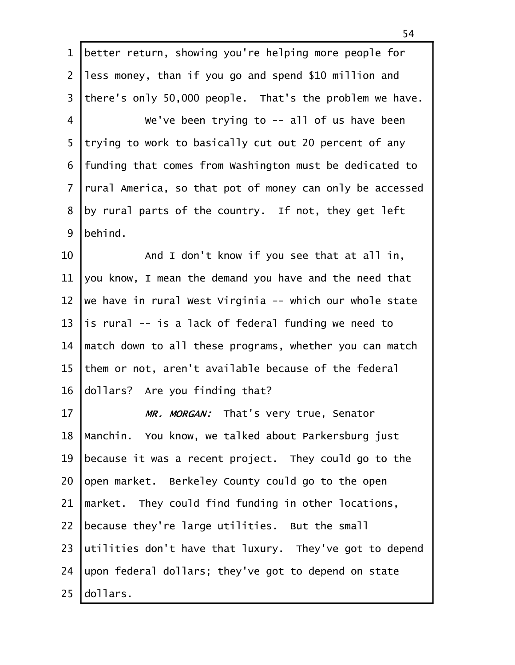| $\mathbf{1}$    | better return, showing you're helping more people for    |
|-----------------|----------------------------------------------------------|
| $\overline{2}$  | less money, than if you go and spend \$10 million and    |
| $\overline{3}$  | there's only 50,000 people. That's the problem we have.  |
| 4               | We've been trying to $-$ all of us have been             |
| 5               | trying to work to basically cut out 20 percent of any    |
| 6               | funding that comes from Washington must be dedicated to  |
| $\overline{7}$  | rural America, so that pot of money can only be accessed |
| 8               | by rural parts of the country. If not, they get left     |
| 9               | behind.                                                  |
| 10 <sup>°</sup> | And I don't know if you see that at all in,              |
| 11              | you know, I mean the demand you have and the need that   |
| 12              | we have in rural west Virginia -- which our whole state  |
| 13              | is rural -- is a lack of federal funding we need to      |
| 14              | match down to all these programs, whether you can match  |
| 15              | them or not, aren't available because of the federal     |
| 16              | dollars? Are you finding that?                           |
| 17              | MR. MORGAN: That's very true, Senator                    |
| 18              | Manchin. You know, we talked about Parkersburg just      |
| 19              | because it was a recent project. They could go to the    |
| 20              | open market. Berkeley County could go to the open        |
| 21              | market. They could find funding in other locations,      |
| 22              | because they're large utilities. But the small           |
| 23              | utilities don't have that luxury. They've got to depend  |
| 24              | upon federal dollars; they've got to depend on state     |
| 25              | dollars.                                                 |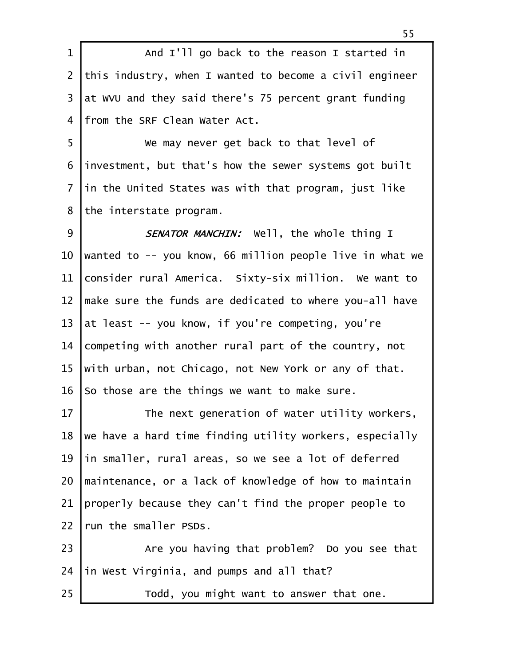And I'll go back to the reason I started in 1 2 |this industry, when I wanted to become a civil engineer | 3 |at WVU and they said there's 75 percent grant funding | 4 | from the SRF Clean Water Act.

We may never get back to that level of 5 6 |investment, but that's how the sewer systems got built | 7 |in the United States was with that program, just like | 8 the interstate program.

SENATOR MANCHIN: Well, the whole thing I 9 10 |wanted to -- you know, 66 million people live in what we | consider rural America. Sixty-six million. We want to 11 make sure the funds are dedicated to where you-all have 12 at least -- you know, if you're competing, you're 13 14 |competing with another rural part of the country, not | 15 |with urban, not Chicago, not New York or any of that. | 16 So those are the things we want to make sure. The same of the sure  $\vert$ 

17 | The next generation of water utility workers, | 18 |we have a hard time finding utility workers, especially | in smaller, rural areas, so we see a lot of deferred 19 20 |maintenance, or a lack of knowledge of how to maintain | 21 |properly because they can't find the proper people to | 22 |run the smaller PSDs.

Are you having that problem? Do you see that 23 in West Virginia, and pumps and all that? 24

25

Todd, you might want to answer that one.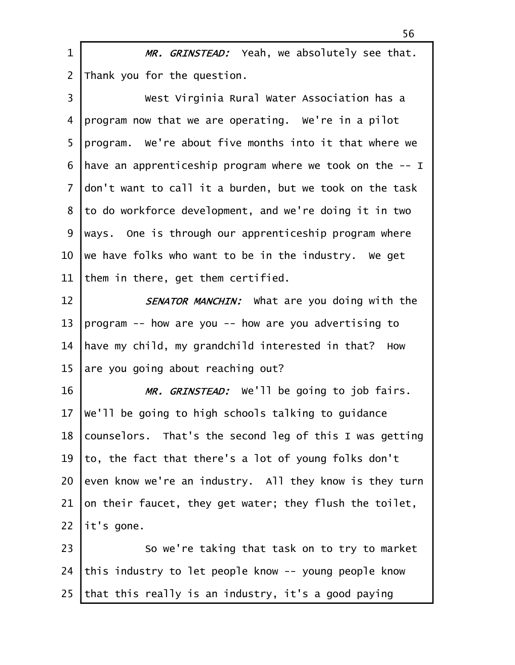1 | MR*. GRINSTEAD:* Yeah, we absolutely see that. | 2 Thank you for the question.

West Virginia Rural Water Association has a 3 program now that we are operating. We're in a pilot 4 5 |program. We're about five months into it that where we | have an apprenticeship program where we took on the -- I 6 7 |don't want to call it a burden, but we took on the task | 8 |to do workforce development, and we're doing it in two | 9 |ways. One is through our apprenticeship program where | 10 |we have folks who want to be in the industry. We get | them in there, get them certified. 11

SENATOR MANCHIN: What are you doing with the 12 program -- how are you -- how are you advertising to 13 have my child, my grandchild interested in that? How 14 are you going about reaching out? 15

MR. GRINSTEAD: We'll be going to job fairs. 16 17 |We'll be going to high schools talking to guidance | 18 |counselors. That's the second leg of this I was getting | 19 |to, the fact that there's a lot of young folks don't | 20 |even know we're an industry. All they know is they turn | 21 |on their faucet, they get water; they flush the toilet, | 22 |it's gone.

So we're taking that task on to try to market 23 24 |this industry to let people know -- young people know | that this really is an industry, it's a good paying 25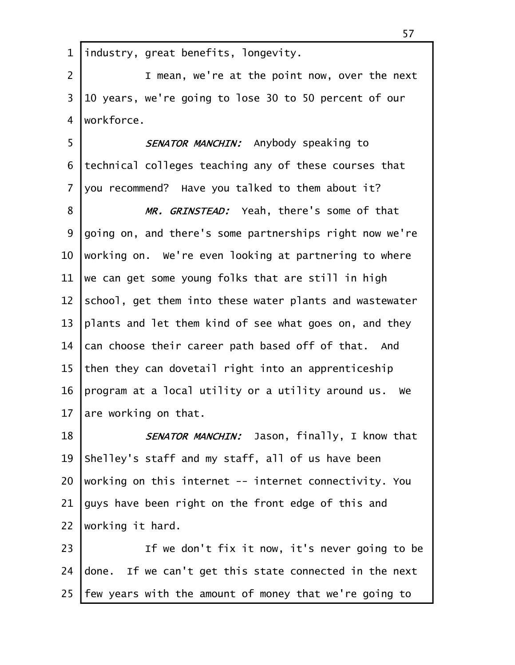industry, great benefits, longevity. 1 2 | I mean, we're at the point now, over the next | 10 years, we're going to lose 30 to 50 percent of our 3 workforce. 4 SENATOR MANCHIN: Anybody speaking to 5 6 |technical colleges teaching any of these courses that | you recommend? Have you talked to them about it? 7 MR. GRINSTEAD: Yeah, there's some of that 8 9 |going on, and there's some partnerships right now we're | 10 |working on. We're even looking at partnering to where | 11 |we can get some young folks that are still in high | 12 |school, get them into these water plants and wastewater | plants and let them kind of see what goes on, and they 13 14 |can choose their career path based off of that. And | 15 |then they can dovetail right into an apprenticeship | 16 |program at a local utility or a utility around us. We | 17 are working on that.

SENATOR MANCHIN: Jason, finally, I know that 18 19 |Shelley's staff and my staff, all of us have been | 20 |working on this internet -- internet connectivity. You | 21 |guys have been right on the front edge of this and working it hard. 22

23 | If we don't fix it now, it's never going to be | 24 |done. If we can't get this state connected in the next | few years with the amount of money that we're going to 25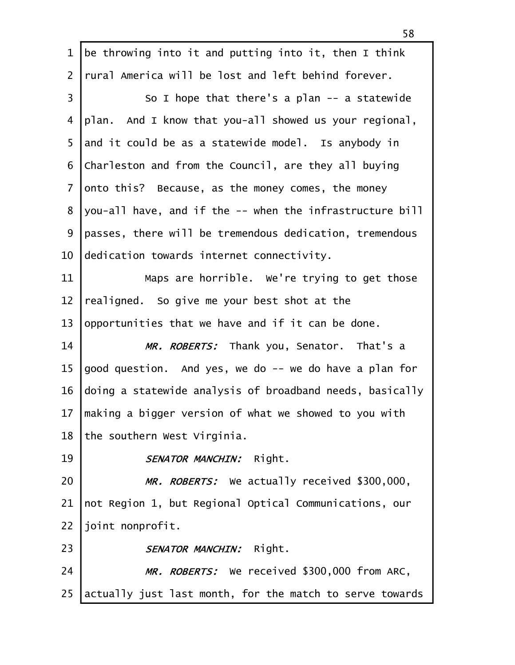be throwing into it and putting into it, then I think 1 2 |rural America will be lost and left behind forever. | 3 | So I hope that there's a plan -- a statewide | plan. And I know that you-all showed us your regional, 4 and it could be as a statewide model. Is anybody in 5 6 Charleston and from the Council, are they all buying the character of  $\sim$ 7 |onto this? Because, as the money comes, the money | you-all have, and if the -- when the infrastructure bill 8 passes, there will be tremendous dedication, tremendous 9 10 |dedication towards internet connectivity. | Maps are horrible. We're trying to get those 11 12 |realigned. So give me your best shot at the 13 |opportunities that we have and if it can be done. | MR. ROBERTS: Thank you, Senator. That's a 14 15 |good question. And yes, we do -- we do have a plan for | 16 |doing a statewide analysis of broadband needs, basically | 17 |making a bigger version of what we showed to you with | 18 |the southern West Virginia. 19 | *SENATOR MANCHIN:* Right. MR. ROBERTS: We actually received \$300,000, 20 21 |not Region 1, but Regional Optical Communications, our | 22 |joint nonprofit. SENATOR MANCHIN: Right. 23 MR. ROBERTS: We received \$300,000 from ARC, 24 actually just last month, for the match to serve towards 25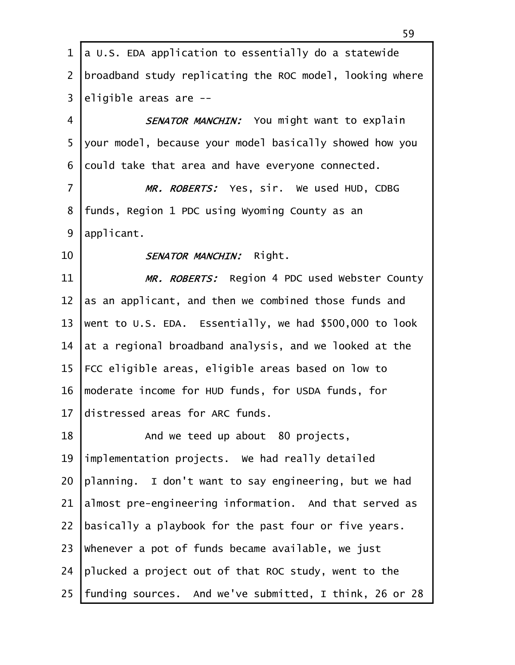1 |a U.S. EDA application to essentially do a statewide | broadband study replicating the ROC model, looking where 2 3 |eligible areas are --SENATOR MANCHIN: You might want to explain 4 your model, because your model basically showed how you 5 6 | could take that area and have everyone connected. | MR. ROBERTS: Yes, sir. We used HUD, CDBG 7 8 | funds, Region 1 PDC using Wyoming County as an | 9 | applicant. 10 | *SENATOR MANCHIN:* Right. MR. ROBERTS: Region 4 PDC used Webster County 11 12 |as an applicant, and then we combined those funds and | went to U.S. EDA. Essentially, we had \$500,000 to look 13 14 |at a regional broadband analysis, and we looked at the | FCC eligible areas, eligible areas based on low to 15 moderate income for HUD funds, for USDA funds, for 16 distressed areas for ARC funds. 17 And we teed up about 80 projects, 18 19 |implementation projects. We had really detailed 20 |planning. I don't want to say engineering, but we had | 21 |almost pre-engineering information. And that served as | basically a playbook for the past four or five years. 22 Whenever a pot of funds became available, we just 23 plucked a project out of that ROC study, went to the 24 funding sources. And we've submitted, I think, 26 or 28 25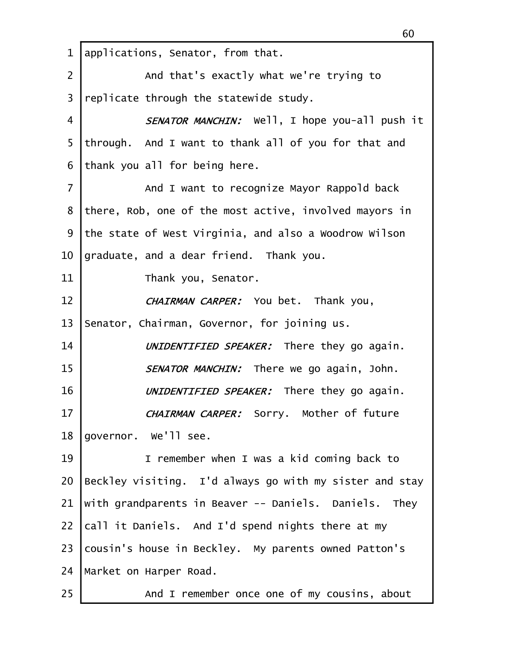| $\mathbf{1}$   | applications, Senator, from that.                       |
|----------------|---------------------------------------------------------|
| $\overline{2}$ | And that's exactly what we're trying to                 |
| $\overline{3}$ | replicate through the statewide study.                  |
| 4              | SENATOR MANCHIN: Well, I hope you-all push it           |
| 5              | through. And I want to thank all of you for that and    |
| 6              | thank you all for being here.                           |
| $\overline{7}$ | And I want to recognize Mayor Rappold back              |
| 8              | there, Rob, one of the most active, involved mayors in  |
| 9              | the state of West Virginia, and also a Woodrow Wilson   |
| 10             | graduate, and a dear friend. Thank you.                 |
| 11             | Thank you, Senator.                                     |
| 12             | CHAIRMAN CARPER: You bet. Thank you,                    |
| 13             | Senator, Chairman, Governor, for joining us.            |
| 14             | UNIDENTIFIED SPEAKER: There they go again.              |
| 15             | <b>SENATOR MANCHIN:</b> There we go again, John.        |
| 16             | <i>UNIDENTIFIED SPEAKER:</i> There they go again.       |
| 17             | <b>CHAIRMAN CARPER:</b> Sorry. Mother of future         |
| 18             | governor. We'll see.                                    |
| 19             | I remember when I was a kid coming back to              |
| 20             | Beckley visiting. I'd always go with my sister and stay |
| 21             | with grandparents in Beaver -- Daniels. Daniels. They   |
| 22             | call it Daniels. And I'd spend nights there at my       |
| 23             | cousin's house in Beckley. My parents owned Patton's    |
| 24             | Market on Harper Road.                                  |
| 25             | And I remember once one of my cousins, about            |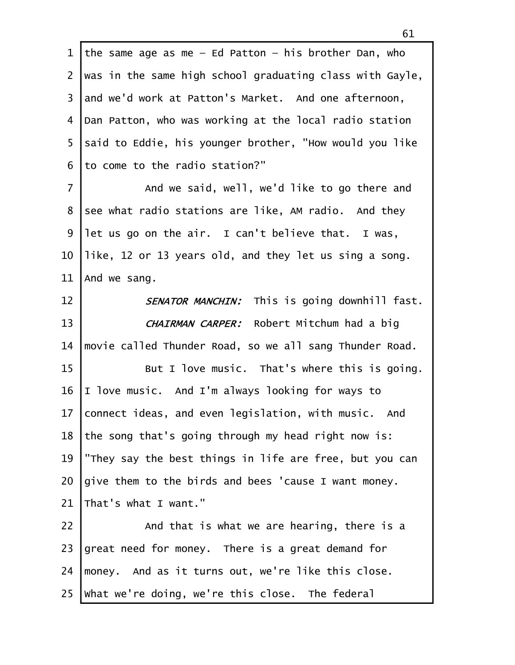$1$  |the same age as me – Ed Patton – his brother Dan, who  $\hskip10mm$  | was in the same high school graduating class with Gayle, 2 3 |and we'd work at Patton's Market. And one afternoon, | Dan Patton, who was working at the local radio station 4 5 |said to Eddie, his younger brother, "How would you like |  $6$  |to come to the radio station?"  $\,$ And we said, well, we'd like to go there and 7 8 |see what radio stations are like, AM radio. And they | 9 |let us go on the air. I can't believe that. I was, | 10 |like, 12 or 13 years old, and they let us sing a song. | And we sang. 11 SENATOR MANCHIN: This is going downhill fast. 12 CHAIRMAN CARPER: Robert Mitchum had a big 13 movie called Thunder Road, so we all sang Thunder Road. 14 But I love music. That's where this is going. 15 16 |I love music. And I'm always looking for ways to 17 |connect ideas, and even legislation, with music. And | 18 |the song that's going through my head right now is: | "They say the best things in life are free, but you can 19 20 |give them to the birds and bees 'cause I want money. | 21 |That's what I want." And that is what we are hearing, there is a 22 23 |great need for money. There is a great demand for | money. And as it turns out, we're like this close. 24 What we're doing, we're this close. The federal 25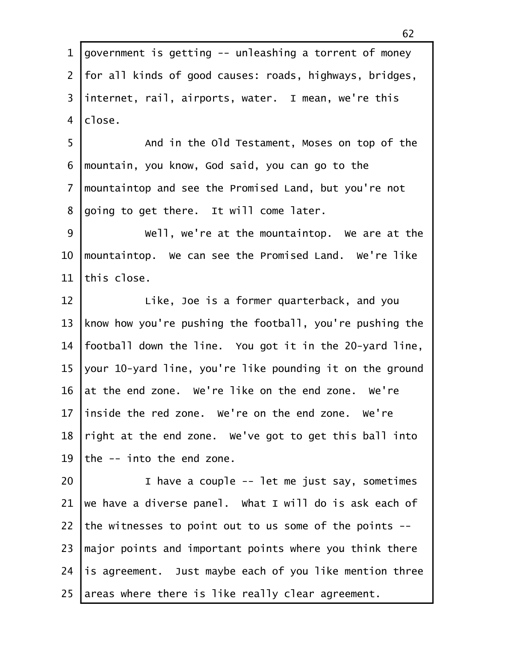government is getting -- unleashing a torrent of money 1 2 |for all kinds of good causes: roads, highways, bridges, | 3 |internet, rail, airports, water. I mean, we're this | close. 4

And in the Old Testament, Moses on top of the 5 mountain, you know, God said, you can go to the 6 mountaintop and see the Promised Land, but you're not 7 going to get there. It will come later. 8

Well, we're at the mountaintop. We are at the 9 mountaintop. We can see the Promised Land. We're like 10 11 | this close.

Like, Joe is a former quarterback, and you 12 13 |know how you're pushing the football, you're pushing the | football down the line. You got it in the 20-yard line, 14 your 10-yard line, you're like pounding it on the ground 15 16 |at the end zone. We're like on the end zone. We're | 17 |inside the red zone. We're on the end zone. We're | 18 |right at the end zone. We've got to get this ball into | 19 the -- into the end zone.

20 | I have a couple -- let me just say, sometimes | 21 |we have a diverse panel. What I will do is ask each of | 22 |the witnesses to point out to us some of the points -- | 23 |major points and important points where you think there | 24 |is agreement. Just maybe each of you like mention three | areas where there is like really clear agreement. 25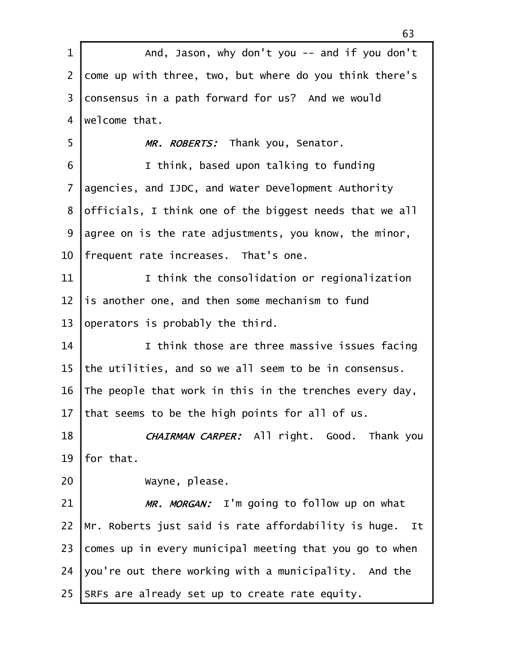And, Jason, why don't you -- and if you don't 1 2 | come up with three, two, but where do you think there's | consensus in a path forward for us? And we would 3 welcome that. 4 5 | MR*. ROBERTS:* Thank you, Senator. I think, based upon talking to funding 6 agencies, and IJDC, and Water Development Authority 7 8 |officials, I think one of the biggest needs that we all | 9 |agree on is the rate adjustments, you know, the minor, | frequent rate increases. That's one. 10 11 | I think the consolidation or regionalization | is another one, and then some mechanism to fund 12 13 | operators is probably the third. I think those are three massive issues facing 14 15 |the utilities, and so we all seem to be in consensus. | The people that work in this in the trenches every day, 16 17 |that seems to be the high points for all of us. | CHAIRMAN CARPER: All right. Good. Thank you 18  $19$  | for that. Wayne, please. 20 MR. MORGAN: I'm going to follow up on what 21 22 |Mr. Roberts just said is rate affordability is huge. It | 23 |comes up in every municipal meeting that you go to when | 24 |you're out there working with a municipality. And the | SRFs are already set up to create rate equity. 25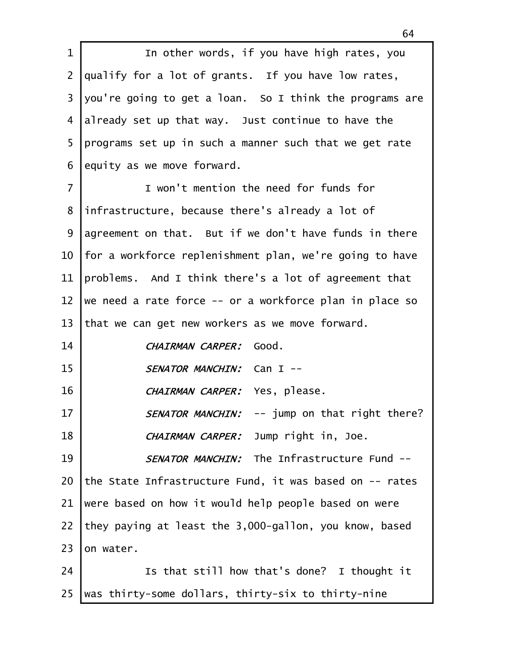1 | In other words, if you have high rates, you 2 |qualify for a lot of grants. If you have low rates,  $\qquad \qquad$  | 3 |you're going to get a loan. So I think the programs are | already set up that way. Just continue to have the 4 5 |programs set up in such a manner such that we get rate | 6 equity as we move forward. I won't mention the need for funds for 7 infrastructure, because there's already a lot of 8 9 |agreement on that. But if we don't have funds in there | 10 |for a workforce replenishment plan, we're going to have | problems. And I think there's a lot of agreement that 11 12 |we need a rate force -- or a workforce plan in place so | 13 |that we can get new workers as we move forward. CHAIRMAN CARPER: Good. 14 SENATOR MANCHIN: Can I -- 15 CHAIRMAN CARPER: Yes, please. 16 SENATOR MANCHIN: -- jump on that right there? 17 CHAIRMAN CARPER: Jump right in, Joe. 18 SENATOR MANCHIN: The Infrastructure Fund -- 19 20 |the State Infrastructure Fund, it was based on -- rates | 21 |were based on how it would help people based on were | 22 |they paying at least the 3,000-gallon, you know, based | 23 on water. 24 | Is that still how that's done? I thought it | was thirty-some dollars, thirty-six to thirty-nine 25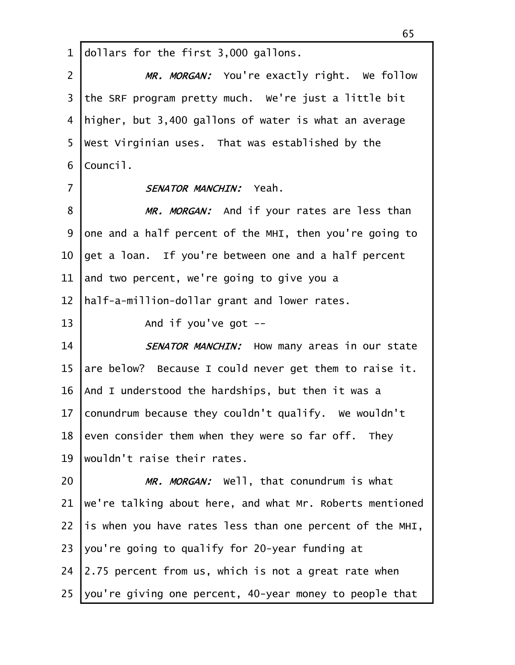dollars for the first 3,000 gallons. 1

MR. MORGAN: You're exactly right. We follow 2 3 |the SRF program pretty much. We're just a little bit | higher, but 3,400 gallons of water is what an average 4 West Virginian uses. That was established by the 5 6 | Council.

## 7 | *SENATOR MANCHIN:* Yeah. |

MR. MORGAN: And if your rates are less than 8 9 |one and a half percent of the MHI, then you're going to | get a loan. If you're between one and a half percent 10 11 |and two percent, we're going to give you a when the land two percent, we're going to give you a half-a-million-dollar grant and lower rates. 12

13 and if you've got --

SENATOR MANCHIN: How many areas in our state 14 15 |are below? Because I could never get them to raise it. | 16 |And I understood the hardships, but then it was a conundrum because they couldn't qualify. We wouldn't 17 18 |even consider them when they were so far off. They | wouldn't raise their rates. 19

MR. MORGAN: Well, that conundrum is what 20 21 |we're talking about here, and what Mr. Roberts mentioned | 22 |is when you have rates less than one percent of the MHI, | you're going to qualify for 20-year funding at 23 24 |2.75 percent from us, which is not a great rate when | you're giving one percent, 40-year money to people that 25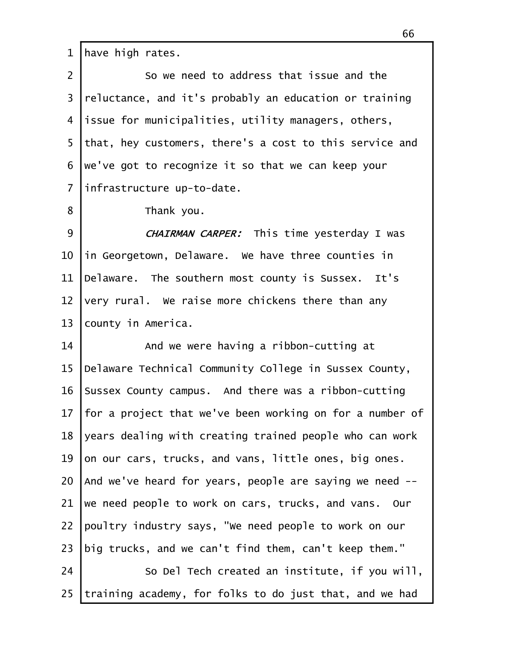1 | have high rates.

2 So we need to address that issue and the the state of the state is supported to address that issue and the state  $\vert$ 3 |reluctance, and it's probably an education or training | 4 |issue for municipalities, utility managers, others, | 5 |that, hey customers, there's a cost to this service and | we've got to recognize it so that we can keep your 6 7 |infrastructure up-to-date.

Thank you. 8

CHAIRMAN CARPER: This time yesterday I was 9 in Georgetown, Delaware. We have three counties in 10 Delaware. The southern most county is Sussex. It's 11 very rural. We raise more chickens there than any 12 county in America. 13

And we were having a ribbon-cutting at 14 Delaware Technical Community College in Sussex County, 15 16 |Sussex County campus. And there was a ribbon-cutting | 17 |for a project that we've been working on for a number of | years dealing with creating trained people who can work 18 19 |on our cars, trucks, and vans, little ones, big ones. | 20 |And we've heard for years, people are saying we need -- | 21 |we need people to work on cars, trucks, and vans. Our | 22 |poultry industry says, "We need people to work on our | big trucks, and we can't find them, can't keep them." 23 So Del Tech created an institute, if you will, 24

training academy, for folks to do just that, and we had 25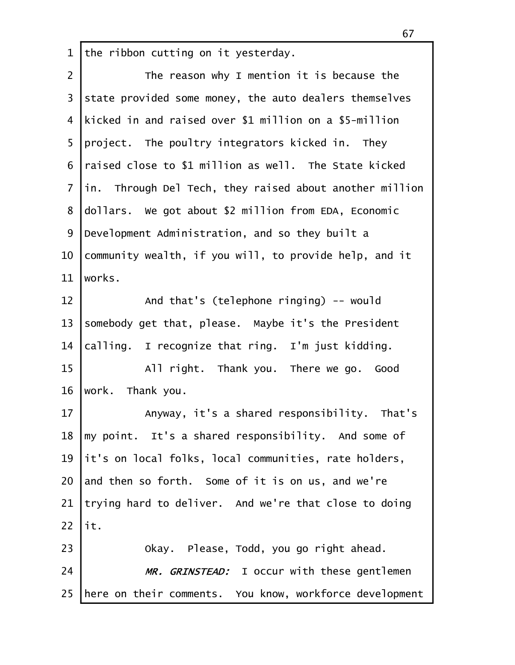1 | the ribbon cutting on it yesterday.

| $\overline{2}$  | The reason why I mention it is because the               |
|-----------------|----------------------------------------------------------|
| 3               | state provided some money, the auto dealers themselves   |
| 4               | kicked in and raised over \$1 million on a \$5-million   |
| 5               | project. The poultry integrators kicked in. They         |
| 6               | raised close to \$1 million as well. The State kicked    |
| $\overline{7}$  | in. Through Del Tech, they raised about another million  |
| 8               | dollars. We got about \$2 million from EDA, Economic     |
| 9               | Development Administration, and so they built a          |
| 10 <sup>°</sup> | community wealth, if you will, to provide help, and it   |
| 11              | works.                                                   |
| 12              | And that's (telephone ringing) -- would                  |
| 13              | somebody get that, please. Maybe it's the President      |
| 14              | calling. I recognize that ring. I'm just kidding.        |
| 15              | All right. Thank you. There we go. Good                  |
| 16              | work.<br>Thank you.                                      |
| 17              | Anyway, it's a shared responsibility. That's             |
|                 | 18   my point. It's a shared responsibility. And some of |
| 19              | it's on local folks, local communities, rate holders,    |
| 20              | and then so forth. Some of it is on us, and we're        |
| 21              | trying hard to deliver. And we're that close to doing    |
| 22              | it.                                                      |
| 23              | Okay. Please, Todd, you go right ahead.                  |
| 24              | MR. GRINSTEAD: I occur with these gentlemen              |
| 25              | here on their comments. You know, workforce development  |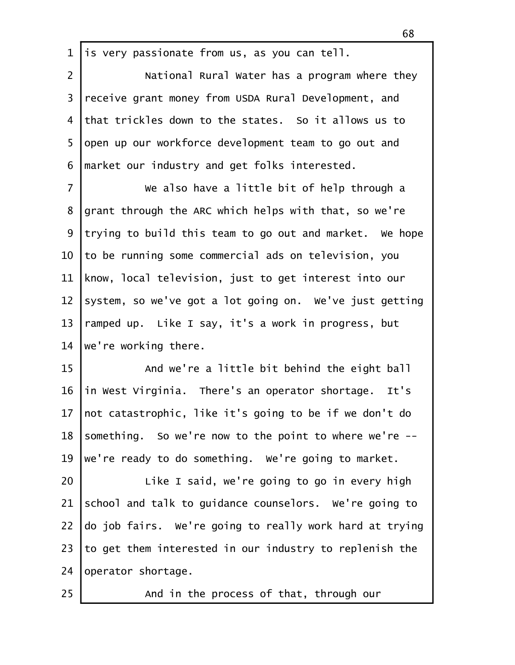1 |is very passionate from us, as you can tell. |

National Rural Water has a program where they 2 3 |receive grant money from USDA Rural Development, and | 4 |that trickles down to the states. So it allows us to | 5 |open up our workforce development team to go out and land to a land to point and market our industry and get folks interested. 6

We also have a little bit of help through a 7 grant through the ARC which helps with that, so we're 8 9 |trying to build this team to go out and market. We hope | 10 |to be running some commercial ads on television, you | know, local television, just to get interest into our 11 12 |system, so we've got a lot going on. We've just getting | ramped up. Like I say, it's a work in progress, but 13 we're working there. 14

And we're a little bit behind the eight ball 15 in West Virginia. There's an operator shortage. It's 16 17 |not catastrophic, like it's going to be if we don't do | 18 |something. So we're now to the point to where we're -- | 19 |we're ready to do something. We're going to market. |

20 | Like I said, we're going to go in every high | 21 |school and talk to guidance counselors. We're going to | 22 |do job fairs. We're going to really work hard at trying | 23 |to get them interested in our industry to replenish the | 24 | operator shortage.

25

And in the process of that, through our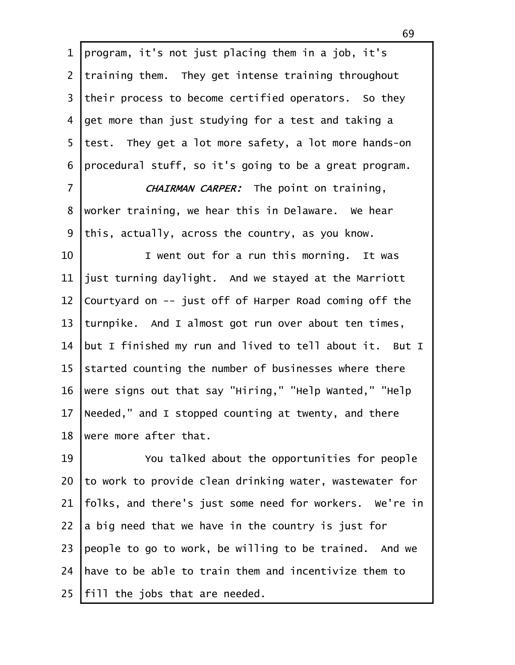program, it's not just placing them in a job, it's 1 2 |training them. They get intense training throughout | 3 |their process to become certified operators. So they I get more than just studying for a test and taking a 4 5 |test. They get a lot more safety, a lot more hands-on | procedural stuff, so it's going to be a great program. 6

CHAIRMAN CARPER: The point on training, 7 worker training, we hear this in Delaware. We hear 8 9 |this, actually, across the country, as you know. |

10 | I went out for a run this morning. It was 11 |just turning daylight. And we stayed at the Marriott | Courtyard on -- just off of Harper Road coming off the 12 13 |turnpike. And I almost got run over about ten times, | but I finished my run and lived to tell about it. But I 14 15 |started counting the number of businesses where there | were signs out that say "Hiring," "Help Wanted," "Help 16 17 |Needed," and I stopped counting at twenty, and there  $\qquad \qquad \mid$ were more after that. 18

You talked about the opportunities for people 19 20 |to work to provide clean drinking water, wastewater for | 21 |folks, and there's just some need for workers. We're in | 22 |a big need that we have in the country is just for | 23 |people to go to work, be willing to be trained. And we | have to be able to train them and incentivize them to 24 fill the jobs that are needed. 25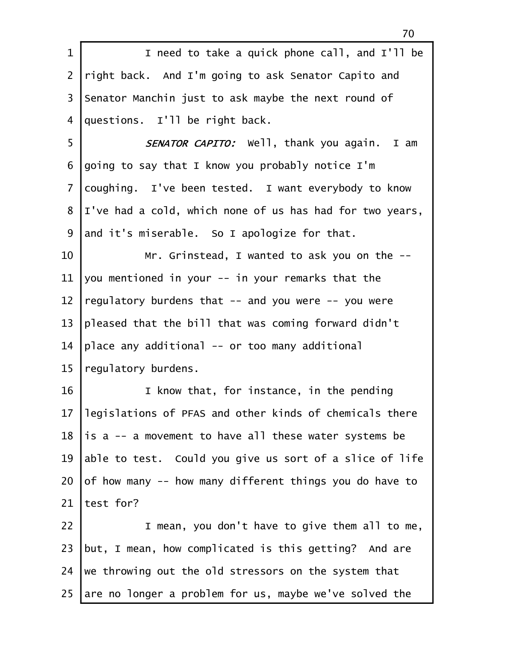1 | I need to take a quick phone call, and I'll be | 2 |right back. And I'm going to ask Senator Capito and | 3 Senator Manchin just to ask maybe the next round of **Fig. 1.1. I** questions. I'll be right back. 4 SENATOR CAPITO: Well, thank you again. I am 5 going to say that I know you probably notice I'm 6 coughing. I've been tested. I want everybody to know 7 8 |I've had a cold, which none of us has had for two years, | and it's miserable. So I apologize for that. 9 Mr. Grinstead, I wanted to ask you on the -- 10 you mentioned in your -- in your remarks that the 11 12 |regulatory burdens that -- and you were -- you were | pleased that the bill that was coming forward didn't 13 place any additional -- or too many additional 14 regulatory burdens. 15 16 | The Indow that, for instance, in the pending 17 |legislations of PFAS and other kinds of chemicals there | is a -- a movement to have all these water systems be 18 19 |able to test. Could you give us sort of a slice of life | 20 |of how many -- how many different things you do have to | 21 | test for? 22 | I mean, you don't have to give them all to me, | but, I mean, how complicated is this getting? And are 23 24 |we throwing out the old stressors on the system that | are no longer a problem for us, maybe we've solved the 25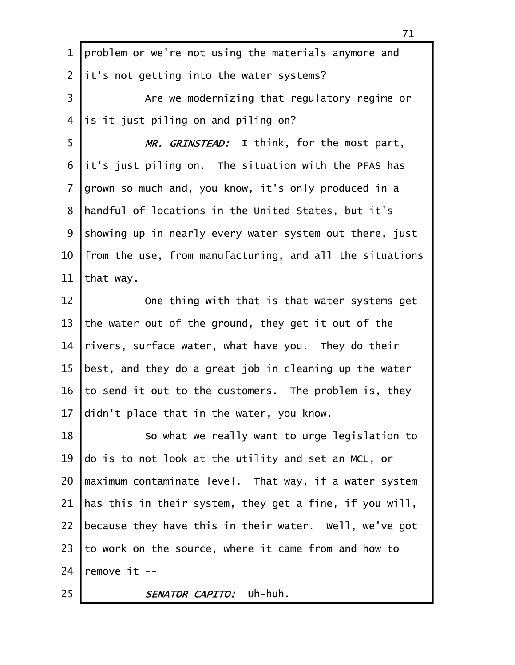1 |problem or we're not using the materials anymore and | 2 |it's not getting into the water systems? |

Are we modernizing that regulatory regime or 3 4 |is it just piling on and piling on?

5 | MR*. GRINSTEAD:* I think, for the most part, l 6 |it's just piling on. The situation with the PFAS has | 7 |grown so much and, you know, it's only produced in a | handful of locations in the United States, but it's 8 9 |showing up in nearly every water system out there, just | 10 |from the use, from manufacturing, and all the situations | 11 that way.

One thing with that is that water systems get 12 13 |the water out of the ground, they get it out of the | 14 |rivers, surface water, what have you. They do their | best, and they do a great job in cleaning up the water 15 16 |to send it out to the customers. The problem is, they | 17 |didn't place that in the water, you know.

18 | So what we really want to urge legislation to | 19 |do is to not look at the utility and set an MCL, or  $\qquad \qquad \mid$ maximum contaminate level. That way, if a water system 20 has this in their system, they get a fine, if you will, 21 because they have this in their water. Well, we've got 22 23 |to work on the source, where it came from and how to | remove it -- 24

SENATOR CAPITO: Uh-huh.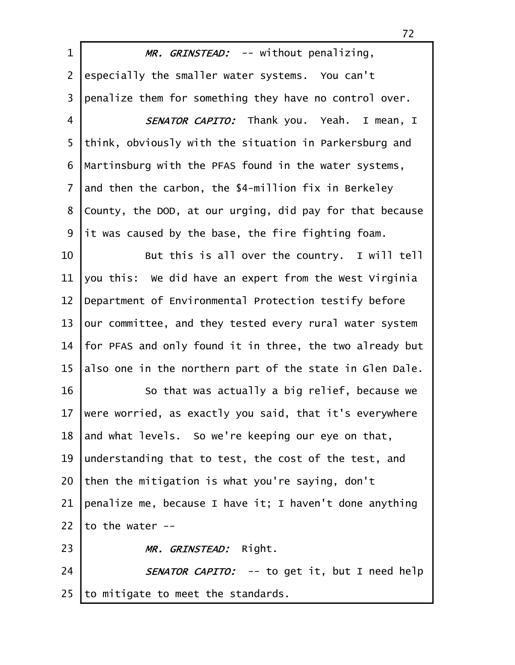1 | MR*. GRINSTEAD:* -- without penalizing, | 2 |especially the smaller water systems. You can't penalize them for something they have no control over. SENATOR CAPITO: Thank you. Yeah. I mean, I 5 |think, obviously with the situation in Parkersburg and | Martinsburg with the PFAS found in the water systems, 7 |and then the carbon, the \$4-million fix in Berkeley | County, the DOD, at our urging, did pay for that because it was caused by the base, the fire fighting foam. But this is all over the country. I will tell 11 |you this: We did have an expert from the West Virginia | Department of Environmental Protection testify before 13 |our committee, and they tested every rural water system | for PFAS and only found it in three, the two already but 15 |also one in the northern part of the state in Glen Dale. | So that was actually a big relief, because we 17 |were worried, as exactly you said, that it's everywhere | 18 |and what levels. So we're keeping our eye on that, | understanding that to test, the cost of the test, and then the mitigation is what you're saying, don't penalize me, because I have it; I haven't done anything |to the water --  $\overline{\phantom{a}}$ MR. GRINSTEAD: Right. SENATOR CAPITO: -- to get it, but I need help to mitigate to meet the standards.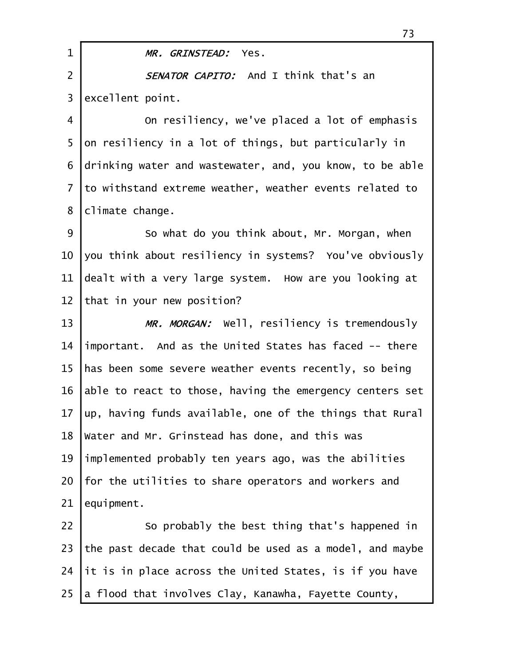1 MR*. GRINSTEAD:* Yes.

SENATOR CAPITO: And I think that's an 2 3 | excellent point.

On resiliency, we've placed a lot of emphasis 4 5 |on resiliency in a lot of things, but particularly in | 6 |drinking water and wastewater, and, you know, to be able | 7 |to withstand extreme weather, weather events related to | 8 climate change.

9 | So what do you think about, Mr. Morgan, when | 10 |you think about resiliency in systems? You've obviously | 11 |dealt with a very large system. How are you looking at | 12 |that in your new position?

MR. MORGAN: Well, resiliency is tremendously 13 important. And as the United States has faced -- there 14 has been some severe weather events recently, so being 15 16 |able to react to those, having the emergency centers set | 17 |up, having funds available, one of the things that Rural | Water and Mr. Grinstead has done, and this was 18 implemented probably ten years ago, was the abilities 19 20 |for the utilities to share operators and workers and | 21 | equipment.

22 | So probably the best thing that's happened in  $\vert$ 23 |the past decade that could be used as a model, and maybe | 24 |it is in place across the United States, is if you have | a flood that involves Clay, Kanawha, Fayette County, 25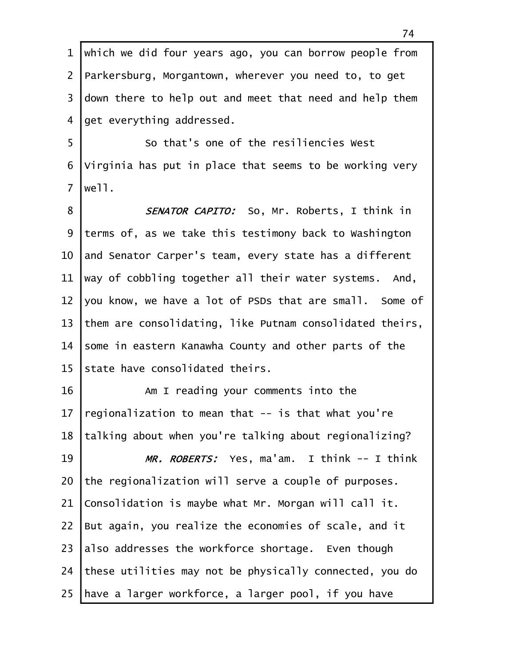which we did four years ago, you can borrow people from 1 Parkersburg, Morgantown, wherever you need to, to get 2 3 |down there to help out and meet that need and help them | get everything addressed. 4

So that's one of the resiliencies West 5 Virginia has put in place that seems to be working very 6 7 | well.

SENATOR CAPITO: So, Mr. Roberts, I think in 8 9 |terms of, as we take this testimony back to Washington | 10 |and Senator Carper's team, every state has a different | 11 |way of cobbling together all their water systems. And, I 12 |you know, we have a lot of PSDs that are small. Some of | 13 |them are consolidating, like Putnam consolidated theirs, | 14 |some in eastern Kanawha County and other parts of the | 15 |state have consolidated theirs.

Am I reading your comments into the 16 17 |regionalization to mean that -- is that what you're | 18 |talking about when you're talking about regionalizing? |

MR. ROBERTS: Yes, ma'am. I think -- I think 19 20 |the regionalization will serve a couple of purposes. | 21 |Consolidation is maybe what Mr. Morgan will call it. | 22 |But again, you realize the economies of scale, and it | 23 |also addresses the workforce shortage. Even though | 24 |these utilities may not be physically connected, you do | have a larger workforce, a larger pool, if you have 25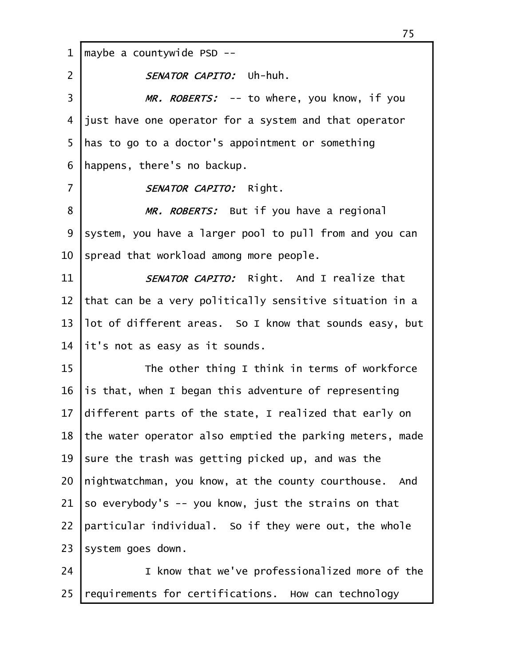1 |maybe a countywide PSD --

2 | *SENATOR CAPITO:* Uh-huh.

MR. ROBERTS: -- to where, you know, if you 3 4 |just have one operator for a system and that operator | has to go to a doctor's appointment or something 5 happens, there's no backup. 6

SENATOR CAPITO: Right. 7

MR. ROBERTS: But if you have a regional 8 9 |system, you have a larger pool to pull from and you can | 10 Spread that workload among more people.

SENATOR CAPITO: Right. And I realize that 11 12 |that can be a very politically sensitive situation in a | lot of different areas. So I know that sounds easy, but 13 14 |it's not as easy as it sounds.

The other thing I think in terms of workforce 15 16 |is that, when I began this adventure of representing | 17 |different parts of the state, I realized that early on | 18 |the water operator also emptied the parking meters, made | 19 |sure the trash was getting picked up, and was the 20 |nightwatchman, you know, at the county courthouse. And | 21 |so everybody's -- you know, just the strains on that | particular individual. So if they were out, the whole 22 23 System goes down.

24 | I know that we've professionalized more of the | requirements for certifications. How can technology 25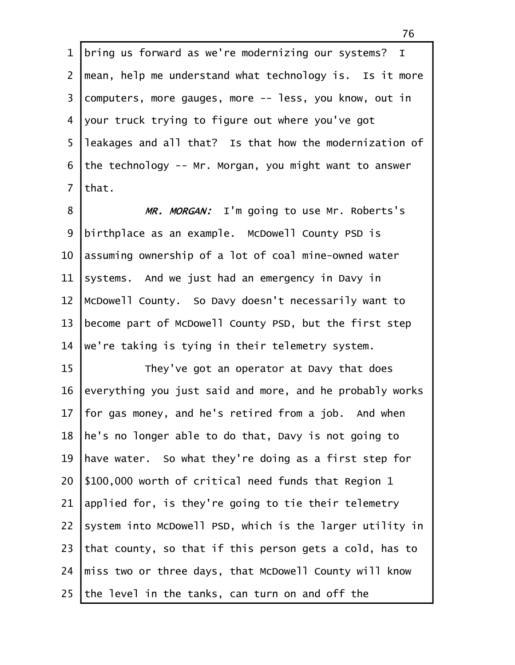bring us forward as we're modernizing our systems? I 1 mean, help me understand what technology is. Is it more 2 3 |computers, more gauges, more -- less, you know, out in | your truck trying to figure out where you've got 4 5 |leakages and all that? Is that how the modernization of | 6 |the technology -- Mr. Morgan, you might want to answer |  $7$  that.

MR. MORGAN: I'm going to use Mr. Roberts's 8 birthplace as an example. McDowell County PSD is 9 10 |assuming ownership of a lot of coal mine-owned water | 11 |systems. And we just had an emergency in Davy in McDowell County. So Davy doesn't necessarily want to 12 become part of McDowell County PSD, but the first step 13 14 |we're taking is tying in their telemetry system. |

They've got an operator at Davy that does 15 16 |everything you just said and more, and he probably works | 17 |for gas money, and he's retired from a job. And when | he's no longer able to do that, Davy is not going to 18 have water. So what they're doing as a first step for 19 20 |\$100,000 worth of critical need funds that Region 1  $\hskip1cm \Box$ 21 |applied for, is they're going to tie their telemetry | 22 |system into McDowell PSD, which is the larger utility in | 23 |that county, so that if this person gets a cold, has to | 24 |miss two or three days, that McDowell County will know | the level in the tanks, can turn on and off the 25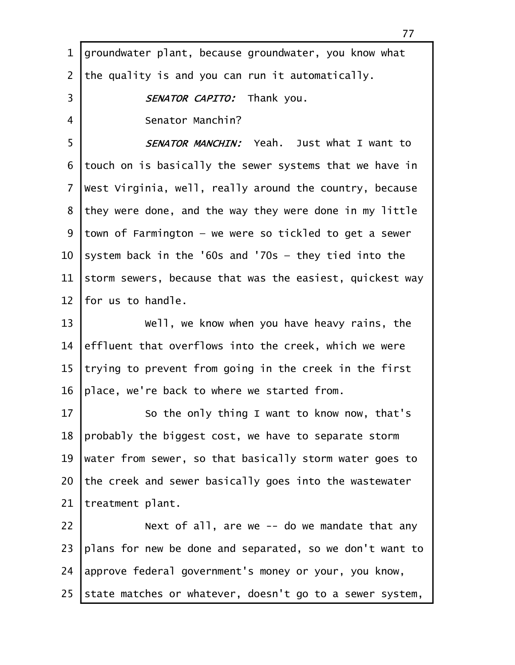|                | 77                                                       |
|----------------|----------------------------------------------------------|
| $\mathbf 1$    | groundwater plant, because groundwater, you know what    |
| $\overline{2}$ | the quality is and you can run it automatically.         |
| 3              | SENATOR CAPITO: Thank you.                               |
| 4              | Senator Manchin?                                         |
| 5              | <b>SENATOR MANCHIN:</b> Yeah. Just what I want to        |
| 6              | touch on is basically the sewer systems that we have in  |
| $\overline{7}$ | West Virginia, well, really around the country, because  |
| 8              | they were done, and the way they were done in my little  |
| 9              | town of Farmington – we were so tickled to get a sewer   |
| 10             | system back in the '60s and '70s $-$ they tied into the  |
| 11             | storm sewers, because that was the easiest, quickest way |
| 12             | for us to handle.                                        |
| 13             | Well, we know when you have heavy rains, the             |
| 14             | effluent that overflows into the creek, which we were    |
| 15             | trying to prevent from going in the creek in the first   |
| 16             | place, we're back to where we started from.              |
| 17             | So the only thing I want to know now, that's             |
| 18             | probably the biggest cost, we have to separate storm     |
| 19             | water from sewer, so that basically storm water goes to  |
| 20             | the creek and sewer basically goes into the wastewater   |
| 21             | treatment plant.                                         |
| 22             | Next of all, are we $-$ do we mandate that any           |
| 23             | plans for new be done and separated, so we don't want to |
| 24             | approve federal government's money or your, you know,    |
| 25             | state matches or whatever, doesn't go to a sewer system, |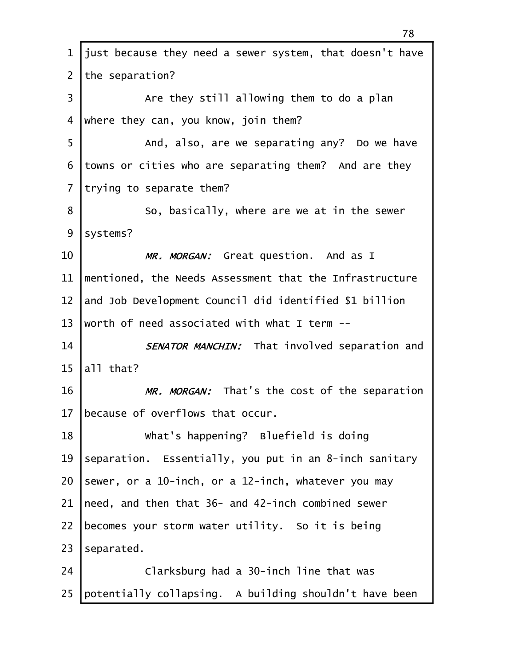1 |just because they need a sewer system, that doesn't have | 2 the separation? The separation of  $\sim$ Are they still allowing them to do a plan 3 where they can, you know, join them? 4 And, also, are we separating any? Do we have 5 6 |towns or cities who are separating them? And are they | 7 |trying to separate them? So, basically, where are we at in the sewer 8 systems? 9 10 | *MR. MORGAN:* Great question. And as I 11 |mentioned, the Needs Assessment that the Infrastructure | and Job Development Council did identified \$1 billion 12 worth of need associated with what I term -- 13 SENATOR MANCHIN: That involved separation and 14 15 all that? MR. MORGAN: That's the cost of the separation 16 because of overflows that occur. 17 What's happening? Bluefield is doing 18 19 |separation. Essentially, you put in an 8-inch sanitary | 20 |sewer, or a 10-inch, or a 12-inch, whatever you may \_\_\_\_\_\_\_\_\_\_\_\_\_\_\_\_\_\_\_\_\_\_\_\_ need, and then that 36- and 42-inch combined sewer 21 becomes your storm water utility. So it is being 22 23 separated. Clarksburg had a 30-inch line that was 24 potentially collapsing. A building shouldn't have been 25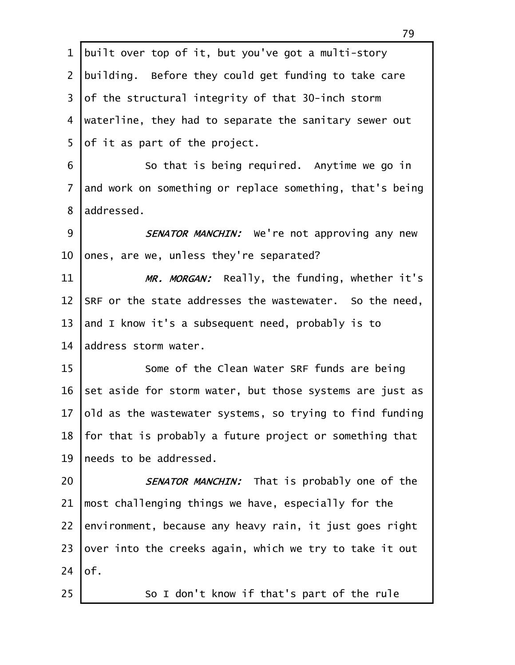built over top of it, but you've got a multi-story 1 2 |building. Before they could get funding to take care | 3 of the structural integrity of that 30-inch storm Theory Contains and the structural integrity of that 30-inch storm 4 |waterline, they had to separate the sanitary sewer out | 5 of it as part of the project. 6 So that is being required. Anytime we go in the So that is being required. Anytime we go in 7 |and work on something or replace something, that's being | 8 | addressed. SENATOR MANCHIN: We're not approving any new 9 10 |ones, are we, unless they're separated? | MR. MORGAN: Really, the funding, whether it's 11 12 |SRF or the state addresses the wastewater. So the need, | and I know it's a subsequent need, probably is to 13 14 |address storm water. 15 | Some of the Clean Water SRF funds are being | 16 |set aside for storm water, but those systems are just as | 17 |old as the wastewater systems, so trying to find funding | 18 |for that is probably a future project or something that | needs to be addressed. 19

SENATOR MANCHIN: That is probably one of the 20 21 |most challenging things we have, especially for the | 22 |environment, because any heavy rain, it just goes right | 23 |over into the creeks again, which we try to take it out | of.  $24$  of  $\overline{\phantom{a}}$ 

25

So I don't know if that's part of the rule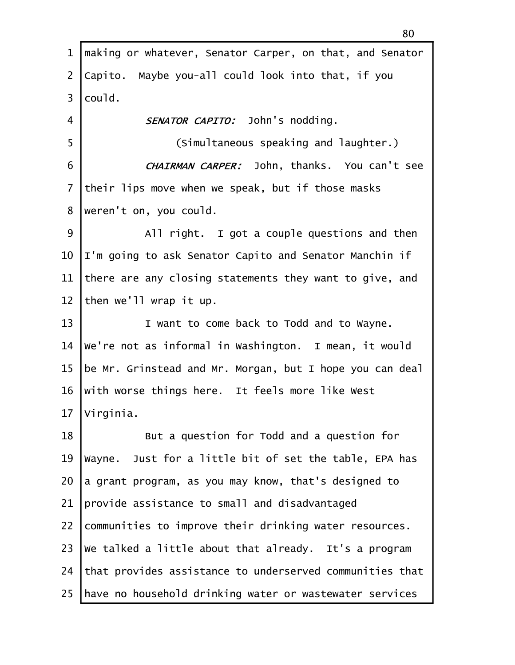1 |making or whatever, Senator Carper, on that, and Senator | Capito. Maybe you-all could look into that, if you 2 3 could. SENATOR CAPITO: John's nodding. 4 (Simultaneous speaking and laughter.) 5 CHAIRMAN CARPER: John, thanks. You can't see 6 their lips move when we speak, but if those masks 7 weren't on, you could. 8 All right. I got a couple questions and then 9 10 |I'm going to ask Senator Capito and Senator Manchin if | 11 |there are any closing statements they want to give, and | 12 |then we'll wrap it up. 13 | I want to come back to Todd and to Wayne. We're not as informal in Washington. I mean, it would 14 be Mr. Grinstead and Mr. Morgan, but I hope you can deal 15 16 |with worse things here. It feels more like west Virginia. 17 But a question for Todd and a question for 18 Wayne. Just for a little bit of set the table, EPA has 19 20 |a grant program, as you may know, that's designed to | provide assistance to small and disadvantaged 21 22 |communities to improve their drinking water resources. | 23 |We talked a little about that already. It's a program | 24 |that provides assistance to underserved communities that | have no household drinking water or wastewater services 25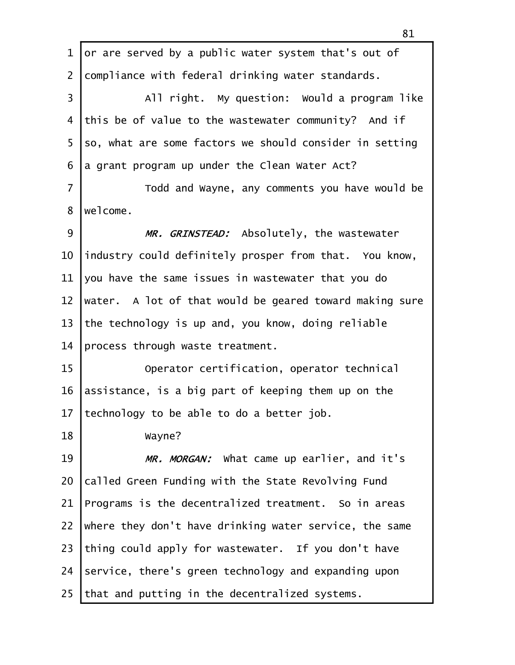1 |or are served by a public water system that's out of [11] | 11] | 12] | 12] | 13] | 13] | 13] | 13] | 13] | 13] | 13] | 13] | 13] | 13] | 13] | 13] | 13] | 13] | 13] | 13] | 13] | 13] | 13] | 13] | 13] | 13] | 13] | 13] 2 |compliance with federal drinking water standards. | All right. My question: Would a program like 3 4 |this be of value to the wastewater community? And if | 5 |so, what are some factors we should consider in setting | a grant program up under the Clean Water Act? 6 Todd and Wayne, any comments you have would be 7 8 | welcome. MR. GRINSTEAD: Absolutely, the wastewater 9 10 |industry could definitely prosper from that. You know, | you have the same issues in wastewater that you do 11 12 |water. A lot of that would be geared toward making sure | 13 |the technology is up and, you know, doing reliable | process through waste treatment. 14 Operator certification, operator technical 15 16 |assistance, is a big part of keeping them up on the | 17 |technology to be able to do a better job. | Wayne? 18 MR. MORGAN: What came up earlier, and it's 19 20 |called Green Funding with the State Revolving Fund | 21 |Programs is the decentralized treatment. So in areas | 22 |where they don't have drinking water service, the same | 23 |thing could apply for wastewater. If you don't have | 24 |service, there's green technology and expanding upon | that and putting in the decentralized systems. 25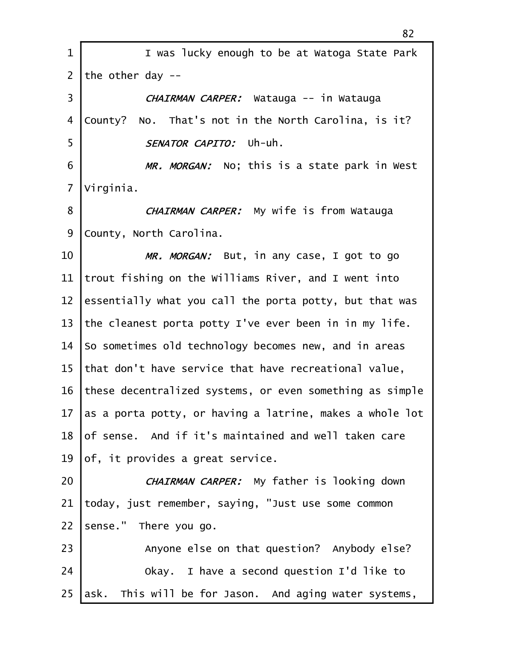1 | I was lucky enough to be at Watoga State Park  $2$  the other day --CHAIRMAN CARPER: Watauga -- in Watauga 3 County? No. That's not in the North Carolina, is it? 4 SENATOR CAPITO: Uh-uh. 5 MR. MORGAN: No; this is a state park in West 6 Virginia. 7 CHAIRMAN CARPER: My wife is from Watauga 8 9 | County, North Carolina. MR. MORGAN: But, in any case, I got to go 10 11 |trout fishing on the Williams River, and I went into | 12 |essentially what you call the porta potty, but that was | 13 |the cleanest porta potty I've ever been in in my life. | 14 |So sometimes old technology becomes new, and in areas | 15 |that don't have service that have recreational value, | 16 |these decentralized systems, or even something as simple | 17 |as a porta potty, or having a latrine, makes a whole lot | 18 |of sense. And if it's maintained and well taken care | of, it provides a great service. 19 CHAIRMAN CARPER: My father is looking down 20 21 |today, just remember, saying, "Just use some common | 22 |sense." There you go. Anyone else on that question? Anybody else? 23 Okay. I have a second question I'd like to 24 ask. This will be for Jason. And aging water systems, 25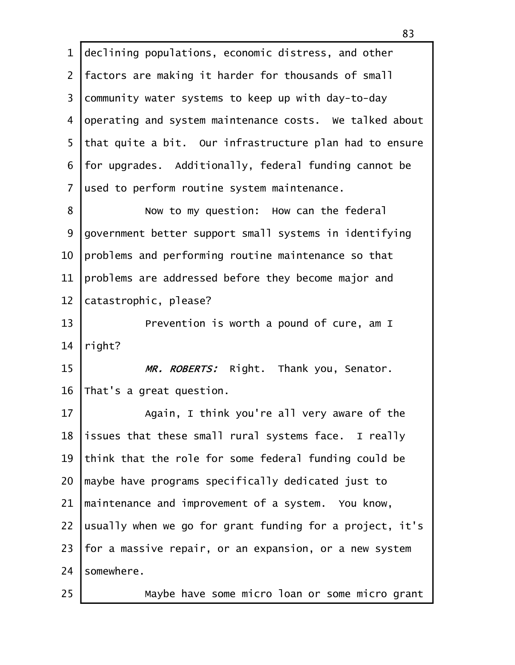1 |declining populations, economic distress, and other | 2 |factors are making it harder for thousands of small | community water systems to keep up with day-to-day 3 4 |operating and system maintenance costs. We talked about | 5 |that quite a bit. Our infrastructure plan had to ensure | for upgrades. Additionally, federal funding cannot be 6 used to perform routine system maintenance. 7 8 Now to my question: How can the federal The Monton I 9 |government better support small systems in identifying | 10 |problems and performing routine maintenance so that | problems are addressed before they become major and 11 catastrophic, please? 12 13 | Prevention is worth a pound of cure, am I | right? 14 MR. ROBERTS: Right. Thank you, Senator. 15 That's a great question. 16 Again, I think you're all very aware of the 17 18 |issues that these small rural systems face. I really | 19 |think that the role for some federal funding could be | maybe have programs specifically dedicated just to 20 maintenance and improvement of a system. You know, 21 22 |usually when we go for grant funding for a project, it's | 23 |for a massive repair, or an expansion, or a new system | 24 Somewhere. Maybe have some micro loan or some micro grant 25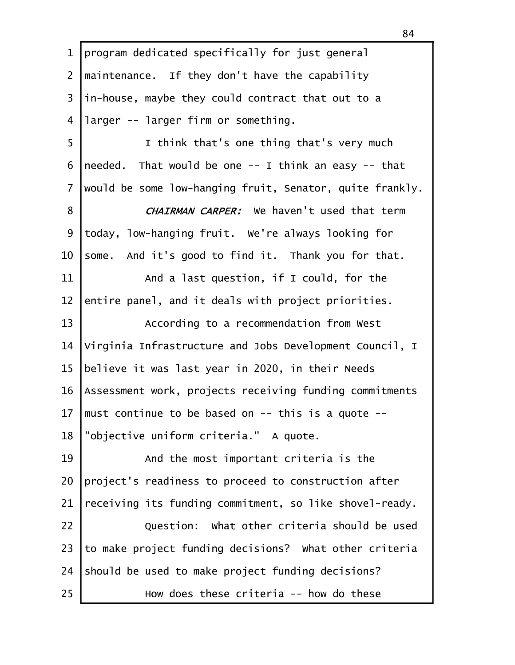| $\mathbf{1}$    | program dedicated specifically for just general          |
|-----------------|----------------------------------------------------------|
| $\overline{2}$  | maintenance. If they don't have the capability           |
| $\overline{3}$  | in-house, maybe they could contract that out to a        |
| 4               | larger -- larger firm or something.                      |
| 5               | I think that's one thing that's very much                |
| 6               | needed. That would be one $-$ I think an easy $-$ that   |
| $\overline{7}$  | would be some low-hanging fruit, Senator, quite frankly. |
| 8               | <b>CHAIRMAN CARPER:</b> We haven't used that term        |
| 9               | today, low-hanging fruit. We're always looking for       |
| 10 <sup>°</sup> | some. And it's good to find it. Thank you for that.      |
| 11              | And a last question, if I could, for the                 |
| 12              | entire panel, and it deals with project priorities.      |
| 13              | According to a recommendation from West                  |
| 14              | Virginia Infrastructure and Jobs Development Council, I  |
| 15              | believe it was last year in 2020, in their Needs         |
| 16              | Assessment work, projects receiving funding commitments  |
|                 | 17   must continue to be based on -- this is a quote --  |
| 18              | "objective uniform criteria." A quote.                   |
| 19              | And the most important criteria is the                   |
| 20              | project's readiness to proceed to construction after     |
| 21              | receiving its funding commitment, so like shovel-ready.  |
| 22              | Question: What other criteria should be used             |
| 23              | to make project funding decisions? What other criteria   |
| 24              | should be used to make project funding decisions?        |
| 25              | How does these criteria -- how do these                  |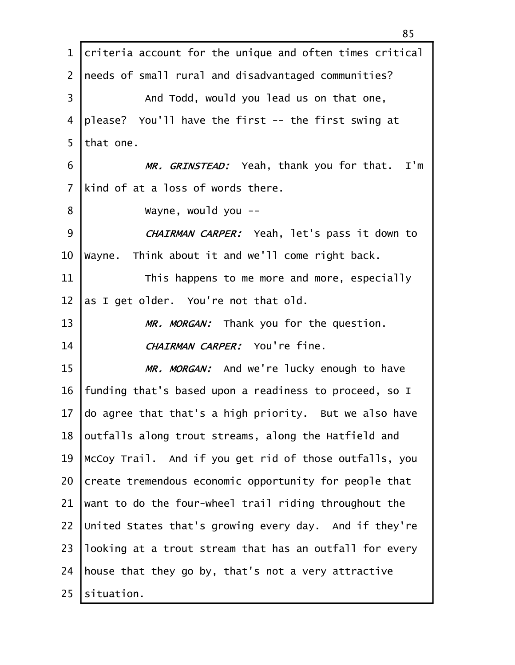| $\mathbf{1}$   | criteria account for the unique and often times critical |
|----------------|----------------------------------------------------------|
| $\overline{2}$ | needs of small rural and disadvantaged communities?      |
| $\overline{3}$ | And Todd, would you lead us on that one,                 |
| 4              | please? You'll have the first -- the first swing at      |
| 5              | that one.                                                |
| 6              | MR. GRINSTEAD: Yeah, thank you for that. I'm             |
| $\overline{7}$ | kind of at a loss of words there.                        |
| 8              | Wayne, would you $-$                                     |
| 9              | <b>CHAIRMAN CARPER:</b> Yeah, let's pass it down to      |
| 10             | Think about it and we'll come right back.<br>Wayne.      |
| 11             | This happens to me more and more, especially             |
| 12             | as I get older. You're not that old.                     |
| 13             | MR. MORGAN: Thank you for the question.                  |
| 14             | CHAIRMAN CARPER: You're fine.                            |
| 15             | MR. MORGAN: And we're lucky enough to have               |
| 16             | funding that's based upon a readiness to proceed, so I   |
| 17             | do agree that that's a high priority. But we also have   |
| 18             | outfalls along trout streams, along the Hatfield and     |
| 19             | McCoy Trail. And if you get rid of those outfalls, you   |
| 20             | create tremendous economic opportunity for people that   |
| 21             | want to do the four-wheel trail riding throughout the    |
| 22             | United States that's growing every day. And if they're   |
| 23             | looking at a trout stream that has an outfall for every  |
| 24             | house that they go by, that's not a very attractive      |
| 25             | situation.                                               |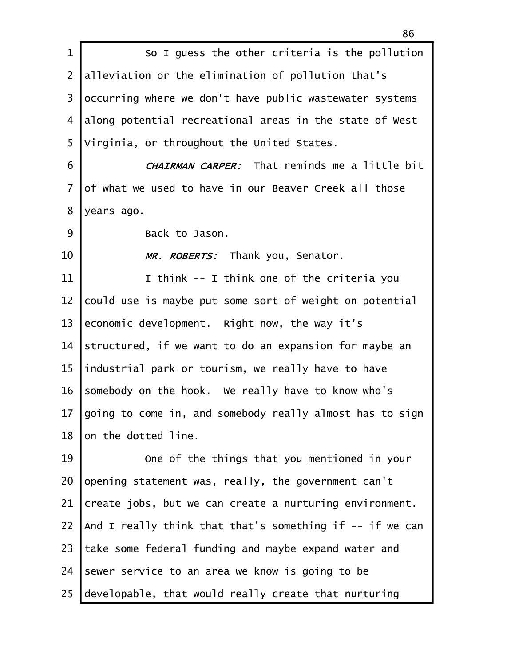1 So I guess the other criteria is the pollution and the source in the solid to some solid to the solid to the 2 |alleviation or the elimination of pollution that's | 3 |occurring where we don't have public wastewater systems | 4 |along potential recreational areas in the state of West | Virginia, or throughout the United States. 5 CHAIRMAN CARPER: That reminds me a little bit 6 7 of what we used to have in our Beaver Creek all those the context of the U years ago. 8 9 Back to Jason. MR. ROBERTS: Thank you, Senator. 10 I think -- I think one of the criteria you 11 12 |could use is maybe put some sort of weight on potential | 13 |economic development. Right now, the way it's 14 |structured, if we want to do an expansion for maybe an | 15 |industrial park or tourism, we really have to have | 16 |somebody on the hook. We really have to know who's | 17 |going to come in, and somebody really almost has to sign | 18 on the dotted line. One of the things that you mentioned in your 19 20 |opening statement was, really, the government can't | 21 |create jobs, but we can create a nurturing environment. | 22 |And I really think that that's something if -- if we can | 23 |take some federal funding and maybe expand water and | 24 |sewer service to an area we know is going to be developable, that would really create that nurturing 25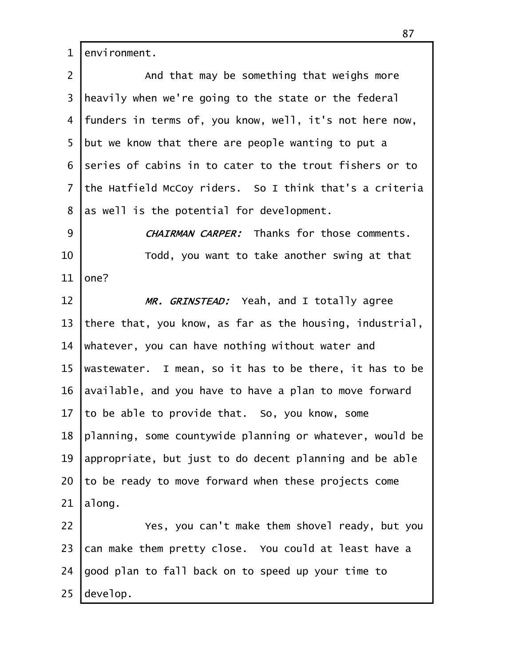1 | environment.

And that may be something that weighs more 2 heavily when we're going to the state or the federal 3 4 |funders in terms of, you know, well, it's not here now, I but we know that there are people wanting to put a 5  $6$  |series of cabins in to cater to the trout fishers or to  $\,$  |  $\,$ 7 |the Hatfield McCoy riders. So I think that's a criteria | 8 |as well is the potential for development. |

CHAIRMAN CARPER: Thanks for those comments. 9 Todd, you want to take another swing at that 10 one? 11

MR. GRINSTEAD: Yeah, and I totally agree 12 13 |there that, you know, as far as the housing, industrial, | whatever, you can have nothing without water and 14 wastewater. I mean, so it has to be there, it has to be 15 16 |available, and you have to have a plan to move forward | 17 |to be able to provide that. So, you know, some planning, some countywide planning or whatever, would be 18 19 |appropriate, but just to do decent planning and be able | 20 |to be ready to move forward when these projects come | 21 along.

Yes, you can't make them shovel ready, but you 22 23 |can make them pretty close. You could at least have a | 24 |good plan to fall back on to speed up your time to | develop. 25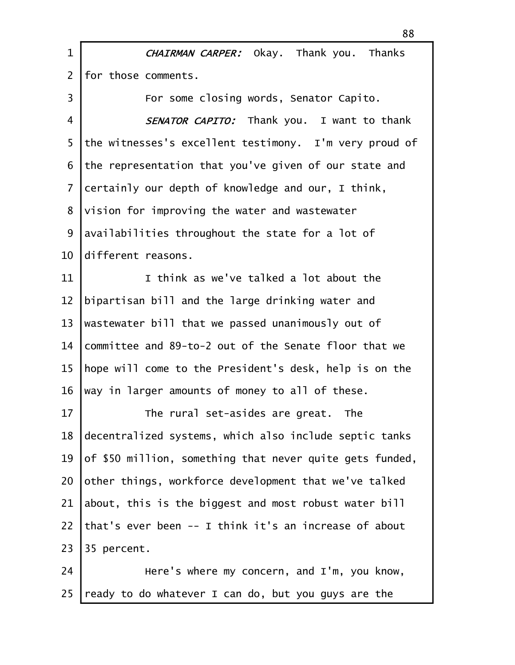CHAIRMAN CARPER: Okay. Thank you. Thanks 1 2 | for those comments. For some closing words, Senator Capito. 3 SENATOR CAPITO: Thank you. I want to thank 4 5 |the witnesses's excellent testimony. I'm very proud of I 6 |the representation that you've given of our state and lately and the representation that you've given of our certainly our depth of knowledge and our, I think, 7 vision for improving the water and wastewater 8 availabilities throughout the state for a lot of 9 10 different reasons. 11 | I think as we've talked a lot about the Theory I are to the the set of the set of the set of the set of t bipartisan bill and the large drinking water and 12 wastewater bill that we passed unanimously out of 13 committee and 89-to-2 out of the Senate floor that we 14 hope will come to the President's desk, help is on the 15 way in larger amounts of money to all of these. 16 17 | The rural set-asides are great. The The Latter I are set for the set of the set of the set of the set of t 18 |decentralized systems, which also include septic tanks | 19 |of \$50 million, something that never quite gets funded, | 20 |other things, workforce development that we've talked | 21 |about, this is the biggest and most robust water bill | 22 |that's ever been -- I think it's an increase of about | 35 percent. 23 24 | Here's where my concern, and I'm, you know, | ready to do whatever I can do, but you guys are the 25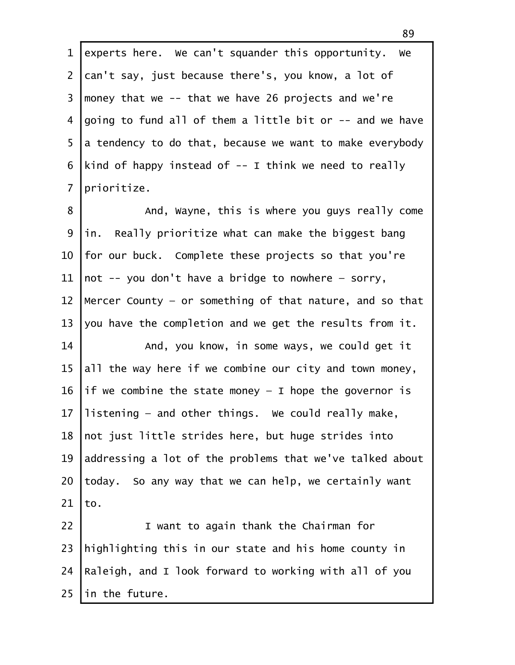1 | experts here. We can't squander this opportunity. We | 2 |can't say, just because there's, you know, a lot of | money that we -- that we have 26 projects and we're 3 4 |going to fund all of them a little bit or -- and we have | 5 |a tendency to do that, because we want to make everybody | 6 |kind of happy instead of -- I think we need to really | prioritize. 7

And, Wayne, this is where you guys really come 8 9 |in. Really prioritize what can make the biggest bang | for our buck. Complete these projects so that you're 10 not -- you don't have a bridge to nowhere — sorry, 11 Mercer County — or something of that nature, and so that 12 13 |you have the completion and we get the results from it. |

And, you know, in some ways, we could get it 14 15 |all the way here if we combine our city and town money, I if we combine the state money — I hope the governor is 16 17 |listening – and other things. We could really make, | 18 |not just little strides here, but huge strides into | 19 |addressing a lot of the problems that we've talked about | 20 |today. So any way that we can help, we certainly want | to.  $21$  to.

I want to again thank the Chairman for 22 23 |highlighting this in our state and his home county in | 24 |Raleigh, and I look forward to working with all of you | in the future. 25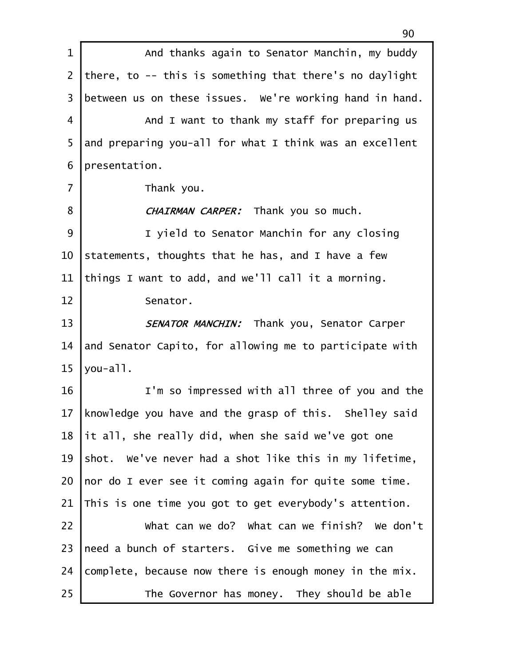And thanks again to Senator Manchin, my buddy 1 2 |there, to -- this is something that there's no daylight | 3 |between us on these issues. We're working hand in hand. | And I want to thank my staff for preparing us 4 5 |and preparing you-all for what I think was an excellent | presentation. 6 Thank you. CHAIRMAN CARPER: Thank you so much. 8 9 | I yield to Senator Manchin for any closing | 10 |statements, thoughts that he has, and I have a few | 11 |things I want to add, and we'll call it a morning. | 12 Senator. SENATOR MANCHIN: Thank you, Senator Carper 13 14 |and Senator Capito, for allowing me to participate with | you-all. 15 I'm so impressed with all three of you and the 16 knowledge you have and the grasp of this. Shelley said 17 it all, she really did, when she said we've got one 18 19 |shot. We've never had a shot like this in my lifetime, | 20 |nor do I ever see it coming again for quite some time. | This is one time you got to get everybody's attention. 21 What can we do? What can we finish? We don't 22 need a bunch of starters. Give me something we can 23 complete, because now there is enough money in the mix. 24 The Governor has money. They should be able 25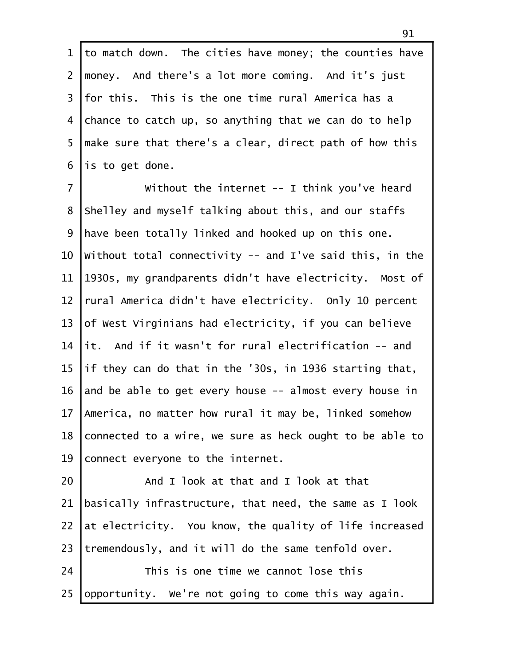1 |to match down. The cities have money; the counties have | money. And there's a lot more coming. And it's just 2 3 |for this. This is the one time rural America has a | 4 |chance to catch up, so anything that we can do to help | make sure that there's a clear, direct path of how this 5 6 |is to get done.

Without the internet -- I think you've heard 7 8 Shelley and myself talking about this, and our staffs [11] [11] Internal Robert Mondon B have been totally linked and hooked up on this one. 9 10 |Without total connectivity -- and I've said this, in the | 1930s, my grandparents didn't have electricity. Most of 11 12 |rural America didn't have electricity. Only 10 percent | 13 |of West Virginians had electricity, if you can believe | it. And if it wasn't for rural electrification -- and 14 if they can do that in the '30s, in 1936 starting that, 15 16 |and be able to get every house -- almost every house in | America, no matter how rural it may be, linked somehow 17 18 |connected to a wire, we sure as heck ought to be able to | 19 connect everyone to the internet.

And I look at that and I look at that 20 basically infrastructure, that need, the same as I look 21 22 |at electricity. You know, the quality of life increased | 23 |tremendously, and it will do the same tenfold over. |

This is one time we cannot lose this 24 opportunity. We're not going to come this way again. 25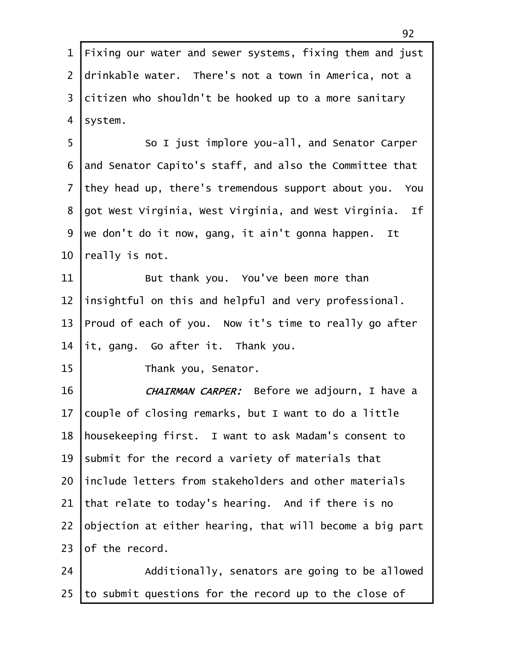Fixing our water and sewer systems, fixing them and just 1 2 |drinkable water. There's not a town in America, not a | 3 |citizen who shouldn't be hooked up to a more sanitary | system. 4 5 Solution of the local senator Carper to the Solution of the Indonesian Solution Solution Solution Solution S and Senator Capito's staff, and also the Committee that 6 7 |they head up, there's tremendous support about you. You | got West Virginia, West Virginia, and West Virginia. If 8 9 |we don't do it now, gang, it ain't gonna happen. It | 10 |really is not. But thank you. You've been more than 11 12 |insightful on this and helpful and very professional. | Proud of each of you. Now it's time to really go after 13 it, gang. Go after it. Thank you. 14 Thank you, Senator. 15 CHAIRMAN CARPER: Before we adjourn, I have a 16 couple of closing remarks, but I want to do a little 17 housekeeping first. I want to ask Madam's consent to 18 19 |submit for the record a variety of materials that 20 |include letters from stakeholders and other materials | 21 |that relate to today's hearing. And if there is no | 22 |objection at either hearing, that will become a big part | 23 of the record. Additionally, senators are going to be allowed 24 to submit questions for the record up to the close of 25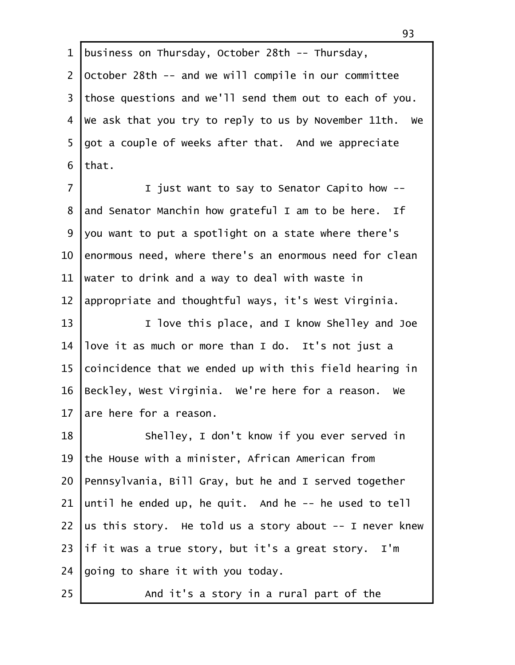business on Thursday, October 28th -- Thursday, 1 October 28th -- and we will compile in our committee 2 3 |those questions and we'll send them out to each of you. | 4 |We ask that you try to reply to us by November 11th. We | 5 |got a couple of weeks after that. And we appreciate |  $\blacksquare$  that.

I just want to say to Senator Capito how -- 7 8 |and Senator Manchin how grateful I am to be here. If | 9 |you want to put a spotlight on a state where there's | 10 |enormous need, where there's an enormous need for clean | water to drink and a way to deal with waste in 11 12 |appropriate and thoughtful ways, it's West Virginia. |

13 | I love this place, and I know Shelley and Joe | 14 |love it as much or more than I do. It's not just a | 15 |coincidence that we ended up with this field hearing in | 16 |Beckley, west Virginia. we're here for a reason. we | 17 |are here for a reason.

Shelley, I don't know if you ever served in 18 19 |the House with a minister, African American from Pennsylvania, Bill Gray, but he and I served together 20 21 |until he ended up, he quit. And he -- he used to tell | 22 |us this story. He told us a story about -- I never knew | 23 |if it was a true story, but it's a great story. I'm | 24 |going to share it with you today.  $\qquad \qquad \qquad$ 

And it's a story in a rural part of the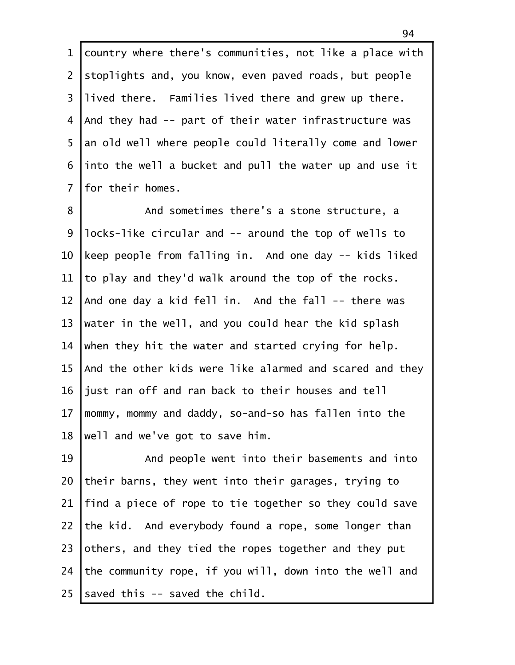country where there's communities, not like a place with 1 2 |stoplights and, you know, even paved roads, but people | 3 |lived there. Families lived there and grew up there. | 4 |And they had -- part of their water infrastructure was | 5 |an old well where people could literally come and lower | into the well a bucket and pull the water up and use it 6 for their homes. 7

And sometimes there's a stone structure, a 8 9 |locks-like circular and -- around the top of wells to | keep people from falling in. And one day -- kids liked 10 11 |to play and they'd walk around the top of the rocks. | 12 |And one day a kid fell in. And the fall -- there was | 13 |water in the well, and you could hear the kid splash | 14 |when they hit the water and started crying for help. | 15 |And the other kids were like alarmed and scared and they | just ran off and ran back to their houses and tell 16 mommy, mommy and daddy, so-and-so has fallen into the 17 well and we've got to save him. 18

And people went into their basements and into 19 20 |their barns, they went into their garages, trying to | 21 |find a piece of rope to tie together so they could save | 22 |the kid. And everybody found a rope, some longer than | 23 |others, and they tied the ropes together and they put | 24 |the community rope, if you will, down into the well and | saved this -- saved the child. 25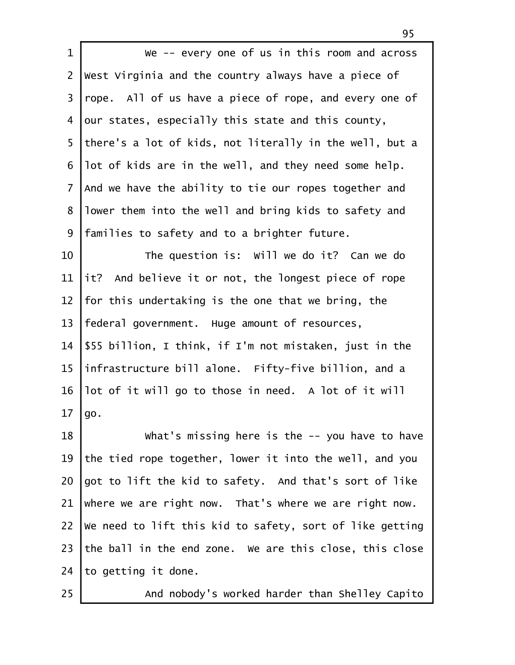We -- every one of us in this room and across 1 2 |West Virginia and the country always have a piece of Theory and the lowest American I 3 |rope. All of us have a piece of rope, and every one of | 4 |our states, especially this state and this county, | 5 |there's a lot of kids, not literally in the well, but a | lot of kids are in the well, and they need some help. 6 7 |And we have the ability to tie our ropes together and | 8 |lower them into the well and bring kids to safety and | families to safety and to a brighter future. 9

The question is: Will we do it? Can we do 10 it? And believe it or not, the longest piece of rope 11 12 |for this undertaking is the one that we bring, the | federal government. Huge amount of resources, 13 \$55 billion, I think, if I'm not mistaken, just in the 14 15 |infrastructure bill alone. Fifty-five billion, and a | 16 |lot of it will go to those in need. A lot of it will | go.  $17 \mid \text{go}.$ 

What's missing here is the -- you have to have 18 19 |the tied rope together, lower it into the well, and you | 20 |got to lift the kid to safety. And that's sort of like | 21 |where we are right now. That's where we are right now. | 22 |we need to lift this kid to safety, sort of like getting | 23 |the ball in the end zone. We are this close, this close | 24 |to getting it done.

25

And nobody's worked harder than Shelley Capito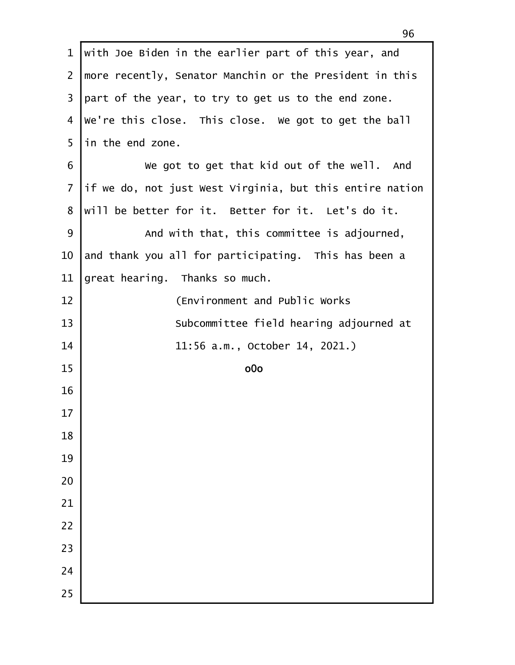| $\mathbf 1$    | with Joe Biden in the earlier part of this year, and     |
|----------------|----------------------------------------------------------|
| $\overline{2}$ | more recently, Senator Manchin or the President in this  |
| 3              | part of the year, to try to get us to the end zone.      |
| 4              | We're this close. This close. We got to get the ball     |
| 5              | in the end zone.                                         |
| 6              | We got to get that kid out of the well. And              |
| $\overline{7}$ | if we do, not just West Virginia, but this entire nation |
| 8              | will be better for it. Better for it. Let's do it.       |
| 9              | And with that, this committee is adjourned,              |
| 10             | and thank you all for participating. This has been a     |
| 11             | great hearing. Thanks so much.                           |
| 12             | (Environment and Public Works                            |
| 13             | Subcommittee field hearing adjourned at                  |
| 14             | 11:56 a.m., October 14, 2021.)                           |
| 15             | 00 <sub>o</sub>                                          |
| 16             |                                                          |
| 17             |                                                          |
| 18             |                                                          |
| 19             |                                                          |
| 20             |                                                          |
| 21             |                                                          |
| $22$           |                                                          |
| 23             |                                                          |
| 24             |                                                          |
| 25             |                                                          |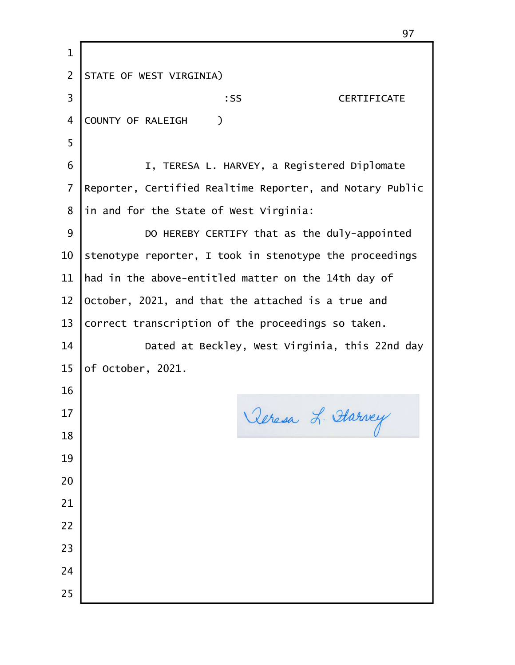97<br>
IA)<br>
:SS CERTIFICATE<br>
)  $\mathbf{1}$ 2 STATE OF WEST VIRGINIA)  $\overline{3}$   $\overline{)}$   $\overline{)}$   $\overline{)}$   $\overline{)}$   $\overline{)}$   $\overline{)}$   $\overline{)}$   $\overline{)}$   $\overline{)}$   $\overline{)}$   $\overline{)}$   $\overline{)}$   $\overline{)}$   $\overline{)}$   $\overline{)}$   $\overline{)}$   $\overline{)}$   $\overline{)}$   $\overline{)}$   $\overline{)}$   $\overline{)}$   $\overline{)}$   $\overline{)}$   $\overline{$ COUNTY OF RALEIGH ) 4  $\overline{5}$ I, TERESA L. HARVEY, a Registered Diplomate 6 7 |Reporter, Certified Realtime Reporter, and Notary Public | in and for the State of West Virginia: 8 DO HEREBY CERTIFY that as the duly-appointed 9 10 |stenotype reporter, I took in stenotype the proceedings | 11 |had in the above-entitled matter on the 14th day of | 12 |October, 2021, and that the attached is a true and | 13 |correct transcription of the proceedings so taken. | Dated at Beckley, West Virginia, this 22nd day 14 of October, 2021. 15 16 Reresa L. Harvey 17 18 19 20 21 | **1999** 22 23 24 | 2002 | 2012 | 2022 | 2022 | 2022 | 2022 | 2022 | 2022 | 2022 | 2022 | 2022 | 2022 | 2022 | 2022 | 2022 | 25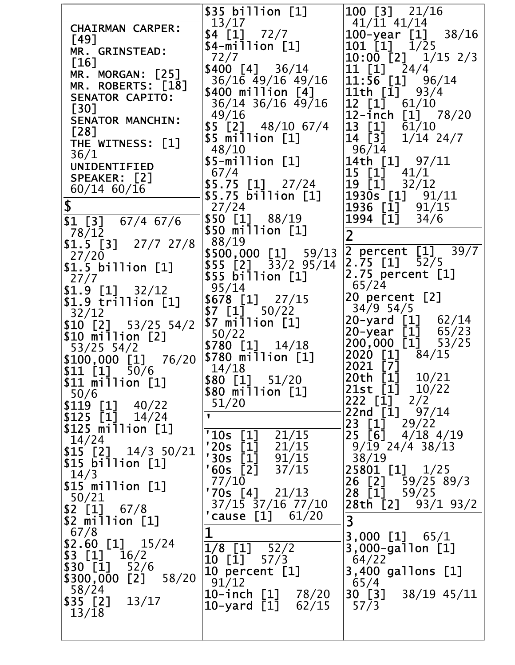|                                                               | \$35 billion [1]                       | 100 [3] $21/16$                                                                                       |  |
|---------------------------------------------------------------|----------------------------------------|-------------------------------------------------------------------------------------------------------|--|
| <b>CHAIRMAN CARPER:</b>                                       | 13/17                                  | 41/11 41/14                                                                                           |  |
| $[49]$                                                        | $$4$ [1]<br>72/7                       | 100-year [1]<br>38/16                                                                                 |  |
| MR. GRINSTEAD:                                                | $$4$ -million [1]<br>72/7              | 101 $[1]$ 1/25<br>10:00 [2] $1/15$ 2/3                                                                |  |
| $[16]$                                                        | $$400$ [4] 36/14                       | 11 [1]<br>24/4                                                                                        |  |
| MR. MORGAN: [25]                                              | 36/16 49/16 49/16                      | $11:56$ [1]<br>96/14                                                                                  |  |
| MR. ROBERTS: [18]                                             | \$400 million [4]                      | $11th$ $[1]$ $93/4$                                                                                   |  |
| <b>SENATOR CAPITO:</b><br>[30]                                | 36/14 36/16 49/16                      | $12$ $[1]^{\frac{1}{2}}$<br>61/10                                                                     |  |
| <b>SENATOR MANCHIN:</b>                                       | 49/16                                  | $12$ -inch $[1]$<br>78/20                                                                             |  |
| [28]                                                          | \$5 [2] 48/10 67/4                     | 13 <sup>1</sup><br>$\left[1\right]$<br>61/10                                                          |  |
| THE WITNESS: [1]                                              | \$5 million [1]                        | 14 [3]<br>$1/14$ 24/7                                                                                 |  |
| 36/1                                                          | 48/10<br>$$5-mi$ llion [1]             | 96/14                                                                                                 |  |
| UNIDENTIFIED                                                  | 67/4                                   | 14th $[1]$ 97/11                                                                                      |  |
| SPEAKER: [2]                                                  | $$5.75$ [1] $27/24$                    | $\begin{bmatrix} 15 & 1 \\ 19 & 1 \end{bmatrix} \begin{bmatrix} 41/1 \\ 32/12 \end{bmatrix}$<br>32/12 |  |
| $60/14$ $60/16$                                               | \$5.75 billion [1]                     | $1930s$ $[1]$<br>91/11                                                                                |  |
| $\overline{\mathbf{S}}$                                       | 27/24                                  | 1936 [1]<br>91/15                                                                                     |  |
| $\sqrt{51}$ [3]<br>$67/4$ 67/6                                | $$50$ [1] $88/19$                      | 1994 [1]<br>34/6                                                                                      |  |
| 78/12                                                         | \$50 million [1]                       | 2                                                                                                     |  |
| $ \$1.5$ [3] $\frac{27}{7}$ 27/8                              | 88/19<br>$$500,000$ [1] $$9/13$        | 39/7<br>2 percent [1]                                                                                 |  |
| 27/20                                                         | $$55$ [2] $33/2$ 95/14                 | $\begin{bmatrix} 2.75 & 1 \end{bmatrix}$ 52/5                                                         |  |
| $ $1.5\>$ billion $[1]$<br>27/7                               | \$55 billion [1]                       | 2.75 percent [1]                                                                                      |  |
| $ \$1.9$ [1] 32/12                                            | 95/14                                  | 65/24                                                                                                 |  |
| $$1.9$ trillion $[1]$                                         | $$678$ [1] $27/15$                     | 20 percent [2]                                                                                        |  |
| 32/12                                                         | $$7$ $[1]$<br>50/22                    | 34/9 54/5                                                                                             |  |
| \$10 [2] 53/25 54/2                                           | \$7 million [1]                        | $20$ -yard $[1]$<br>62/14<br>$20$ -year $[1]$<br>65/23                                                |  |
| $$10$ million $[2]$                                           | 50/22<br> \$780 [1] 14/18              | 200,000 [1]<br>53/25                                                                                  |  |
| $53/25$ 54/2                                                  |                                        | 2020 [1]<br>84/15                                                                                     |  |
|                                                               |                                        | 2021 [7]                                                                                              |  |
|                                                               |                                        | 20th [1]<br>10/21                                                                                     |  |
| 50/6                                                          | \$80 million [1]                       | 21st [1]<br>10/22                                                                                     |  |
| \$119 [1]<br>40/22                                            | 51/20                                  | 222 $[1]$<br>2/2                                                                                      |  |
| \$125<br>$\left[1\right]$<br>14/24                            |                                        | 22nd [1]<br>97/14<br>23 [1]<br>29/22                                                                  |  |
| $ $125$ million $[1]$                                         | 21/15<br>'10s [1]                      | 25 [6]<br>$4/18$ 4/19                                                                                 |  |
| 14/24                                                         | '20s [1]<br>21/15                      | $9/19$ 24/4 38/13                                                                                     |  |
| $ \$15$ [2] $14/3$ 50/21<br>\$15 billion [1]                  | [1]<br>' 30s '<br>91/15                | 38/19                                                                                                 |  |
| 14/3                                                          | '60s [2]<br>37/15                      | $25801$ [1] $1/25$                                                                                    |  |
| $ \$15$ million [1]                                           | 77/10                                  | 26 [2]<br>59/25 89/3                                                                                  |  |
| 50/21                                                         | '70s [4]<br>21/13<br>37/15 37/16 77/10 | 28 [1]<br>59/25<br>28th [2]<br>$93/1$ 93/2                                                            |  |
| \$2 [1]<br>67/8                                               | 'cause [1]<br>61/20                    |                                                                                                       |  |
| <b>\$2</b> million [1]                                        |                                        | 3                                                                                                     |  |
| 67/8<br>$\begin{bmatrix} $2.60 \ 1 \end{bmatrix}$ $15/24$     |                                        | $3,000$ $[1]$<br>65/1                                                                                 |  |
| 16/2                                                          | $1/8$ [1]<br>52/2                      | 3,000-gallon [1]                                                                                      |  |
| $\begin{bmatrix} $3 & [1] \\ $30 & [1] \end{bmatrix}$<br>52/6 | 10 [1]<br>57/3                         | 64/22                                                                                                 |  |
| $$300,000$ [2]<br>58/20                                       | 10 percent [1]<br>91/12                | 3,400 gallons [1]<br>65/4                                                                             |  |
| 58/24                                                         | $10$ -inch $[1]$<br>78/20              | 30 [3]<br>$38/19$ 45/11                                                                               |  |
| \$35 [2]<br>13/17                                             | 10-yard<br>62/15<br>$[1]$              | 57/3                                                                                                  |  |
| 13/18                                                         |                                        |                                                                                                       |  |
|                                                               |                                        |                                                                                                       |  |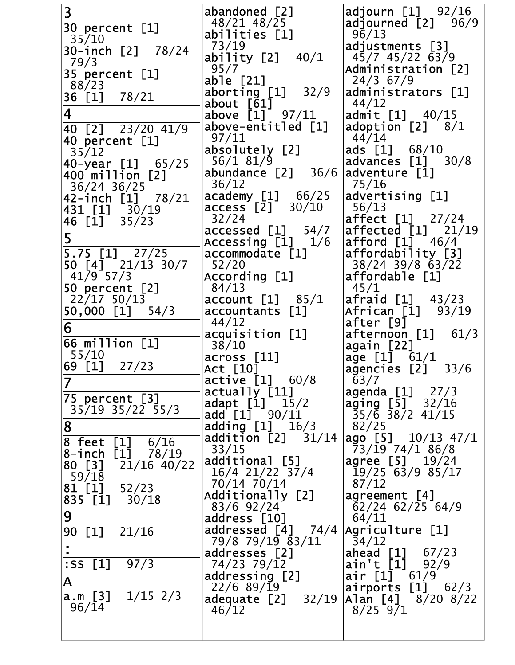| $\overline{\mathbf{3}}$     | abandoned [2]                               | adjourn $[1]$ 92/16                                                |  |
|-----------------------------|---------------------------------------------|--------------------------------------------------------------------|--|
| 30 percent [1]              | 48/21 48/25                                 | adjourned [2]<br>96/9                                              |  |
| 35/10                       | abilities [1]                               | 96/13                                                              |  |
| 30-inch [2] 78/24           | 73/19                                       | adjustments [3]                                                    |  |
| 79/3                        | ability [2]<br>40/1                         | 45/7 45/22 63/9                                                    |  |
| 35 percent [1]              | 95/7                                        | Administration [2]                                                 |  |
| 88/23                       | able [21]                                   | $24/3$ 67/9                                                        |  |
| 36 [1] 78/21                | aborting [1]<br>32/9                        | administrators [1]                                                 |  |
|                             | about $[61]$                                | 44/12                                                              |  |
| $\overline{4}$              | above [1] 97/11                             | $\lambda$ admit [1] $40/15$                                        |  |
| 40 [2] 23/20 41/9           | above-entitled [1]                          | adoption $[2]$ 8/1                                                 |  |
| $ 40$ percent [1]           | 97/11                                       | 44/14                                                              |  |
| 35/12                       | absolutely [2]                              | ads $[1]$ $68/10$                                                  |  |
| 4 <b>0-year [1]</b> 65/25   | 56/1 81/9                                   | advances $[1]$ 30/8                                                |  |
| 400 million [2]             | abundance $[2]$ 36/6                        | adventure [1]                                                      |  |
| 36/24 36/25                 | 36/12                                       | 75/16                                                              |  |
| 42-inch [1] 78/21           | <b>academy [1]</b> 66/25                    | advertising [1]                                                    |  |
| 431 [1]<br>30/19            | access [2]<br>30/10<br>32/24                | 56/13<br>affect [1] 27/24                                          |  |
| 46 [1]<br>35/23             | accessed [1]                                |                                                                    |  |
| 5                           | 54/7                                        | $\lambda$ affected [1] $\lambda$ 21/19<br>  <b>afford [1]</b> 46/4 |  |
| $\overline{5.75}$ [1] 27/25 | Accessing $[1]$ $1/6$<br>accommodate [1]    | affordability [3]                                                  |  |
| 50 [4] $21/13$ 30/7         | 52/20                                       | 38/24 39/8 63/22                                                   |  |
| $41/9$ 57/3                 | According [1]                               | affordable [1]                                                     |  |
| 50 percent [2]              | 84/13                                       | 45/1                                                               |  |
| $22/17$ 50/13               | account $[1]$ 85/1                          | afraid [1]<br>43/23                                                |  |
| 50,000 [1]<br>54/3          | accountants [1]                             | African [1] 93/19                                                  |  |
| 6                           | 44/12                                       | after [9]                                                          |  |
|                             | acquisition [1]                             | afternoon [1]<br>61/3                                              |  |
| 66 million [1]              | 38/10                                       | again [22]                                                         |  |
| 55/10                       | across [11]                                 | age [1] 61/1                                                       |  |
| 69 [1]<br>27/23             | Act [10]                                    | agencies [2]<br>33/6                                               |  |
| $\overline{\phantom{a}}$    | $\arctive$ [1] 60/8                         | 63/7                                                               |  |
| 75 percent [3]              | actually [11]                               | agenda [1]<br>27/3                                                 |  |
| 35/19 35/22 55/3            | adapt [1]<br>15/2                           | aging [5]<br>32/16                                                 |  |
|                             | add $[1]$ 90/11                             | $35/6$ 38/2 41/15                                                  |  |
| 8                           | adding [1]<br>16/3<br>addition [2]<br>31/14 | 82/25<br>$\log 5$ 10/13 47/1                                       |  |
| 8 feet<br>6/16<br>$[1]$     | 33/15                                       | 73/19 74/1 86/8                                                    |  |
| 78/19<br>$8 - inch$<br>[1]  | additional [5]                              | agree [5]<br>19/24                                                 |  |
| 80 [3]<br>$21/16$ 40/22     | 16/4 21/22 37/4                             | $19/25$ 63/9 85/17                                                 |  |
| 59/18                       | 70/14 70/14                                 | 87/12                                                              |  |
| 81 [1]<br>52/23             | Additionally [2]                            | agreement [4]                                                      |  |
| 835 [1]<br>30/18            | 83/6 92/24                                  | $62/24$ 62/25 64/9                                                 |  |
| 9                           | address [10]                                | 64/11                                                              |  |
| 90<br>$[1]$<br>21/16        | addressed [4]<br>74/4                       | Agriculture [1]                                                    |  |
| Ť.                          | 79/8 79/19 83/11                            | 34/12                                                              |  |
|                             | addresses [2]                               | ahead [1]<br>67/23                                                 |  |
| $[1]$<br>97/3<br>:SS        | 74/23 79/12                                 | ain't [1]<br>92/9                                                  |  |
| A                           | addressing [2]                              | air [1]<br>61/9                                                    |  |
| $a.m$ [3]<br>$1/15$ 2/3     | 22/6 89/19                                  | airports<br>$\left[1\right]$<br>62/3                               |  |
| 96/14                       | adequate [2]<br>32/19<br>46/12              | Alan [4]<br>$8/20$ $8/22$<br>$8/25$ 9/1                            |  |
|                             |                                             |                                                                    |  |
|                             |                                             |                                                                    |  |
|                             |                                             |                                                                    |  |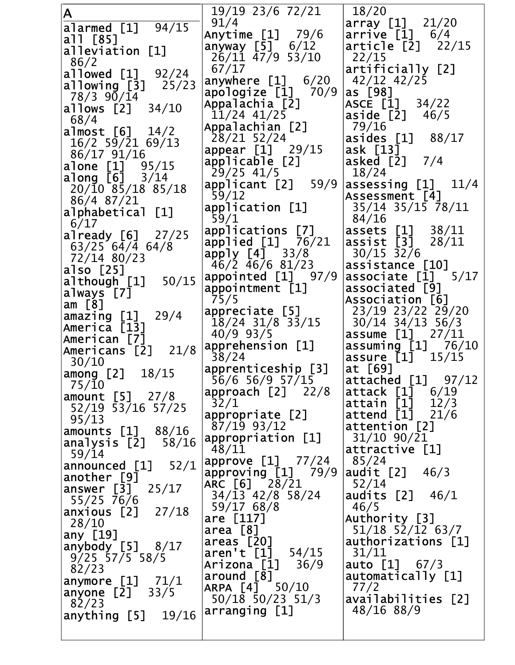| A                              | 19/19 23/6 72/21                          | 18/20                                  |  |
|--------------------------------|-------------------------------------------|----------------------------------------|--|
| 94/15<br>alarmed [1]           | 91/4                                      | array [1]<br>21/20                     |  |
| all [85]                       | Anytime [1]<br>79/6                       | arrive [1]<br>6/4                      |  |
| $ $ alleviation [1]            | anyway [5]<br>6/12                        | 22/15<br>article [2]                   |  |
| 86/2                           | 26/11 47/9 53/10                          | 22/15                                  |  |
| $ $ allowed [1]<br>92/24       | 67/17                                     | artificially [2]                       |  |
| 25/23<br>allowing [3]          | 6/20<br>anywhere [1]                      | 42/12 42/25                            |  |
| 78/3 90/14                     | apologize [1]<br>70/9                     | as [98]                                |  |
| $ $ allows [2] 34/10           | Appalachia [2]                            | ASCE [1]<br>34/22                      |  |
| 68/4                           | $11/24$ 41/25                             | aside [2]<br>46/5                      |  |
| $ {\rm almost~[6]}$ 14/2       | Appalachian [2]                           | 79/16                                  |  |
| $16/2$ 59/21 69/13             | $28/21$ 52/24                             | asides [1]<br>88/17                    |  |
| 86/17 91/16                    | appear $[1]$ 29/15                        | ask [13]                               |  |
| alone [1]<br>95/15             | applicable [2]                            | asked [2]<br>7/4                       |  |
| $ $ along [6] $3/14$           | 29/25 41/5                                | 18/24                                  |  |
| $20/\overline{10}$ 85/18 85/18 | applicant $[2]$ 59/9 assessing $[1]$      | 11/4                                   |  |
| 86/4 87/21                     | 59/12                                     | Assessment [4]                         |  |
| alphabetical [1]               | application [1]                           | 35/14 35/15 78/11                      |  |
| 6/17                           | 59/1                                      | 84/16                                  |  |
| already [6]<br>27/25           | applications [7]                          | assets [1]<br>38/11                    |  |
| $63/25$ 64/4 64/8              | applied $[1]$ 76/21                       | assist [3]<br>28/11                    |  |
| 72/14 80/23                    | apply $[4]$ 33/8                          | 30/15 32/6                             |  |
| also [25]                      | $46/2$ 46/6 81/23<br>appointed $[1]$ 97/9 | assistance [10]<br>5/17                |  |
| 50/15<br> although [1]         | appointment [1]                           | associate [1]<br>associated [9]        |  |
| always [7]                     | 75/5                                      | Association [6]                        |  |
| am [8]                         | appreciate [5]                            | 23/19 23/22 29/20                      |  |
| amazing [1]<br>29/4            | 18/24 31/8 33/15                          | $30/14$ $34/13$ $56/3$                 |  |
| America [13]                   | 40/9 93/5                                 | assume $[1]$ 27/11                     |  |
| American [7]                   | $ {\sf approachension\_[1]} $             | assuming $[1]$ 76/10                   |  |
| 21/8<br>Americans [2]          | 38/24                                     | assure $[1]$ 15/15                     |  |
| 30/10                          | apprenticeship [3]                        | at [69]                                |  |
| among [2]<br>18/15             | $56/6$ 56/9 57/15                         | attached $[1]$ 97/12                   |  |
| 75/10<br> amount [5] 27/8      | approach $[2]$ 22/8                       | attack [1]<br>6/19                     |  |
| 52/19 53/16 57/25              | 32/1                                      | attain [1]<br>12/3                     |  |
| 95/13                          | appropriate [2]                           | 21/6<br>attend [1]                     |  |
| $ {\rm amounts~[1]} $<br>88/16 | 87/19 93/12                               | attention [2]                          |  |
| analysis [2]<br>58/16          | appropriation [1]                         | $31/10$ 90/21                          |  |
| 59/14                          | 48/11                                     | attractive [1]                         |  |
| 52/1<br> announced [1]         | approve $[1]$ 77/24                       | 85/24                                  |  |
| another [9]                    | approving [1]<br>79/9                     | audit [2]<br>46/3                      |  |
| answer [3]<br>25/17            | ARC [6] 28/21                             | 52/14                                  |  |
| 55/25 76/6                     | 34/13 42/8 58/24                          | audits [2]<br>46/1                     |  |
| anxious [2]<br>27/18           | 59/17 68/8                                | 46/5                                   |  |
| 28/10                          | are [117]                                 | Authority [3]                          |  |
| any [19]                       | area [8]<br>areas [20]                    | 51/18 52/12 63/7<br>authorizations [1] |  |
| anybody $[5]$ 8/17             | aren't [1]<br>54/15                       | 31/11                                  |  |
| $9/25$ 57/5 58/5               | Arizona [1]<br>36/9                       | auto $[1]$ 67/3                        |  |
| 82/23                          | around [8]                                | automatically [1]                      |  |
| anymore [1]<br>71/1            | ARPA [4] 50/10                            | 77/2                                   |  |
| 33/5<br> anyone [2]            | 50/18 50/23 51/3                          | availabilities [2]                     |  |
| 82/23                          | arranging [1]                             | 48/16 88/9                             |  |
| anything [5]<br>19/16          |                                           |                                        |  |
|                                |                                           |                                        |  |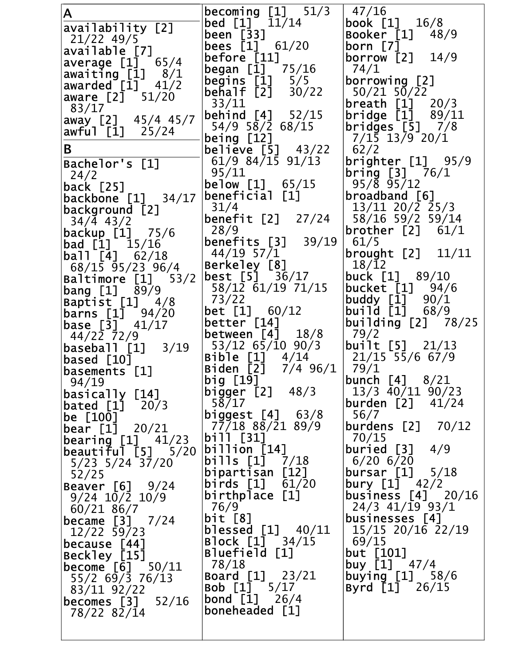| A                         | becoming $[1]$ $51/3$     | 47/16                   |  |
|---------------------------|---------------------------|-------------------------|--|
|                           | bed $[1]$ $11/14$         | book $[1]$ $16/8$       |  |
| availability [2]          | been $[33]$               | Booker [1]<br>48/9      |  |
| 21/22 49/5                | bees [1]<br>61/20         | born $[7]$              |  |
| available [7]             | before [11]               | borrow [2]<br>14/9      |  |
| $\vert$ average [1] 65/4  | began [1] 75/16           | 74/1                    |  |
| awaiting [1]<br>8/1       | begins [1]<br>5/5         | borrowing [2]           |  |
| awarded [1]<br>41/2       | behalf [2]<br>30/22       | 50/21 50/22             |  |
| aware [2] 51/20           | 33/11                     | breath [1]<br>20/3      |  |
| 83/17                     | behind [4]<br>52/15       | bridge [1]<br>89/11     |  |
| away $[2]$ 45/4 45/7      | 54/9 58/2 68/15           | bridges $[5]$ $7/8$     |  |
| 25/24<br> awful [1]       | being $[12]$              | 7/15 13/9 20/1          |  |
| B                         | believe $[5]$ 43/22       | 62/2                    |  |
|                           |                           |                         |  |
| Bachelor's [1]            | 61/9 84/15 91/13<br>95/11 | brighter [1] 95/9       |  |
| 24/2                      |                           | bring $[3]$ 76/1        |  |
| back [25]                 | <b>below</b> $[1]$ 65/15  | $95/\overline{8}$ 95/12 |  |
| <b>backbone [1]</b> 34/17 | beneficial [1]            | broadband [6]           |  |
| background [2]            | 31/4                      | 13/11 20/2 25/3         |  |
| 34/4 43/2                 | benefit [2]<br>27/24      | 58/16 59/2 59/14        |  |
| backup [1] 75/6           | 28/9                      | brother [2]<br>61/1     |  |
| <b>bad [1]</b> 15/16      | benefits [3]<br>39/19     | 61/5                    |  |
| <b>ball [4]</b> 62/18     | 44/19 57/1                | brought [2]<br>11/11    |  |
| 68/15 95/23 96/4          | Berkeley [8]              | 18/12                   |  |
| $ $ Baltimore $[1]$ 53/2  | best [5] 36/17            | buck [1] 89/10          |  |
| bang [1] 89/9             | 58/12 61/19 71/15         | bucket $[1]$ 94/6       |  |
| Baptist [1]<br>4/8        | 73/22                     | buddy [1] 90/1          |  |
| <b>barns [1]</b> 94/20    | bet [1]<br>60/12          | build $[1]$<br>68/9     |  |
| $\vert$ base [3] 41/17    | better [14]               | building $[2]$ $78/25$  |  |
| 44/22 72/9                | between $[4]$ $18/8$      | 79/2                    |  |
| baseball [1]<br>3/19      | 53/12 65/10 90/3          | <b>built [5]</b> 21/13  |  |
| based [10]                | Bible $[1]$<br>4/14       | 21/15 55/6 67/9         |  |
| basements [1]             | Biden [2]<br>7/4 96/1     | 79/1                    |  |
| 94/19                     | big $[19]$                | <b>bunch [4]</b> 8/21   |  |
| basically [14]            | bigger [2]<br>48/3        | $13/3$ 40/11 90/23      |  |
| bated [1]<br>20/3         | 58/17                     | burden [2]<br>41/24     |  |
| be [100]                  | biggest [4]<br>63/8       | 56/7                    |  |
| bear [1]<br>20/21         | 77/18 88/21 89/9          | burdens [2]<br>70/12    |  |
| $\beta$ bearing [1] 41/23 | bill [31]                 | 70/15                   |  |
| beautiful [5]<br>5/20     | billion $[14]$            | buried [3]<br>4/9       |  |
| $5/23$ $5/24$ $37/20$     | bills $[1]$ $7/18$        | $6/20$ 6/20             |  |
| 52/25                     | bipartisan [12]           | bursar [1]<br>5/18      |  |
| Beaver $[6]$ 9/24         | birds [1]<br>61/20        | bury [1]<br>42/2        |  |
| $9/24$ 10/2 10/9          | birthplace [1]            | business $[4]$ 20/16    |  |
| 60/21 86/7                | 76/9                      | $24/3$ 41/19 93/1       |  |
| $ because [3]$ 7/24       | bit [8]                   | businesses [4]          |  |
| 12/22 59/23               | blessed $[1]$ 40/11       | 15/15 20/16 22/19       |  |
| because [44]              | Block [1] 34/15           | 69/15                   |  |
| Beckley [15]              | Bluefield [1]             | but [101]               |  |
| become [6]<br>50/11       | 78/18                     | buy $[1]$ 47/4          |  |
| 55/2 69/3 76/13           | Board [1] 23/21           | buying [1]<br>58/6      |  |
| 83/11 92/22               | <b>Bob</b> $[1] 5/17$     | 26/15<br>Byrd [1]       |  |
| becomes [3]<br>52/16      | <b>bond</b> $[1]$ 26/4    |                         |  |
| 78/22 82/14               | boneheaded [1]            |                         |  |
|                           |                           |                         |  |
|                           |                           |                         |  |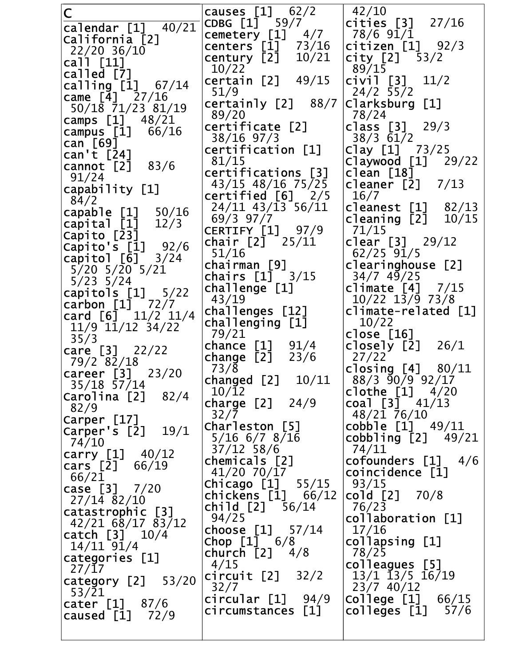| $ \mathsf{C} $                                           | causes $[1]$ $62/2$   | 42/10                  |  |
|----------------------------------------------------------|-----------------------|------------------------|--|
| 40/21<br> calendar [1]                                   | CDBG [1] 59/7         | cities [3]<br>27/16    |  |
| California [2]                                           | cemetery $[1]$ 4/7    | 78/6 91/1              |  |
|                                                          | centers $[1]$ $73/16$ | $ c$ itizen $[1]$ 92/3 |  |
| 22/20 36/10                                              | century [2]<br>10/21  | <b>city [2]</b> 53/2   |  |
| call [11]                                                | 10/22                 | 89/15                  |  |
| called [7]                                               | certain [2]<br>49/15  | civil [3]<br>11/2      |  |
| $ cal\{calling [1] 67/14$                                | 51/9                  | $24/2$ 55/2            |  |
| $\vert$ came [4] 27/16                                   |                       |                        |  |
| 50/18 71/23 81/19                                        | 88/7<br>certainly [2] | Clarksburg [1]         |  |
| $\textsf{camps} \; [1] \; 48/21$                         | 89/20                 | 78/24                  |  |
| campus [1]<br>66/16                                      | certificate [2]       | class $[3]$ 29/3       |  |
| can [69]                                                 | 38/16 97/3            | $38/3$ 61/2            |  |
| can't [24]                                               | certification [1]     | Clay [1]<br>73/25      |  |
| $\vert$ cannot [2] 83/6                                  | 81/15                 | Claywood [1]<br>29/22  |  |
|                                                          | certifications [3]    | clean [18]             |  |
| 91/24                                                    | 43/15 48/16 75/25     | cleaner [2]<br>7/13    |  |
| capability [1]                                           |                       | 16/7                   |  |
| 84/2                                                     | 24/11 43/13 56/11     | cleanest [1]<br>82/13  |  |
| 50/16<br> capable [1]                                    | 69/3 97/7             | cleaning [2]<br>10/15  |  |
| capital [1]<br>12/3                                      | CERTIFY $[1]$ 97/9    | 71/15                  |  |
| Capito [23]                                              | chair $[2]$ $25/11$   | clear $[3]$ 29/12      |  |
| <b>Capito's [1]</b> 92/6                                 | 51/16                 | $62/25$ 91/5           |  |
| $\vert$ capitol [6] $\vert$ 3/24                         |                       |                        |  |
| 5/20 5/20 5/21                                           | chairman [9]          | clearinghouse [2]      |  |
| $5/23$ 5/24                                              | chairs $[1]$ $3/15$   | 34/7 49/25             |  |
| $\vert$ capitols [1] $5/22$                              | challenge [1]         | climate $[4]$ $7/15$   |  |
| $\vert$ carbon [1] $\vert$ 72/7                          | 43/19                 | 10/22 13/9 73/8        |  |
| $\left  \text{card } \left[ 6 \right] 11/2 11/4 \right $ | challenges [12]       | climate-related [1]    |  |
| 11/9 11/12 34/22                                         | challenging [1]       | 10/22                  |  |
| 35/3                                                     | 79/21                 | close $[16]$           |  |
| $\vert$ care [3] 22/22                                   | chance [1]<br>91/4    | closely [2]<br>26/1    |  |
|                                                          | change [2]<br>23/6    | 27/22                  |  |
| 79/2 82/18                                               | 73/8                  | closing [4]<br>80/11   |  |
| $\vert$ career [3] 23/20                                 | changed [2]<br>10/11  | $88/3$ 90/9 92/17      |  |
| $35/18$ $\bar{57/14}$                                    | 10/12                 | clothe [1]<br>4/20     |  |
| Carolina [2]<br>82/4                                     | charge [2]<br>24/9    | coal $[3]$ 41/13       |  |
| 82/9                                                     | 32/7                  | 48/21 76/10            |  |
| Carper [17]                                              | Charleston [5]        | cobble [1]<br>49/11    |  |
| Carper's [2]<br>19/1                                     |                       |                        |  |
| 74/10                                                    | $5/16$ 6/7 8/16       | cobbling [2]<br>49/21  |  |
| $\vert \text{carry [1]} \quad 40/12$                     | $37/12$ 58/6          | 74/11                  |  |
| cars [2]<br>66/19                                        | chemicals [2]         | cofounders [1]<br>4/6  |  |
| 66/21                                                    | 41/20 70/17           | coincidence [1]        |  |
| $ {\sf case}$ [3]<br>7/20                                | Chicago [1]<br>55/15  | 93/15                  |  |
| 27/14 82/10                                              | chickens $[1]$ 66/12  | cold [2]<br>70/8       |  |
| catastrophic [3]                                         | child [2]<br>56/14    | 76/23                  |  |
| 42/21 68/17 83/12                                        | 94/25                 | collaboration [1]      |  |
|                                                          | choose [1]<br>57/14   | 17/16                  |  |
| $ {\sf catch} \quad [3] \quad 10/4$                      | <b>Chop</b> $[1] 6/8$ | collapsing [1]         |  |
| $14/11$ 91/4                                             | 4/8<br>church [2]     | 78/25                  |  |
| categories [1]                                           | 4/15                  | colleagues [5]         |  |
| 27/17                                                    | circuit [2]<br>32/2   | $13/1$ $13/5$ $16/19$  |  |
| 53/20<br> category [2]                                   | 32/7                  | 23/7 40/12             |  |
| 53/21                                                    | circular [1]<br>94/9  | College [1]<br>66/15   |  |
| cater [1]<br>87/6                                        | circumstances [1]     | colleges [1]           |  |
| 72/9<br>  <code>caused</code> [ $1$ ]                    |                       | 57/6                   |  |
|                                                          |                       |                        |  |
|                                                          |                       |                        |  |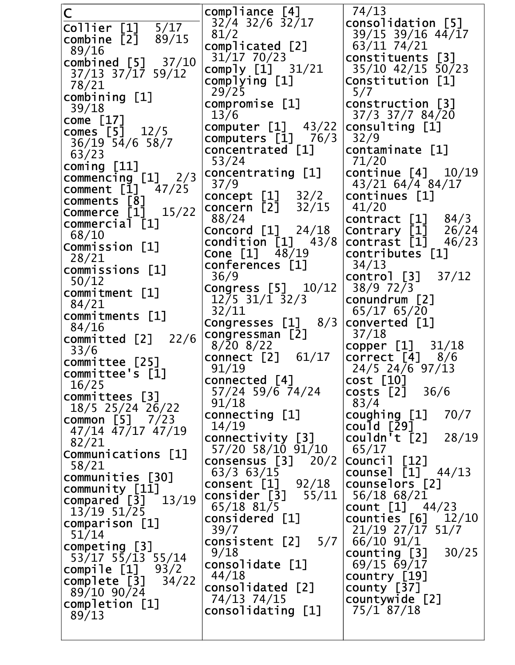| $ {\mathsf C} $                            | compliance [4]                         | 74/13                            |  |
|--------------------------------------------|----------------------------------------|----------------------------------|--|
| 5/17<br> Collier [1]                       | $32/4$ 32/6 32/17                      | consolidation [5]                |  |
| combine [2]<br>89/15                       | 81/2                                   | 39/15 39/16 44/17                |  |
| 89/16                                      | complicated [2]                        | 63/11 74/21                      |  |
| combined [5]<br>37/10                      | $31/17$ 70/23                          | constituents [3]                 |  |
| 37/13 37/17 59/12                          | comply $[1]$ $31/21$                   | 35/10 42/15 50/23                |  |
| 78/21                                      | complying [1]                          | Constitution [1]                 |  |
| combining [1]                              | 29/25                                  | 5/7                              |  |
| 39/18                                      | compromise [1]                         | construction [3]                 |  |
| come [17]                                  | 13/6                                   | 37/3 37/7 84/20                  |  |
| comes [5]<br>12/5                          | computer $[1]$ 43/22                   | consulting [1]                   |  |
| 36/19 54/6 58/7                            | computers $[1]$ 76/3                   | 32/9                             |  |
| 63/23                                      | concentrated [1]<br>53/24              | contaminate [1]<br>71/20         |  |
| coming [11]                                | concentrating [1]                      | continue $[4]$ 10/19             |  |
| $ {\sf commencing}$ [1]<br>2/3             | 37/9                                   | 43/21 64/4 84/17                 |  |
| $  \textsf{comment} \>\>$ [ $1$ ]<br>47/25 | concept [1]<br>32/2                    | continues [1]                    |  |
| comments [8]                               | 32/15<br>concern [2]                   | 41/20                            |  |
| 15/22<br>Commerce [1]                      | 88/24                                  | control [1]<br>84/3              |  |
| commercial [1]                             | Concord [1]<br>24/18                   | Contrary [1]<br>26/24            |  |
| 68/10                                      | condition $[1]$ 43/8                   | contrast [1]<br>46/23            |  |
| $\mid$ Commission $\left[1\right]$         | <b>Cone</b> $[1]$ 48/19                | contributes [1]                  |  |
| 28/21<br>$ $ commissions [1]               | conferences [1]                        | 34/13                            |  |
| 50/12                                      | 36/9                                   | control [3]<br>37/12             |  |
| commitment [1]                             | Congress $[5]$ $10/12$                 | $38/9$ 72/3                      |  |
| 84/21                                      | $12/5$ 31/1 32/3                       | conundrum [2]                    |  |
| COMMitments [1]                            | 32/11                                  | 65/17 65/20                      |  |
| 84/16                                      | Congresses $[1]$ 8/3                   | converted [1]                    |  |
| Committed [2]<br>22/6                      | congressman [2]                        | 37/18                            |  |
| 33/6                                       | $8/20$ $8/22$<br>connect $[2]$ $61/17$ | copper [1]<br>31/18<br>8/6       |  |
| committee [25]                             | 91/19                                  | correct [4]<br>24/5 24/6 97/13   |  |
| committee's [1]                            | connected [4]                          | cost [10]                        |  |
| 16/25                                      | 57/24 59/6 74/24                       | 36/6<br>$costs$ [2]              |  |
| COMMittees [3]                             | 91/18                                  | 83/4                             |  |
| 18/5 25/24 26/22                           | connecting [1]                         | coughing [1]<br>70/7             |  |
| common [5]<br>7/23                         | 14/19                                  | could $[29]$                     |  |
| $47/14$ $47/17$ $47/19$<br>82/21           | connectivity [3]                       | couldn't [2]<br>28/19            |  |
| Communications [1]                         | 57/20 58/10 91/10                      | 65/17                            |  |
| 58/21                                      | consensus [3]<br>20/2                  | Council [12]                     |  |
| communities [30]                           | $63/3$ 63/15                           | counsel [1]<br>44/13             |  |
| community [11]                             | 92/18<br>consent [1]                   | counselors [2]                   |  |
| compared $[3]$ $13/19$                     | consider [3]<br>55/11                  | 56/18 68/21                      |  |
| $13/19$ 51/25                              | $65/18$ 81/5                           | $count$ $[1]$<br>44/23           |  |
| comparison [1]                             | considered [1]                         | counties [6]<br>12/10            |  |
| 51/14                                      | 39/7                                   | 21/19 27/17 51/7<br>$66/10$ 91/1 |  |
| competing [3]                              | 5/7<br>consistent [2]<br>9/18          | counting [3]<br>30/25            |  |
| 53/17 55/13 55/14                          | consolidate [1]                        | 69/15 69/17                      |  |
| compile [1]<br>93/2                        | 44/18                                  | country [19]                     |  |
| complete [3]<br>34/22                      | consolidated [2]                       | county [37]                      |  |
| 89/10 90/24                                | 74/13 74/15                            | countywide [2]                   |  |
| $\mid$ comp $\mid$ etion [1]<br>89/13      | consolidating [1]                      | 75/1 87/18                       |  |
|                                            |                                        |                                  |  |
|                                            |                                        |                                  |  |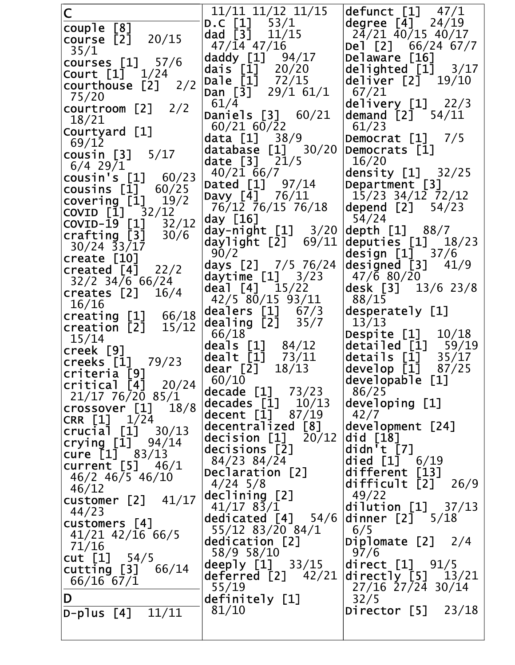| $\mathsf{C}$                                | 11/11 11/12 11/15                                       | <b>defunct [1]</b> 47/1                         |  |
|---------------------------------------------|---------------------------------------------------------|-------------------------------------------------|--|
| couple [8]                                  | D.C [1]<br>53/1                                         | degree [4] 24/19                                |  |
| 20/15                                       | dad [3]<br>11/15                                        | $24/21$ 40/15 40/17                             |  |
| course [2]                                  | $47/14$ $47/16$                                         | Del [2] 66/24 67/7                              |  |
| 35/1                                        | daddy $[1]$ 94/17                                       | Delaware [16]                                   |  |
| <code>Courses [1] <math>57/6</math></code>  | dais [1]<br>20/20                                       | delighted [1]<br>3/17                           |  |
| Court [1]<br>1/24                           | Dale [1] 72/15                                          | deliver [2] 19/10                               |  |
| courthouse [2]<br>2/2                       | Dan [3] $29/1$ 61/1                                     | 67/21                                           |  |
| 75/20                                       | 61/4                                                    | $delivery [1]$ 22/3                             |  |
| Courtroom [2]<br>2/2                        | Daniels [3]<br>60/21                                    | demand $[2] 54/11$                              |  |
| 18/21                                       | $60/21$ 60/22                                           | 61/23                                           |  |
| Courtyard [1]                               | data $[1] 38/9$                                         | Democrat [1]<br>7/5                             |  |
| 69/12                                       | database [1]<br>30/20                                   | Democrats [1]                                   |  |
| cousin [3]<br>5/17                          | date [3]<br>21/5                                        | 16/20                                           |  |
| $6/4$ 29/1                                  | 40/2166/7                                               | density $\begin{bmatrix} 1 \end{bmatrix}$ 32/25 |  |
| cousin's [1]<br>60/23                       | Dated $[1]$ 97/14                                       | Department [3]                                  |  |
| 60/25<br>  <code>Cousins [1]</code>         | Davy [4]<br>76/11                                       | 15/23 34/12 72/12                               |  |
| $ {\sf covering}^-$ [1]<br>19/2             | 76/12 76/15 76/18                                       | depend [2]<br>54/23                             |  |
| 32/12<br>$\vert$ COVID $\[1]$               | day [16]                                                | 54/24                                           |  |
| $\overline{\textsf{COVID-19}}$ [1]<br>32/12 | day-night [1]                                           | $3/20$ depth $[1]$<br>88/7                      |  |
| crafting [3]<br>30/6                        | 69/11                                                   |                                                 |  |
| $30/24$ 33/17                               | daylight [2]<br>90/2                                    | deputies $[1]$ $18/23$<br>design [1] 37/6       |  |
| $\vert$ create [10]                         |                                                         |                                                 |  |
| $ {\sf created}\>\>\>$ [4] $\>$<br>22/2     | days [2] 7/5 76/24                                      | $\vert$ designed [3]<br>41/9                    |  |
| 32/2 34/6 66/24                             | daytime [1]<br>3/23                                     | 47/6 80/20                                      |  |
| creates [2]<br>16/4                         | deal $[4]$ $15/22$                                      | desk [3] 13/6 23/8                              |  |
| 16/16                                       | 42/5 80/15 93/11                                        | 88/15                                           |  |
| creating [1]<br>66/18                       | dealers [1]<br>67/3                                     | desperately [1]                                 |  |
| 15/12<br>creation [2]                       | dealing [2]<br>35/7                                     | 13/13                                           |  |
| 15/14                                       | 66/18                                                   | Despite [1]<br>10/18                            |  |
| creek [9]                                   | deals [1]<br>84/12                                      | detailed [1]<br>59/19                           |  |
| creeks [1]<br>79/23                         | dealt [1]<br>73/11                                      | details [1]<br>35/17                            |  |
| criteria [9]                                | dear [2]<br>18/13                                       | develop [1]<br>87/25                            |  |
| critical [4] <br>20/24                      | 60/10                                                   | developable [1]                                 |  |
| 21/17 76/20 85/1                            | decade [1]<br>73/23                                     | 86/25                                           |  |
| 18/8<br>$ {\mathsf{crossover}}\;$ [1]       | decades $[1]$ $10/13$                                   | developing [1]                                  |  |
| <b>CRR [1]</b><br>1/24                      | decent $[1]$ 87/19                                      | 42/7                                            |  |
| crucial [1]<br>30/13                        | decentralized [8]                                       | development [24]                                |  |
| 94/14<br>crying [1]                         | $ \texttt{decision}[\;1]$<br>20/12                      | did [18]                                        |  |
| cure [1]<br>83/13                           | decisions [2]                                           | didn't [7]                                      |  |
| $\vert$ current [5] 46/1                    | 84/23 84/24                                             | died $[1]$ $6/19$                               |  |
| 46/2 46/5 46/10                             | Declaration [2]                                         | different [13]                                  |  |
| 46/12                                       | $4/24$ 5/8                                              | difficult [2]<br>26/9                           |  |
| 41/17<br>customer [2]                       | declining [2]                                           | 49/22                                           |  |
| 44/23                                       | $41/17$ 83/1                                            | dilution [1]<br>37/13                           |  |
| customers [4]                               | dedicated [4]<br>54/6                                   | <b>dinner [2]</b> 5/18                          |  |
| 41/21 42/16 66/5                            | 55/12 83/20 84/1                                        | 6/5                                             |  |
| 71/16                                       | dedication [2]                                          | Diplomate [2]<br>2/4                            |  |
| $ {\sf cut}~~[1]$<br>54/5                   | 58/9 58/10                                              | 97/6                                            |  |
| cutting [3]<br>66/14                        | $\begin{bmatrix} \text{deeply} & 1 \end{bmatrix}$ 33/15 | <b>direct [1]</b> 91/5                          |  |
| 66/16 67/1                                  | deferred $[2]$ 42/21                                    | $\textsf{divectly}$ [5] $\texttt{13/21}$        |  |
|                                             | 55/19                                                   | 27/16 27/24 30/14                               |  |
| D                                           | definitely [1]                                          | 32/5                                            |  |
| 11/11<br>$D-p$ lus $[4]$                    | 81/10                                                   | Director [5]<br>23/18                           |  |
|                                             |                                                         |                                                 |  |
|                                             |                                                         |                                                 |  |
|                                             |                                                         |                                                 |  |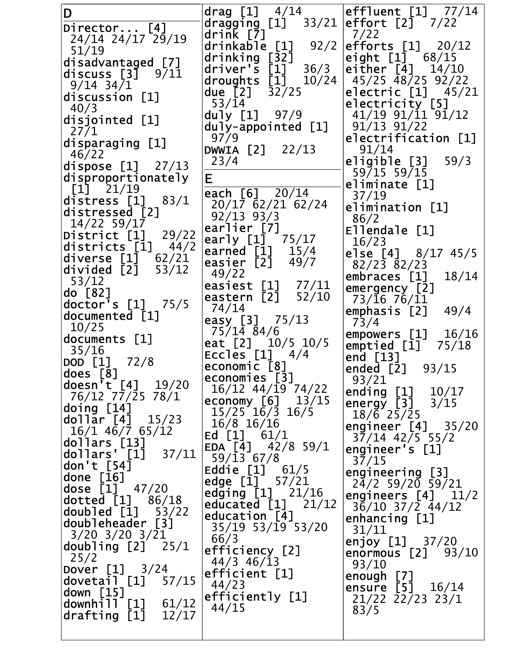| D                                | drag $[1]$ 4/14                              | <b>effluent [1]</b> 77/14         |  |
|----------------------------------|----------------------------------------------|-----------------------------------|--|
| Director [4]                     | dragging $[1]$ 33/21 effort $[2]$ 7/22       |                                   |  |
| 24/14 24/17 29/19                | drink $[7]$                                  | 7/22                              |  |
| 51/19                            | drinkable [1]<br>92/2                        | leftorts [1] 20/12                |  |
| disadvantaged [7]                | drinking [32]                                | $\textsf{eight} \; [1] \; 68/15$  |  |
| discuss [3]<br>9/11              | driver's [1]<br>36/3                         | either [4]<br>14/10               |  |
| $9/14$ 34/1                      | droughts [1]                                 | $10/24$   45/25 48/25 92/22       |  |
| $\overline{\textsf{diss}}$ $[1]$ | due $[2]$ $32/25$                            | electric $[1]$ 45/21              |  |
| 40/3                             | 53/14                                        | electricity [5]                   |  |
| disjointed [1]                   | duly $[1]$ 97/9                              | 41/19 91/11 91/12                 |  |
| 27/1                             | duly-appointed [1]                           | 91/13 91/22                       |  |
| disparaging [1]                  | 97/9                                         | electrification [1]               |  |
| 46/22                            | DWWIA [2]<br>22/13                           | 91/14                             |  |
| dispose [1]<br>27/13             | 23/4                                         | eligible [3]<br>59/3              |  |
| disproportionately               | E.                                           | 59/15 59/15                       |  |
| $[1]$ $21/19$                    | each $[6]$ 20/14                             | eliminate [1]<br>37/19            |  |
| distress $[1]$ 83/1              | 20/17 62/21 62/24                            | elimination [1]                   |  |
| distressed [2]                   | $92/13$ 93/3                                 | 86/2                              |  |
| 14/22 59/17                      | earlier [7]                                  | Ellendale [1]                     |  |
| District [1] 29/22               | early $[1]$ 75/17                            | 16/23                             |  |
| districts [1] 44/2               | earned [1]<br>15/4                           | else $[4]$ $8/17$ $45/5$          |  |
| diverse [1] 62/21                | easier [2]<br>49/7                           | 82/23 82/23                       |  |
| divided [2]<br>53/12             | 49/22                                        | embraces [1]<br>18/14             |  |
| 53/12                            | easiest [1]<br>77/11                         | emergency [2]                     |  |
| do [82]                          | 52/10<br>eastern [2]                         | 73/16 76/11                       |  |
| doctor's $[1]$ 75/5              | 74/14                                        | 49/4<br>emphasis [2]              |  |
| documented [1]                   | easy $[3]$ 75/13                             | 73/4                              |  |
| 10/25                            | 75/14 84/6                                   | empowers [1]<br>16/16             |  |
| documents [1]<br>35/16           | eat $[2]$ $10/5$ $10/5$                      | emptied [1]<br>75/18              |  |
|                                  | Eccles $[1]$ 4/4                             | end [13]                          |  |
| DOD [1]<br>72/8                  | economic [8]                                 | ended [2]<br>93/15                |  |
| does $[8]$<br>doesn't [4] 19/20  | economies [3]                                | 93/21                             |  |
| 76/12 77/25 78/1                 | 16/12 44/19 74/22                            | ending [1]<br>10/17               |  |
| doing [14]                       | economy [6]<br>13/15                         | energy [3]<br>3/15                |  |
| dollar [4] 15/23                 | $15/25$ 16/3 16/5                            | $18/6$ 25/25                      |  |
| $16/1$ 46/7 65/12                | $16/8$ 16/16                                 | engineer $[4]$ 35/20              |  |
| dollars [13]                     | Ed $[1]$ $61/1$                              | $37/14$ 42/5 55/2                 |  |
| dollars' [1]<br>37/11            | <b>EDA</b> [4]<br>42/8 59/1                  | engineer's [1]                    |  |
| don't [54]                       | 59/13 67/8                                   | 37/15                             |  |
| done [16]                        | <b>Eddie [1]</b> $61/5$<br>57/21<br>edge [1] | engineering [3]                   |  |
| dose $[1]$ 47/20                 | 21/16                                        | 24/2 59/20 59/21                  |  |
| dotted $[1]$ 86/18               | edging [1]<br>educated [1]<br>21/12          | engineers $[4]$ $11/2$            |  |
| doubled [1]<br>53/22             | education [4]                                | $36/10$ $37/2$ $44/12$            |  |
| doubleheader [3]                 | 35/19 53/19 53/20                            | enhancing [1]                     |  |
| 3/20 3/20 3/21                   | 66/3                                         | 31/11                             |  |
| $ $ doubling [2] $25/1$          | efficiency [2]                               | enjoy $[1]$ 37/20                 |  |
| 25/2                             | $44/3$ 46/13                                 | enormous [2]<br>93/10             |  |
| <b>Dover</b> $[1]$ $3/24$        | efficient [1]                                | 93/10                             |  |
| dovetail [1]<br>57/15            | 44/23                                        | enough [7]<br>ensure [5]<br>16/14 |  |
| down $[15]$                      | efficiently [1]                              | 21/22 22/23 23/1                  |  |
| downhill $[1]$<br>61/12          | 44/15                                        | 83/5                              |  |
| drafting [1]<br>12/17            |                                              |                                   |  |
|                                  |                                              |                                   |  |
|                                  |                                              |                                   |  |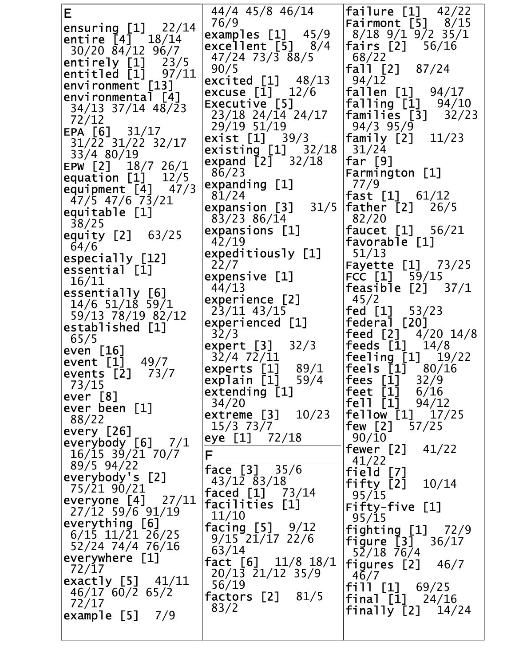| E                     | 44/4 45/8 46/14          | failure $[1]$ 42/22            |  |
|-----------------------|--------------------------|--------------------------------|--|
| 22/14<br>ensuring [1] | 76/9                     | Fairmont $[5]$ 8/15            |  |
| entire [4] 18/14      | examples $[1]$ 45/9      | $8/18$ 9/1 9/2 35/1            |  |
|                       | excellent $[5]$ 8/4      | fairs [2]<br>56/16             |  |
| 30/20 84/12 96/7      | 47/24 73/3 88/5          | 68/22                          |  |
| entirely [1]<br>23/5  | 90/5                     | fall [2] 87/24                 |  |
| entitled [1]<br>97/11 | excited [1]<br>48/13     | 94/12                          |  |
| environment [13]      | excuse $[1]$ 12/6        | fallen [1]<br>94/17            |  |
| environmental [4]     | Executive [5]            | falling [1] 94/10              |  |
| 34/13 37/14 48/23     | 23/18 24/14 24/17        | families [3]<br>32/23          |  |
| 72/12                 | 29/19 51/19              | $94/3$ 95/9                    |  |
| EPA [6]<br>31/17      | exist $[1]$ 39/3         | family [2]<br>11/23            |  |
| 31/22 31/22 32/17     | existing $[1]$ 32/18     | 31/24                          |  |
| 33/4 80/19            | expand [2]<br>32/18      | far [9]                        |  |
| EPW [2]<br>18/7 26/1  |                          |                                |  |
| equation [1]<br>12/5  | 86/23                    | Farmington [1]                 |  |
| equipment $[4]$ 47/3  | expanding [1]            | 77/9                           |  |
| 47/5 47/6 73/21       | 81/24                    | fast $[1]$ $61/12$             |  |
| equitable [1]         | expansion [3]<br>31/5    | $\mathsf{father}$ $[2]$ $26/5$ |  |
| 38/25                 | 83/23 86/14              | 82/20                          |  |
| equity $[2]$ 63/25    | expansions [1]           | <b>faucet</b> $[1]$ $56/21$    |  |
| 64/6                  | 42/19                    | favorable [1]                  |  |
| especially [12]       | expeditiously [1]        | 51/13                          |  |
| essential [1]         | 22/7                     | <b>Fayette</b> [1] 73/25       |  |
| 16/11                 | expensive $[1]$          | FCC $[1]$ 59/15                |  |
| essentially [6]       | 44/13                    | feasible $[2]$ 37/1            |  |
| 14/6 51/18 59/1       | experience [2]           | 45/2                           |  |
| 59/13 78/19 82/12     | 23/11 43/15              | fed $[1]$ 53/23                |  |
| established [1]       | experienced [1]          | federal [20]                   |  |
| 65/5                  | 32/3                     | <b>feed</b> [2] $4/20$ 14/8    |  |
| even [16]             | expert [3]<br>32/3       | feeds $[1]$ $14/8$             |  |
| event [1]<br>49/7     | $32/4$ $72/11$           | feeling [1] 19/22              |  |
| 73/7<br>events [2]    | 89/1<br>experts [1]      | feels [1]<br>80/16             |  |
| 73/15                 | explain [1]<br>59/4      | <b> fees [1]</b> 32/9          |  |
| ever $[8]$            | extending [1]            | feet $[1]$<br>6/16             |  |
| ever been $[1]$       | 34/20                    | fell $[1]$<br>94/12            |  |
| 88/22                 | extreme [3]<br>10/23     | $f$ ellow [1] $17/25$          |  |
| levery [26]           | $15/3$ 73/7              | <b>few</b> $[2]$ 57/25         |  |
| everybody $[6]$ $7/1$ | eye [1] 72/18            | 90/10                          |  |
| 16/15 39/21 70/7      | F                        | fewer [2]<br>41/22             |  |
| 89/5 94/22            |                          | 41/22                          |  |
| everybody's [2]       | <b>face</b> $[3]$ $35/6$ | field [7]                      |  |
| 75/21 90/21           | $43/12$ 83/18            | fifty [2]<br>10/14             |  |
| everyone $[4]$ 27/11  | faced [1]<br>73/14       | 95/15                          |  |
| 27/12 59/6 91/19      | facilities [1]           | Fifty-five [1]                 |  |
| everything [6]        | 11/10                    | 95/15                          |  |
| 6/15 11/21 26/25      | facing $[5]$ $9/12$      | fighting $[1]$ $72/9$          |  |
| 52/24 74/4 76/16      | $9/15$ 21/17 22/6        | figure [3]<br>36/17            |  |
| everywhere [1]        | 63/14                    | $52/18$ 76/4                   |  |
| 72/17                 | fact $[6]$ $11/8$ $18/1$ | figures [2]<br>46/7            |  |
| exactly $[5]$ 41/11   | 20/13 21/12 35/9         | 46/7                           |  |
| 46/17 60/2 65/2       | 56/19                    | $f11$ [1] 69/25                |  |
| 72/17                 | factors [2]<br>81/5      | final $[1]$<br>24/16           |  |
| example [5]<br>7/9    | 83/2                     | finally $[2]$ 14/24            |  |
|                       |                          |                                |  |
|                       |                          |                                |  |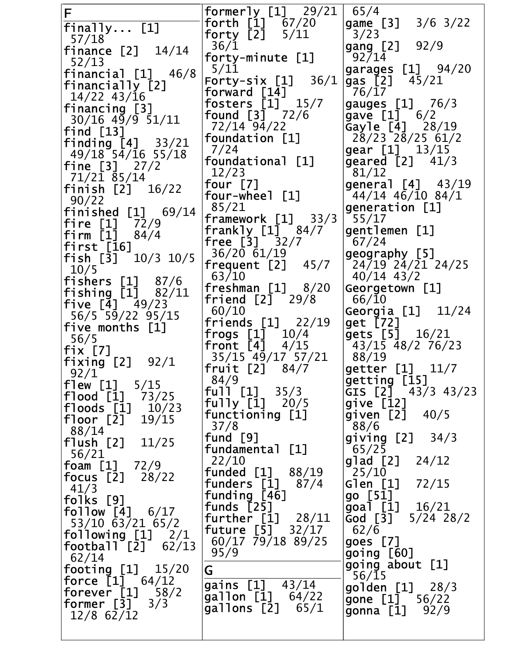| ΙF                                                      | formerly $[1]$ 29/21       | 65/4                                                    |  |
|---------------------------------------------------------|----------------------------|---------------------------------------------------------|--|
| $\left  \textsf{final1y}[1]\right $                     | <b>forth</b> $[1]$ $67/20$ | game [3]<br>$3/6$ 3/22                                  |  |
| 57/18                                                   | forty $[2]$<br>5/11        | 3/23                                                    |  |
| <b>finance [2]</b> 14/14                                | 36/1                       | 92/9<br>gang [2]                                        |  |
| 52/13                                                   | forty-minute [1]           | 92/14                                                   |  |
| $\left  \text{finarcial} \right  \left[ 1 \right]$ 46/8 | 5/11                       | garages [1] 94/20                                       |  |
| financially [2]                                         | Forty-six [1]<br>36/1      | gas [2]<br>45/21                                        |  |
| 14/22 43/16                                             | forward [14]               | 76/17                                                   |  |
| financing [3]                                           | fosters $[1]$ 15/7         | gauges [1] 76/3                                         |  |
| $30/16$ 49/9 51/11                                      | found $[3]$ $72/6$         | gave [1]<br>6/2                                         |  |
| find $[13]$                                             | 72/14 94/22                | Gayle [4] 28/19                                         |  |
| $\textsf{finding} [4] 33/21$                            | foundation [1]             | 28/23 28/25 61/2                                        |  |
| 49/18 54/16 55/18                                       | 7/24                       | $\left[\begin{array}{ccc} 1 & 13/15 \end{array}\right]$ |  |
| <b>fine [3]</b> 27/2                                    | foundational [1]           | geared [2]<br>41/3                                      |  |
| 71/21 85/14                                             | 12/23                      | 81/12                                                   |  |
| <b>finish [2]</b> 16/22                                 | four [7]                   | general $[4]$ 43/19                                     |  |
| 90/22                                                   | four-wheel [1]             | 44/14 46/10 84/1                                        |  |
| $ $ finished [1]<br>69/14                               | 85/21                      | generation [1]                                          |  |
| fire [1]<br>72/9                                        | framework $[1]$ 33/3       | 55/17                                                   |  |
| firm [1]<br>84/4                                        | $franklyl$ [1] $84/7$      | gentlemen [1]                                           |  |
| first [16]                                              | free $[3]$ 32/7            | 67/24                                                   |  |
| fish $[3]$ $10/3$ $10/5$                                | 36/20 61/19                | geography [5]                                           |  |
| 10/5                                                    | $f$ requent $[2]$ 45/7     | 24/19 24/21 24/25                                       |  |
| fishers [1] $\,$<br>87/6                                | 63/10                      | $40/14$ 43/2                                            |  |
| fishing [1]<br>82/11                                    | $f$ reshman $[1]$ 8/20     | Georgetown [1]                                          |  |
| Five $[4]$ 49/23                                        | friend $[2]$ 29/8          | 66/10                                                   |  |
| 56/5 59/22 95/15                                        | 60/10                      | Georgia [1] 11/24                                       |  |
| five months [1]                                         | friends $[1]$ $22/19$      | get [72]                                                |  |
| 56/5                                                    | frogs [1]<br>10/4          | gets [5] 16/21                                          |  |
| fix [7]                                                 | front $[4]$ 4/15           | 43/15 48/2 76/23                                        |  |
| <b>fixing [2]</b><br>92/1                               | 35/15 49/17 57/21          | 88/19                                                   |  |
| 92/1                                                    | fruit [2]<br>84/7          | getter [1] 11/7                                         |  |
| $5/15$<br>flew [1]                                      | 84/9                       | getting [15]<br> GIS [2] <sub>_</sub> 43/               |  |
| flood [1]<br>73/25                                      | full $[1]$ $35/3$          | 43/3 43/23                                              |  |
| floods [1]<br>10/23                                     | fully $[1]$<br>20/5        | give [12]                                               |  |
| floor [2]<br>19/15                                      | functioning [1]            | 40/5<br>given [2]                                       |  |
| 88/14                                                   | 37/8                       | 88/6                                                    |  |
| $flush$ $[2]$<br>11/25                                  | fund [9]                   | giving [2]<br>34/3                                      |  |
| 56/21                                                   | fundamental [1]            | 65/25                                                   |  |
| foam [1]<br>72/9                                        | 22/10                      | glad $[2]$<br>24/12                                     |  |
| 28/22<br>  focus [2]                                    | funded [1]<br>88/19        | 25/10                                                   |  |
| 41/3                                                    | funders [1]<br>87/4        | Glen [1]<br>72/15                                       |  |
| folks [9]                                               | funding [46]               | go [51]                                                 |  |
| $f$ ollow $[4]$<br>6/17                                 | funds $[25]$               | $goal$ $[1]$<br>16/21                                   |  |
| 53/10 63/21 65/2                                        | further [1]<br>28/11       | God $[3]$<br>$5/24$ 28/2                                |  |
| following [1]<br>2/1                                    | future [5]<br>32/17        | 62/6                                                    |  |
| $football$ $[2]$<br>62/13                               | 60/17 79/18 89/25          | goes [7]                                                |  |
| 62/14                                                   | 95/9                       | going $[60]$                                            |  |
| footing [1]<br>15/20                                    | G                          | going about [1]                                         |  |
| force $[1]$ 64/12                                       | gains [1]<br>43/14         | 56/15                                                   |  |
| forever [1]<br>58/2                                     | gallon $[1]$ $64/22$       | golden $[1]$ 28/3                                       |  |
| former [3]<br>3/3                                       | gallons [2]<br>65/1        | 56/22<br>gone $[1]$                                     |  |
| $12/8$ 62/12                                            |                            | gonna [1]<br>92/9                                       |  |
|                                                         |                            |                                                         |  |
|                                                         |                            |                                                         |  |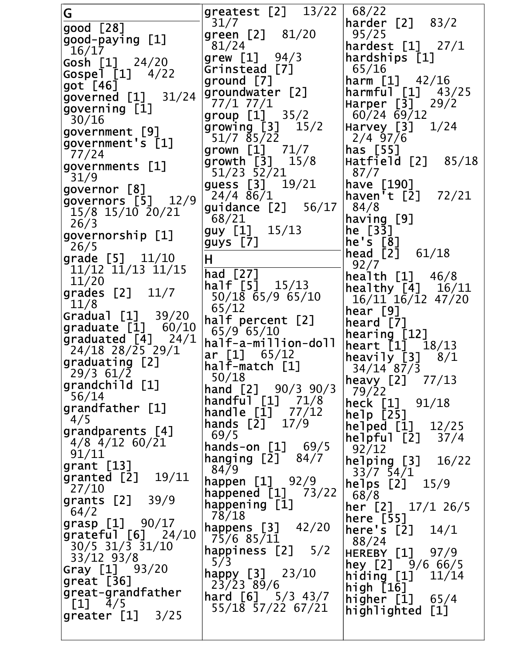| G                                           | greatest [2]<br>13/22                    | 68/22                                       |  |
|---------------------------------------------|------------------------------------------|---------------------------------------------|--|
| good [28]                                   | 31/7                                     | harder [2]<br>83/2                          |  |
| good-paying [1]                             | green [2]<br>81/20                       | 95/25                                       |  |
| 16/17                                       | 81/24                                    | hardest $[1]$ $27/1$                        |  |
| Gosh [1] 24/20                              | grew $[1]$ 94/3                          | hardships [1]                               |  |
| Gospel [1]<br>4/22                          | Grinstead [7]                            | 65/16                                       |  |
| got [46]                                    | ground [7]<br>groundwater [2]            | harm $[1]$<br>42/16<br>harmful [1]<br>43/25 |  |
| $ $ governed [1]<br>31/24                   | 77/177/1                                 | Harper [3]<br>29/2                          |  |
| governing [1]                               | group [1]<br>35/2                        | $60/24$ 69/12                               |  |
| 30/16                                       | growing [3]<br>15/2                      | Harvey [3]<br>1/24                          |  |
| government [9]                              | 51/7 85/22                               | $2/4$ 97/6                                  |  |
| $ $ government's [1]                        | grown $[1]$ $71/7$                       | has [55]                                    |  |
| 77/24                                       | growth [3]<br>15/8                       | Hatfield [2]<br>85/18                       |  |
| $ $ governments [1]                         | 51/23 52/21                              | 87/7                                        |  |
| 31/9<br>governor [8]                        | guess $[3]$ 19/21                        | have [190]                                  |  |
| governors [5]<br>12/9                       | $24/4$ 86/1                              | haven't [2]<br>72/21                        |  |
| 15/8 15/10 20/21                            | guidance [2]<br>56/17                    | 84/8                                        |  |
| 26/3                                        | 68/21                                    | having [9]                                  |  |
| governorship [1]                            | guy $[1]$<br>15/13                       | he $[3\bar{3}]$                             |  |
| 26/5                                        | guys [7]                                 | he's [8]                                    |  |
| grade [5] 11/10                             | H                                        | head [2]<br>61/18                           |  |
| 11/12 11/13 11/15                           | had [27]                                 | 92/7                                        |  |
| 11/20                                       | half $[5]$ $15/13$                       | health $[1]$ 46/8<br>healthy $[4]$<br>16/11 |  |
| grades [2]<br>11/7                          | 50/18 65/9 65/10                         | 16/11 16/12 47/20                           |  |
| 11/8                                        | 65/12                                    | hear [9]                                    |  |
| Gradual [1]<br>39/20                        | half percent [2]                         | heard $[7]$                                 |  |
| graduate [1]<br>60/10                       | $65/9$ 65/10                             | hearing [12]                                |  |
| graduated [4]<br>24/1<br>$24/18$ 28/25 29/1 | half-a-million-doll                      | heart [1]<br>18/13                          |  |
| graduating [2]                              | ar $[1]$ 65/12                           | heavily [3]<br>8/1                          |  |
| $29/3$ 61/2                                 | half-match [1]                           | $34/14$ 87/3                                |  |
| grandchild [1]                              | 50/18                                    | heavy [2]<br>77/13                          |  |
| 56/14                                       | <b>hand</b> $[2]$ 90/3 90/3              | 79/22                                       |  |
| grandfather [1]                             | handful [1]<br>71/8                      | heck $[1]$<br>91/18                         |  |
| 4/5                                         | handle [1]<br>77/12<br>hands [2]<br>17/9 | $help$ $[25]$                               |  |
| grandparents [4]                            | 69/5                                     | helped [1]<br>12/25                         |  |
| $4/8$ $4/12$ 60/21                          | hands-on [1]<br>69/5                     | $he1pfu1$ [2]<br>37/4<br>92/12              |  |
| 91/11                                       | 84/7<br>hanging [2]                      | $heIping$ $[3]$<br>16/22                    |  |
| grant [13]                                  | 84/9                                     | $33/7$ 54/1                                 |  |
| 19/11<br>granted [2]                        | happen $[1]$ 92/9                        | helps [2]<br>15/9                           |  |
| 27/10                                       | happened [1]<br>73/22                    | 68/8                                        |  |
| grants [2]<br>39/9                          | happening [1]                            | her $[2]$ $17/1$ $26/5$                     |  |
| 64/2<br>grasp [1] 90/17                     | 78/18                                    | here $[55]$                                 |  |
| grateful [6] 24/10                          | happens [3]<br>42/20                     | here's [2]<br>14/1                          |  |
| 30/5 31/3 31/10                             | 75/6 85/11                               | 88/24                                       |  |
| $33/12$ 93/8                                | happiness [2]<br>5/2                     | <b>HEREBY</b> [1]<br>97/9                   |  |
| Gray [1]<br>93/20                           | 5/3                                      | hey $[2]$ 9/6 66/5                          |  |
| great [36]                                  | happy $[3]$<br>23/10<br>$23/23$ 89/6     | hiding [1]<br>11/14                         |  |
| great-grandfather                           | hard $[6]$ 5/3 43/7                      | high [16]                                   |  |
| [1]<br>4/5                                  | 55/18 57/22 67/21                        | higher [1]<br>65/4<br>highlighted<br>$[1]$  |  |
| greater [1]<br>3/25                         |                                          |                                             |  |
|                                             |                                          |                                             |  |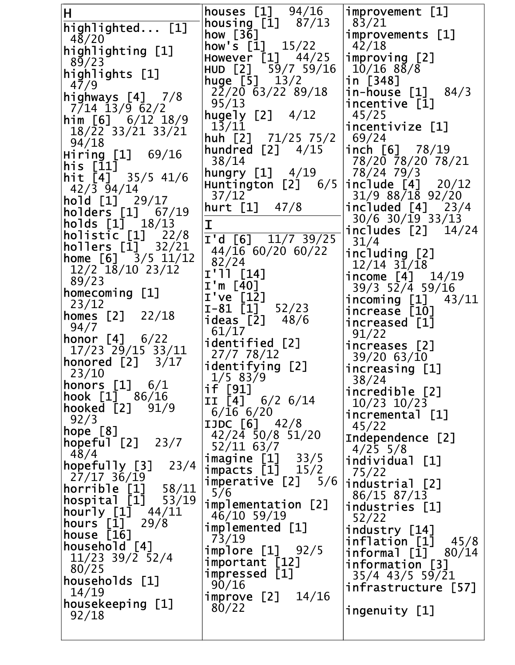| H                                                                | houses [1]<br>94/16                             | improvement [1]                          |  |
|------------------------------------------------------------------|-------------------------------------------------|------------------------------------------|--|
|                                                                  | $housing$ $[1]$<br>87/13                        | 83/21                                    |  |
| $\left  \mathsf{highl}\right $ ighted $\left[ 1\right]$<br>48/20 | how $[36]$                                      | improvements [1]                         |  |
| highlighting [1]                                                 | how's $[1]$ 15/22                               | 42/18                                    |  |
| 89/23                                                            | However $\begin{bmatrix} 1 \end{bmatrix}$ 44/25 | improving [2]                            |  |
| highlights [1]                                                   | $HUD$ $[2]$<br>59/7 59/16                       | $10/16$ 88/8                             |  |
| 47/9                                                             | huge $[5]$ $13/2$                               | in [348]                                 |  |
| highways [4] 7/8                                                 | 22/20 63/22 89/18                               | $in$ -house $[1]$<br>84/3                |  |
| $7/14$ 13/9 62/2                                                 | 95/13                                           | incentive [1]                            |  |
| <b>him</b> [6] $6/12$ 18/9                                       | hugely [2]<br>4/12                              | 45/25                                    |  |
| 18/22 33/21 33/21                                                | 13/11                                           | $incentrice$ [1]                         |  |
| 94/18                                                            | huh $[2]$ $71/25$ $75/2$                        | 69/24                                    |  |
| Hiring [1]<br>69/16                                              | $\lbrack 2 \rbrack$<br>hundred<br>4/15          | $inch$ [6]<br>78/19                      |  |
| his [11]                                                         | 38/14                                           | 78/20 78/20 78/21                        |  |
| <b>hit</b> [4] $35/5$ 41/6                                       | hungry [1]<br>4/19                              | 78/24 79/3                               |  |
| $42/3$ 94/14                                                     | Huntington $[2]$ 6/5                            | include [4]<br>20/12                     |  |
| hold [1]<br>29/17                                                | 37/12                                           | 31/9 88/18 92/20                         |  |
| holders [1] 67/19                                                | hurt $[1]$ 47/8                                 | included $[4]$ 23/4                      |  |
| $ $ holds $[1]$ $18/13$                                          | I                                               | $30/6$ $30/19$ $33/13$                   |  |
| $ $ holistic $[1]$<br>22/8                                       | $\overline{I}$ d [6] 11/7 39/25                 | includes [2]<br>14/24<br>31/4            |  |
| <b>hollers [1]</b> 32/21                                         | 44/16 60/20 60/22                               | including [2]                            |  |
| <b>home [6]</b> $3/5$ 11/12                                      | 82/24                                           | $12/14$ $31/18$                          |  |
| 12/2 18/10 23/12                                                 | $I'$ <sup>11</sup> [14]                         | income $[4]$<br>14/19                    |  |
| 89/23                                                            | I'm [40]                                        | 39/3 52/4 59/16                          |  |
| homecoming [1]                                                   | I've [12]                                       | incoming [1]<br>43/11                    |  |
| 23/12                                                            | $I-81$ [1]<br>52/23                             | increase [10]                            |  |
| homes [2]<br>22/18                                               | ideas [2]<br>48/6                               | increased [1]                            |  |
| 94/7                                                             | 61/17                                           | 91/22                                    |  |
| honor [4]<br>6/22                                                | identified [2]                                  | increases [2]                            |  |
| 17/23 29/15 33/11                                                | 27/7 78/12                                      | 39/20 63/10                              |  |
| honored [2]<br>3/17                                              | identifying [2]                                 | increasing [1]                           |  |
| 23/10<br>honors [1]<br>6/1                                       | 1/5 83/9<br><b>if [91]</b>                      | 38/24                                    |  |
| hook $[1]$<br>86/16                                              |                                                 | incredible [2]                           |  |
| hooked [2]<br>91/9                                               | II $[4]$ 6/2 6/14                               | $10/23$ $10/23$                          |  |
| 92/3                                                             | $6/16$ 6/20                                     | incremental [1]                          |  |
| $  \text{ hope } [8]$                                            | <b>IJDC</b> $[6]$ 42/8                          | 45/22                                    |  |
| hopeful [2]<br>23/7                                              | 42/24 50/8 51/20                                | Independence [2]                         |  |
| 48/4                                                             | $52/11$ 63/7                                    | $4/25$ 5/8                               |  |
| hopefully [3]<br>23/4                                            | 33/5<br>imagine [1]                             | $individual$ [1]                         |  |
| 27/17 36/19                                                      | impacts [1]<br>15/2                             | 75/22                                    |  |
| horrible [1]<br>58/11                                            | imperative [2]<br>5/6                           | industrial [2]                           |  |
| hospital [1]<br>53/19                                            | 5/6<br>implementation [2]                       | $86/15$ 87/13                            |  |
| hourly [1]<br>44/11                                              | $46/10$ 59/19                                   | industries [1]                           |  |
| 29/8<br> hours [1]                                               | implemented [1]                                 | 52/22                                    |  |
| house [16]                                                       | 73/19                                           | industry [14]                            |  |
| household [4]                                                    | implore [1]<br>92/5                             | inflation [1]<br>45/8                    |  |
| $11/23$ 39/2 52/4                                                | important [12]                                  | informal [1]<br>80/14<br>information [3] |  |
| 80/25                                                            | impressed [1]                                   | 35/4 43/5 59/21                          |  |
| households [1]                                                   | 90/16                                           | infrastructure [57]                      |  |
| 14/19                                                            | improve [2]<br>14/16                            |                                          |  |
| housekeeping [1]                                                 | 80/22                                           | ingenuity [1]                            |  |
| 92/18                                                            |                                                 |                                          |  |
|                                                                  |                                                 |                                          |  |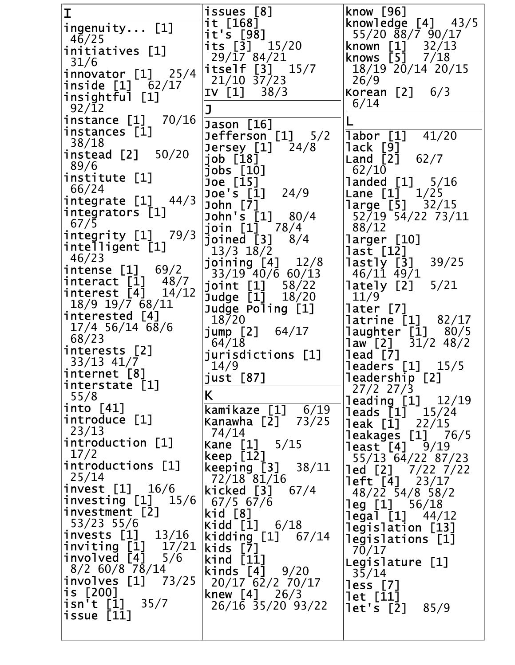| I                         | issues [8]                      | know [96]                                                                                  |  |
|---------------------------|---------------------------------|--------------------------------------------------------------------------------------------|--|
| ingenuity [1]             | it [168]                        | knowledge $[4]$ 43/5                                                                       |  |
| 46/25                     | it's [98]                       | 55/20 88/7 90/17                                                                           |  |
| initiatives [1]           | its $[3]$<br>15/20              | known $[1]$<br>32/13                                                                       |  |
| 31/6                      | 29/17 84/21                     | knows $[5]$<br>7/18                                                                        |  |
| innovator $[1]$ 25/4      | $\vert$ itself [3] $\vert$ 15/7 | 18/19 20/14 20/15                                                                          |  |
| inside [1]<br>62/17       | $21/10$ 37/23                   | 26/9                                                                                       |  |
| insightful [1]            | <b>IV</b> $[1]$ $38/3$          | Korean [2]<br>6/3<br>6/14                                                                  |  |
| 92/12                     | J                               |                                                                                            |  |
| instance [1]<br>70/16     | Jason [16]                      |                                                                                            |  |
| instances [1]             | Jefferson $[1]$ $5/2$           | labor [1]<br>41/20                                                                         |  |
| 38/18                     | Jersey [1]<br>24/8              | lack [9]                                                                                   |  |
| 50/20<br>instead [2]      | job [18]                        | Land $[2]$<br>62/7                                                                         |  |
| 89/6                      | jobs [10]                       | 62/10                                                                                      |  |
| institute [1]             | Joe [15]                        | <b>landed [1]</b> 5/16                                                                     |  |
| 66/24                     | Joe's $[1]$<br>24/9             | <b>Lane</b> $[1]$ $1/25$                                                                   |  |
| integrate $[1]$ 44/3      | John [7]                        | $large$ $5]$<br>32/15                                                                      |  |
| integrators [1]           | John's [1]<br>80/4              | 52/19 54/22 73/11                                                                          |  |
| 67/5                      | join [1]<br>78/4                | 88/12                                                                                      |  |
| integrity $[1]$ 79/3      | joined [3]<br>8/4               | larger [10]                                                                                |  |
| intelligent [1]<br>46/23  | $13/3$ $18/2$                   | last [12]                                                                                  |  |
| intense [1]<br>69/2       | joining [4]<br>12/8             | 39/25<br>lastly [3]                                                                        |  |
| interact [1]<br>48/7      | 33/19 40/6 60/13                | 46/11 49/1                                                                                 |  |
| interest [4]<br>14/12     | joint [1]<br>58/22              | lately [2]<br>5/21                                                                         |  |
| 18/9 19/7 68/11           | Judge [1]<br>18/20              | 11/9                                                                                       |  |
| interested [4]            | Judge Poling [1]                | later [7]                                                                                  |  |
| $17/4$ 56/14 68/6         | 18/20<br>64/17                  | latrine [1]<br>82/17<br>laughter [1]<br>80/5                                               |  |
| 68/23                     | jump [2]<br>64/18               | law [2]<br>$31/2$ 48/2                                                                     |  |
| interests [2]             | jurisdictions [1]               | lead [7]                                                                                   |  |
| 33/13 41/7                | 14/9                            | $\lambda$ leaders $\begin{bmatrix} 1 \end{bmatrix}$ $\begin{bmatrix} 15/5 \end{bmatrix}$   |  |
| internet [8]              | just [87]                       | leadership [2]                                                                             |  |
| interstate [1]            |                                 | $27/2$ 27/3                                                                                |  |
| 55/8                      | K                               | $\lambda$ leading $[1]$ $12/19$                                                            |  |
| into $[41]$               | kamikaze $[1]$ $6/19$           | leads [1]<br>15/24                                                                         |  |
| introduce [1]             | Kanawha [2]<br>73/25            | leak [1]<br>22/15                                                                          |  |
| 23/13                     | 74/14                           | <b>leakages [1] 76/5</b>                                                                   |  |
| introduction [1]          | Kane [1]<br>5/15                | least [4]<br>9/19                                                                          |  |
| 17/2<br>introductions [1] | keep [12]                       | 55/13 64/22 87/23                                                                          |  |
| 25/14                     | 38/11<br>keeping [3]            | $\text{led}$ $\begin{bmatrix} 2 \end{bmatrix}$ $\begin{bmatrix} 7/22 & 7/22 \end{bmatrix}$ |  |
| invest $[1]$ $16/6$       | 72/18 81/16<br>67/4             | left [4]<br>23/17                                                                          |  |
| investing $[1]$ 15/6      | kicked [3]<br>$67/5$ 67/6       | 48/22 54/8 58/2                                                                            |  |
| $investment$ $[2]$        | kid [8]                         | <b>leg</b> [1]<br>56/18                                                                    |  |
| 53/23 55/6                | Kidd $[1] 6/18$                 | legal [1]<br>44/12                                                                         |  |
| 13/16<br>invests [1]      | kidding [1]<br>67/14            | legislation [13]<br>legislations [1]                                                       |  |
| inviting [1]<br>17/21     | kids [7]                        | 70/17                                                                                      |  |
| involved [4]<br>5/6       | kind [11]                       | Legislature [1]                                                                            |  |
| 8/2 60/8 78/14            | kinds [4]<br>9/20               | 35/14                                                                                      |  |
| involves [1]<br>73/25     | 20/17 62/2 70/17                | less [7]                                                                                   |  |
| is [200]                  | knew [4]<br>26/3                | let [11]                                                                                   |  |
| 35/7<br>isn't [1]         | 26/16 35/20 93/22               | let's [2]<br>85/9                                                                          |  |
| $i$ ssue $[11]$           |                                 |                                                                                            |  |
|                           |                                 |                                                                                            |  |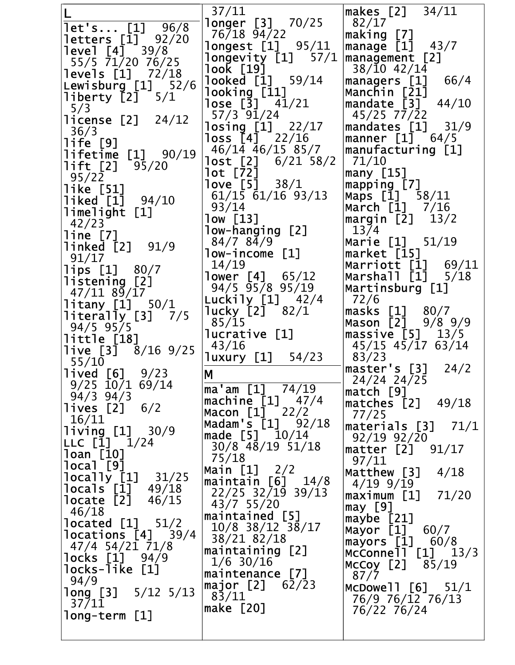|                                                     | 37/11                                      | makes [2]<br>34/11            |  |
|-----------------------------------------------------|--------------------------------------------|-------------------------------|--|
|                                                     | <b>longer [3] 70/25</b>                    | 82/17                         |  |
| 96/8<br>let's [1]                                   |                                            |                               |  |
| letters [1] 92/20                                   | 76/18 94/22                                | making [7]                    |  |
| <b>level</b> $[4]$ $39/8$                           | longest [1] 95/11                          | manage [1]<br>43/7            |  |
| 55/5 71/20 76/25                                    | [ $\texttt{longeyity}$ [1] $\texttt{57/1}$ | $\lvert$ management [2]       |  |
| levels [1]<br>72/18                                 | look [19]                                  | $38/10$ 42/14                 |  |
| <b>Lewisburg [1]</b> 52/6                           | 59/14<br>looked [1]                        | managers [1]<br>66/4          |  |
| liberty [2]<br>5/1                                  | looking [11]                               | Manchin [21]                  |  |
| 5/3                                                 | lose [3] 41/21                             | mandate [3]<br>44/10          |  |
| license [2]<br>24/12                                | 57/3 91/24                                 | 45/25 77/22                   |  |
| 36/3                                                | <b>losing [1]</b> 22/17                    | $\textsf{mandates}$ [1] 31/9  |  |
| $life$ $[9]$                                        | loss [4] 22/16                             | $\mid$ manner [1] $\mid$ 64/5 |  |
| $l$ ifetime $[1]$ 90/19                             | 46/14 46/15 85/7                           | manufacturing [1]             |  |
| lift [2]<br>95/20                                   | lost [2]<br>$6/21$ 58/2                    | 71/10                         |  |
| 95/22                                               | lot [72]                                   | many [15]                     |  |
| like [51]                                           | love [5]<br>38/1                           | mapping [7]                   |  |
| $1$ iked $[1]$ 94/10                                | $61/15$ 61/16 93/13                        | Maps [1] 58/11                |  |
| limelight [1]                                       | 93/14                                      | March [1] 7/16                |  |
| 42/23                                               | low [13]                                   | margin [2]<br>13/2            |  |
| line [7]                                            | low-hanging [2]                            | 13/4                          |  |
| <b>linked</b> [2] 91/9                              | 84/7 84/9                                  | Marie [1] 51/19               |  |
| 91/17                                               | low-income [1]                             | market [15]                   |  |
| lips [1] 80/7                                       | 14/19                                      | 69/11<br>Marriott [1]         |  |
| listening [2]                                       | <b>lower [4]</b> 65/12                     | Marshall [1]<br>5/18          |  |
| 47/11 89/17                                         | 94/5 95/8 95/19                            | Martinsburg [1]               |  |
| litany [1] 50/1                                     | Luckily $[1]$ 42/4                         | 72/6                          |  |
| literally [3]<br>7/5                                | <b>Tucky [2]</b> 82/1                      | masks $[1]$<br>80/7           |  |
| 94/5 95/5                                           | 85/15                                      | Mason [2] 9/8 9/9             |  |
| little [18]                                         | lucrative [1]                              | massive $[5]$ 13/5            |  |
| $1$ ive [3] $8/16$ 9/25                             | 43/16                                      | 45/15 45/17 63/14             |  |
| 55/10                                               | luxury [1]<br>54/23                        | 83/23                         |  |
| lived [6]<br>9/23                                   | M                                          | master's $[3]$<br>24/2        |  |
| $9/25$ 10/1 69/14                                   | $ma'$ am [1] 74/19                         | 24/24 24/25                   |  |
| $94/3$ 94/3                                         |                                            | match [9]                     |  |
| lives [2]<br>6/2                                    | machine [1]<br>47/4                        | matches $[2]$<br>49/18        |  |
| 16/11                                               | Macon [1]<br>22/2<br>92/18                 | 77/25                         |  |
| living [1]<br>30/9                                  | Madam's [1]<br>made [5] 10/14              | materials $[3]$<br>71/1       |  |
| LLC [1]<br>1/24                                     | $30/8$ 48/19 51/18                         | 92/19 92/20                   |  |
| loan [10]                                           | 75/18                                      | matter $[2]$<br>91/17         |  |
| local [9]                                           | Main [1]                                   | 97/11                         |  |
| locally [1]<br>31/25                                | 2/2<br>14/8                                | Matthew [3]<br>4/18           |  |
| 49/18<br>locals [1]                                 | maintain [6]                               | $4/19$ 9/19                   |  |
| locate [2]<br>46/15                                 | 22/25 32/19 39/13                          | $maximum$ [1]<br>71/20        |  |
| 46/18                                               | 43/7 55/20                                 | may [9]                       |  |
| $\textsf{located} \texttt{[1]} \quad \textsf{51/2}$ | $main$ tained $[5]$                        | maybe [21]                    |  |
| $\textsf{locations} \; [4] \; 39/4$                 | 10/8 38/12 38/17                           | Mayor [1]<br>60/7             |  |
| 47/4 54/21 71/8                                     | 38/21 82/18                                | mayors [1]<br>60/8            |  |
| locks [1]<br>94/9                                   | maintaining [2]                            | McConnell [1]<br>13/3         |  |
| locks-like [1]                                      | $1/6$ 30/16                                | McCoy [2]<br>85/19            |  |
| 94/9                                                | maintenance [7]                            | 87/7                          |  |
| long [3]<br>$5/12$ $5/13$                           | major [2]<br>62/23                         | McDowell [6]<br>51/1          |  |
| 37/11                                               | 83/11                                      | 76/9 76/12 76/13              |  |
| long-term [1]                                       | make [20]                                  | 76/22 76/24                   |  |
|                                                     |                                            |                               |  |
|                                                     |                                            |                               |  |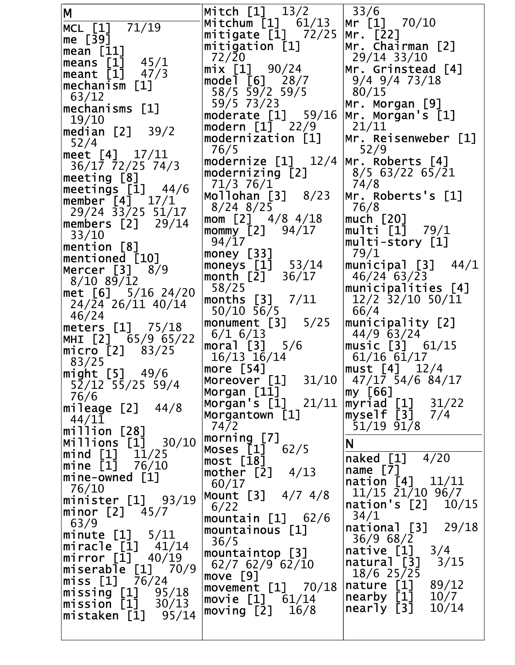| M                                                          | Mitch [1] 13/2                                                                                   | 33/6                                               |
|------------------------------------------------------------|--------------------------------------------------------------------------------------------------|----------------------------------------------------|
| MCL [1]<br>71/19                                           | Mitchum [1] 61/13                                                                                | Mr [1] 70/10                                       |
| me [39]                                                    | mitigate $[1]$ $72/25$                                                                           | MT. [22]                                           |
| mean [11]                                                  | $mitigation$ [1]                                                                                 | $\textsf{Mr.}$ Chairman [2]                        |
| means [1]<br>45/1                                          | $72/\bar{2}0$                                                                                    | 29/14 33/10                                        |
| <code> meant [1]</code><br>47/3                            | mix [1] 90/24                                                                                    | $\textsf{Mr.}$ Grinstead [4]                       |
| mechanism $[1]$                                            | <b>model [6]</b> 28/7                                                                            | 9/4 9/4 73/18                                      |
| 63/12                                                      | 58/5 59/2 59/5                                                                                   | 80/15                                              |
|                                                            | 59/5 73/23                                                                                       | Mr. Morgan [9]                                     |
| <code> mechanisms</code> [1]<br>19/10                      | moderate $\begin{bmatrix} 1 \end{bmatrix}$ 59/16  Mr. Morgan's $\begin{bmatrix} 1 \end{bmatrix}$ |                                                    |
| median [2]<br>39/2                                         | modern [1] 22/9                                                                                  | 21/11                                              |
| 52/4                                                       | modernization [1]                                                                                | $ Mr$ . Reisenweber [1]                            |
| meet $[4]$ $17/11$                                         | 76/5                                                                                             | 52/9                                               |
| 36/17 72/25 74/3                                           | modernize $[1]$ $12/4$ Mr. Roberts $[4]$                                                         |                                                    |
| meeting [8]                                                | modernizing [2]                                                                                  | $8/5$ 63/22 65/21                                  |
| $ meetings$ $[1]$<br>44/6                                  | 71/3 76/1                                                                                        | 74/8                                               |
| member $[4]$ $17/1$                                        | Mollohan [3] 8/23                                                                                | $\textsf{Mr.}$ Roberts's $\textsf{[1]}$            |
| 29/24 33/25 51/17                                          | $8/24$ $8/25$                                                                                    | 76/8                                               |
| members [2]<br>29/14                                       | mom $[2]$ $4/8$ $4/18$                                                                           | $ $ much [20]                                      |
| 33/10                                                      | mommy $[2]$ 94/17                                                                                | multi [1]<br>79/1                                  |
| $ $ mention [8]                                            | 94/17                                                                                            | multi-story [1]                                    |
| mentioned [10]                                             | money [33]                                                                                       | 79/1                                               |
| Mercer [3] 8/9                                             | moneys $[1]$ 53/14                                                                               | $ \textsf{municipal} [3] 44/1$                     |
| 8/10 89/12                                                 | month [2]<br>36/17                                                                               | 46/24 63/23                                        |
| $\lvert \textsf{met [6]} \quad \textsf{5/16 24/20} \rvert$ | 58/25                                                                                            | municipalities [4]                                 |
| 24/24 26/11 40/14                                          | months $[3]$ $7/11$                                                                              | $12/2$ 32/10 50/11                                 |
| 46/24                                                      | $50/10$ 56/5                                                                                     | 66/4                                               |
| meters [1] 75/18                                           | monument [3]<br>5/25                                                                             | municipality [2]                                   |
| MHI [2] 65/9 65/22                                         | $6/1\,6/13$                                                                                      | 44/9 63/24                                         |
| micro [2]<br>83/25                                         | $\textsf{moral} \quad \textsf{[3]} \quad \textsf{5/6}$                                           | <b>music [3]</b> $61/15$                           |
| 83/25                                                      | $16/13$ 16/14                                                                                    | $61/16$ $61/17$                                    |
| might $[5]$<br>49/6                                        | more [54]                                                                                        | must $[4]$ 12/4                                    |
| $52/12$ 55/25 59/4                                         | Moreover $[1]$ 31/10 47/17 54/6 84/17                                                            |                                                    |
| 76/6                                                       | Morgan [11]<br>Morgan's [1]                                                                      | my [66]                                            |
| mileage [2]<br>44/8                                        | 21/11                                                                                            | $ $ myriad $[1]$<br>31/22<br>$ m$ yself [3]<br>7/4 |
| 44/11                                                      | Morgantown [1]<br>74/2                                                                           | $51/19$ 91/8                                       |
| $min$ lion [28]                                            | morning $[7]$                                                                                    |                                                    |
| Millions [1]<br>30/10                                      | Moses [1]<br>62/5                                                                                | N                                                  |
| mind $[1]$<br>11/25                                        | $\textsf{most}$ [18]                                                                             | naked [1]<br>4/20                                  |
| $\textsf{mine} \ [1]$<br>76/10                             | mother $[2]$<br>4/13                                                                             | name [7]                                           |
| $min$ -owned $[1]$                                         | 60/17                                                                                            | $\vert$ nation [4]<br>11/11                        |
| 76/10                                                      | Mount [3]<br>$4/7$ 4/8                                                                           | 11/15 21/10 96/7                                   |
| minister [1] 93/19                                         | 6/22                                                                                             | nation's [2]<br>10/15                              |
| $minor [2]$ 45/7                                           | mountain $[1]$ 62/6                                                                              | 34/1                                               |
| 63/9                                                       | mountainous $[1]$                                                                                | national [3]<br>29/18                              |
| <code> minute [1]</code><br>5/11                           | 36/5                                                                                             | $36/9$ 68/2                                        |
| miracle [1]<br>41/14                                       | mountaintop [3]                                                                                  | native [1]<br>3/4                                  |
| 40/19<br> mirror [1]                                       | $62/7$ 62/9 62/10                                                                                | 3/15<br> natural [3]                               |
| 70/9<br>miserable [1]                                      | move $[9]$                                                                                       | 18/6 25/25                                         |
| $\textsf{miss}$ [1]<br>76/24                               | movement $[1]$ 70/18                                                                             | nature [1]<br>89/12                                |
| 95/18<br>$\textsf{missing}$ $[1]$                          | movie $[1]$ $61/14$                                                                              | nearby [1]<br>10/7                                 |
| 30/13<br>$mission$ [1]                                     | moving $[2]$<br>16/8                                                                             | nearly [3]<br>10/14                                |
| 95/14<br>mistaken [1]                                      |                                                                                                  |                                                    |
|                                                            |                                                                                                  |                                                    |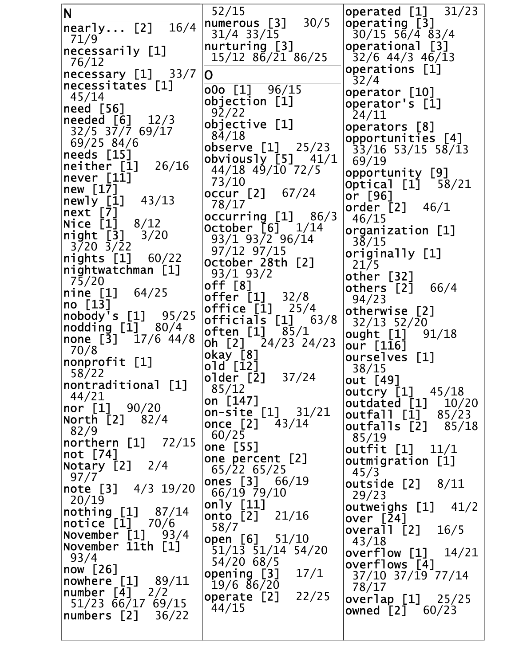| $\vert N \vert$                                   | 52/15                                           | operated [1]<br>31/23                |  |
|---------------------------------------------------|-------------------------------------------------|--------------------------------------|--|
| 16/4<br> nearly [2]                               | 30/5<br>numerous [3]                            | operating [3]                        |  |
| 71/9                                              | 31/4 33/15                                      | $30/15$ $5\bar{6}/4$ $83/4$          |  |
| necessarily [1]<br>76/12                          | nurturing [3]<br>15/12 86/21 86/25              | operational [3]<br>$32/6$ 44/3 46/13 |  |
| <code>necessary</code> [1] $33/7$                 | <b>O</b>                                        | operations [1]                       |  |
| necessitates [1]                                  | o0o [1]<br>96/15                                | 32/4                                 |  |
| 45/14                                             | objection [1]                                   | operator [10]<br>operator's [1]      |  |
| $ {\sf need}\>$ $[$ $56]$                         | 92/22                                           | 24/11                                |  |
| <code>needed</code> [6] $12/3$<br>32/5 37/7 69/17 | objective [1]                                   | operators [8]                        |  |
| 69/25 84/6                                        | 84/18                                           | opportunities [4]                    |  |
| $ {\sf needs\ [15]} $                             | observe $\begin{bmatrix} 1 \end{bmatrix}$ 25/23 | 33/16 53/15 58/13                    |  |
| 26/16<br>$ $ neither [1]                          | obviously $[5]$ 41/1<br>44/18 49/10 72/5        | 69/19                                |  |
| <code>never [11]</code>                           | 73/10                                           | opportunity [9]<br>Optical [1]       |  |
| $ new$ [17]                                       | $occur$ [2]<br>67/24                            | 58/21<br>or [96]                     |  |
| newly [1]<br>43/13                                | 78/17                                           | order $[2]$ 46/1                     |  |
| next [7]                                          | occurring $[1]$ 86/3                            | 46/15                                |  |
| Nice [1]<br>8/12<br>night [3]<br>3/20             | October $[6]$ $1/14$                            | organization [1]                     |  |
| $3/20$ $3/22$                                     | 93/1 93/2 96/14                                 | 38/15                                |  |
| $ $ nights [1]<br>60/22                           | $97/12$ 97/15<br>October 28th [2]               | originally [1]                       |  |
| $\mid$ nightwatchman [1]                          | $93/1$ 93/2                                     | 21/5<br>other [32]                   |  |
| 75/20                                             | $off$ $[8]$                                     | others [2]<br>66/4                   |  |
| nine [ $1$ ]<br>64/25                             | offer $[1]$ 32/8                                | 94/23                                |  |
| no [13]<br>  <b>nobody's [1]</b> 95/25            | office $[1]$ $25/4$                             | otherwise [2]                        |  |
| 80/4<br> nodding [1]                              | officials $[1]$ $63/8$                          | $32/13$ 52/20                        |  |
| <b>none [3]</b> $17/6$ 44/8                       | often [1]<br>85/1                               | ought [1]<br>91/18                   |  |
| 70/8                                              | 24/23 24/23<br>Oh [2]<br>okay [8]               | our [116]                            |  |
| nonprofit [1]                                     | old [12]                                        | ourselves [1]<br>38/15               |  |
| 58/22                                             | $older$ [2]<br>37/24                            | out [49]                             |  |
| nontraditional [1]                                | 85/12                                           | outcry [1]<br>45/18                  |  |
| 44/21<br>90/20<br>$ nor$ [1]                      | on [147]                                        | outdated [1]<br>10/20                |  |
| <b>North [2]</b> 82/4                             | on-site $[1]$ $31/21$                           | outfall [1]<br>85/23                 |  |
| 82/9                                              | once $[2]$ 43/14<br>60/25                       | outfalls [2]<br>85/18                |  |
| <code>northern</code> [1]<br>72/15                | one [55]                                        | 85/19<br>outfit [1]                  |  |
| not [74]                                          | one percent [2]                                 | 11/1<br>outmigration [1]             |  |
| Notary $[2]$ $2/4$                                | 65/22 65/25                                     | 45/3                                 |  |
| 97/7<br>$4/3$ 19/20<br>$ $ note [3]               | ones $[3] 66/19$                                | outside [2]<br>8/11                  |  |
| 20/19                                             | 66/19 79/10                                     | 29/23                                |  |
| nothing [1]<br>87/14                              | only [11]<br>onto [2]<br>21/16                  | outweighs [1]<br>41/2                |  |
| $ $ notice [1]<br>70/6                            | 58/7                                            | over [24]                            |  |
| $\vert$ November [1] $\vert$ 93/4                 | 51/10<br>open [6]                               | overall $[2]$<br>16/5<br>43/18       |  |
| November 11th [1]                                 | 51/13 51/14 54/20                               | overflow [1]<br>14/21                |  |
| 93/4                                              | 54/20 68/5                                      | overflows [4]                        |  |
| now [26]<br>89/11<br><code> nowhere [1]</code>    | opening [3]<br>17/1                             | 37/10 37/19 77/14                    |  |
| number [4]<br>2/2                                 | 19/6 86/20                                      | 78/17                                |  |
| 51/23 66/17 69/15                                 | 22/25<br>operate [2]<br>44/15                   | overlap $[1]$ 25/25                  |  |
| numbers [2]<br>36/22                              |                                                 | <b>owned</b> [2] 60/23               |  |
|                                                   |                                                 |                                      |  |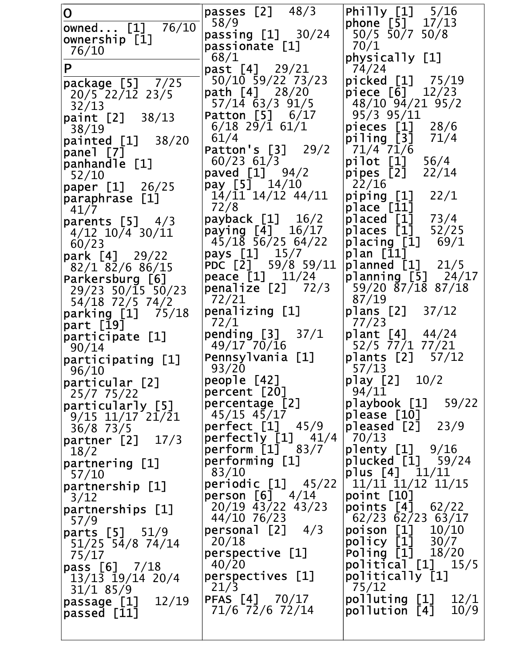| 0                               | 48/3<br>passes [2]                           | Philly [1]<br>5/16                    |  |
|---------------------------------|----------------------------------------------|---------------------------------------|--|
| 76/10<br>$\mathsf{lowned}\;[1]$ | 58/9                                         | phone $[5]$ 17/13                     |  |
| ownership [1]                   | passing $[1]$ 30/24                          | $50/5$ 50/7 50/8                      |  |
| 76/10                           | passionate [1]                               | 70/1                                  |  |
| $\mathsf{P}$                    | 68/1                                         | physically [1]                        |  |
|                                 | past [4]<br>29/21                            | 74/24                                 |  |
| package [5] 7/25                | 50/10 59/22 73/23                            | picked [1] 75/19                      |  |
| 20/5 22/12 23/5                 | <b>path</b> $[4]$ 28/20<br>$57/14$ 63/3 91/5 | piece [6] 12/23<br>$48/10$ 94/21 95/2 |  |
| 32/13                           | <b>Patton</b> [5] $6/17$                     | 95/3 95/11                            |  |
| paint [2] 38/13                 | $6/18$ 29/1 $61/1$                           | 28/6<br>pieces [1]                    |  |
| 38/19                           | 61/4                                         | piling [3]<br>71/4                    |  |
| painted [1]<br>38/20            | Patton's [3]<br>29/2                         | 71/4 71/6                             |  |
| pane1 [7]<br>panhandle [1]      | $60/23$ 61/3                                 | pilot [1]<br>56/4                     |  |
| 52/10                           | paved $[1]$ 94/2                             | pipes [2]<br>22/14                    |  |
| paper [1] 26/25                 | pay $[5]$ $14/10$                            | 22/16                                 |  |
| paraphrase [1]                  | 14/11 14/12 44/11                            | piping [1]<br>22/1                    |  |
| 41/7                            | 72/8                                         | place [11]                            |  |
| parents $[5]$ 4/3               | payback [1]<br>16/2                          | placed [1] <br>73/4                   |  |
| $4/12$ 10/4 30/11               | paying [4]<br>16/17                          | places [1]<br>52/25                   |  |
| 60/23                           | 45/18 56/25 64/22                            | placing [1] <br>69/1                  |  |
| park [4] 29/22                  | <b>pays</b> $[1]$ $15/7$                     | plan [11]                             |  |
| $82/1$ $82/6$ $86/15$           | PDC $[2]$ 59/8 59/11                         | $ $ planned [1] 21/5                  |  |
| Parkersburg [6]                 | peace [1] 11/24                              | planning [5] 24/17                    |  |
| 29/23 50/15 50/23               | penalize [2] 72/3                            | 59/20 87/18 87/18                     |  |
| 54/18 72/5 74/2                 | 72/21                                        | 87/19                                 |  |
| parking [1] 75/18               | penalizing [1]<br>72/1                       | plans [2]<br>37/12<br>77/23           |  |
| part [19]                       | pending [3]<br>37/1                          | plant [4] 44/24                       |  |
| participate [1]                 | 49/17 70/16                                  | 52/5 77/1 77/21                       |  |
| 90/14                           | Pennsylvania [1]                             | plants [2]<br>57/12                   |  |
| participating [1] <br>96/10     | 93/20                                        | 57/13                                 |  |
| particular [2]                  | people [42]                                  | play [2] 10/2                         |  |
| 25/7 75/22                      | percent [20]                                 | 94/11                                 |  |
| particularly [5]                | percentage [2]                               | playbook [1]<br>59/22                 |  |
| $9/15$ 11/17 21/21              | $45/15$ $45/17$                              | please [10]                           |  |
| $36/8$ 73/5                     | perfect [1]<br>45/9                          | pleased [2]<br>23/9                   |  |
| partner $[2]$ $17/3$            | perfectly [1]<br>41/4                        | 70/13                                 |  |
| 18/2                            | perform [1]<br>83/7                          | plenty [1]<br>9/16                    |  |
| partnering [1]                  | performing [1]                               | plucked [1]<br>59/24                  |  |
| 57/10                           | 83/10                                        | plus $[4]$<br>11/11                   |  |
| partnership [1]                 | periodic $[1]$ 45/22                         | 11/11 11/12 11/15<br>point [10]       |  |
| 3/12                            | person $[6]$ 4/14<br>20/19 43/22 43/23       | points [4]<br>62/22                   |  |
| partnerships [1]                | 44/10 76/23                                  | $62/23$ 62/23 63/17                   |  |
| 57/9                            | personal [2]<br>4/3                          | poison [1]<br>10/10                   |  |
| parts [5] 51/9                  | 20/18                                        | policy [1]<br>30/7                    |  |
| 51/25 54/8 74/14<br>75/17       | perspective [1]                              | Poling [1]<br>18/20                   |  |
| pass [6]<br>7/18                | 40/20                                        | political [1]<br>15/5                 |  |
| 13/13 19/14 20/4                | perspectives [1]                             | politically [1]                       |  |
| $31/1$ 85/9                     | 21/3                                         | 75/12                                 |  |
| passage [1]<br>12/19            | PFAS $[4]$<br>70/17                          | polluting [1]<br>12/1                 |  |
| passed [11]                     | 71/6 72/6 72/14                              | pollution [4]<br>10/9                 |  |
|                                 |                                              |                                       |  |
|                                 |                                              |                                       |  |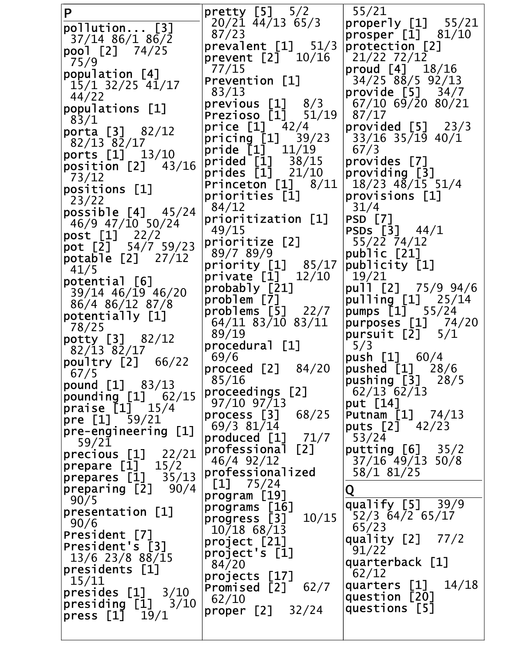| P                     | pretty $[5]$ $5/2$     | 55/21                                      |  |
|-----------------------|------------------------|--------------------------------------------|--|
|                       | 20/21 44/13 65/3       | properly [1]<br>55/21                      |  |
| pollution [3]         | 87/23                  | $prosper [1]$ 81/10                        |  |
| $37/14$ 86/1 86/2     | prevalent $[1]$ $51/3$ | $ $ protection [2]                         |  |
| pool [2] 74/25        | prevent $[2]$ $10/16$  | 21/22 72/12                                |  |
| 75/9                  | 77/15                  | 18/16                                      |  |
| population [4]        |                        | proud [4]                                  |  |
| 15/1 32/25 41/17      | Prevention [1]         | 34/25 88/5 92/13                           |  |
| 44/22                 | 83/13                  | provide [5] 34/7                           |  |
| populations [1]       | 8/3<br>previous [1]    | 67/10 69/20 80/21                          |  |
| 83/1                  | 51/19<br>Prezioso [1]  | 87/17                                      |  |
| porta [3] 82/12       | price $[1]$ 42/4       | provided [5] 23/3                          |  |
| 82/13 82/17           | pricing [1]<br>39/23   | 33/16 35/19 40/1                           |  |
| ports $[1]$ $13/10$   | pride $[1]$ $11/19$    | 67/3                                       |  |
|                       | prided $[1]$ $38/15$   | provides [7]                               |  |
| 43/16<br>position [2] | prides [1] 21/10       | providing [3]                              |  |
| 73/12                 | Princeton $[1]$ 8/11   | $18/23$ 48/15 51/4                         |  |
| positions [1]         | priorities [1]         | $provi sions$ $[1]$                        |  |
| 23/22                 | 84/12                  | 31/4                                       |  |
| possible $[4]$ 45/24  | prioritization [1]     | <b>PSD [7]</b>                             |  |
| 46/9 47/10 50/24      | 49/15                  | <b>PSDs</b> $[3]$ 44/1                     |  |
| post $[1]$ 22/2       | prioritize [2]         | 55/22 74/12                                |  |
| pot [2] 54/7 59/23    | $89/7$ 89/9            |                                            |  |
| potable $[2]$ $27/12$ |                        | public [21]                                |  |
| 41/5                  | priority $[1]$ 85/17   | publicity [1]                              |  |
| potential [6]         | private [1]<br>12/10   | 19/21                                      |  |
| 39/14 46/19 46/20     | probably [21]          | $p$ ull [2] 75/9 94/6                      |  |
| 86/4 86/12 87/8       | problem [7]            | pulling $[1]$ 25/14                        |  |
| potentially [1]       | problems $[5]$ 22/7    | <b>pumps [1]</b> 55/24                     |  |
| 78/25                 | 64/11 83/10 83/11      | purposes $[1]$ 74/20                       |  |
| potty $[3]$ 82/12     | 89/19                  | pursuit [2]<br>5/1                         |  |
| $82/13$ $82/17$       | procedural [1]         | 5/3                                        |  |
| poultry [2]<br>66/22  | 69/6                   | push $[1]$ $60/4$                          |  |
| 67/5                  | proceed [2]<br>84/20   | 28/6<br>pushed [1]                         |  |
| pound $[1]$ 83/13     | 85/16                  | pushing $\left[\overline{3}\right]$ $28/5$ |  |
| pounding $[1]$ 62/15  | proceedings [2]        | $62/13$ 62/13                              |  |
|                       | $97/10$ $97/13$        | put [14]                                   |  |
| praise $[1]$ 15/4     | 68/25<br>process [3]   | <b>Putnam</b> $[1]$ 74/13                  |  |
| 59/21<br>pre $[1]$    | 69/3 81/14             | puts [2]<br>42/23                          |  |
| pre-engineering [1]   | produced [1]<br>71/7   | 53/24                                      |  |
| 59/21                 | professional [2]       | putting [6]<br>35/2                        |  |
| precious [1]<br>22/21 | 46/4 92/12             | 37/16 49/13<br>50/8                        |  |
| 15/2<br>prepare [1]   | professionalized       | 58/1 81/25                                 |  |
| prepares [1]<br>35/13 | $[1]$ 75/24            |                                            |  |
| 90/4<br>preparing [2] | program [19]           |                                            |  |
| 90/5                  | programs [16]          | qualify $[5]$ 39/9                         |  |
| presentation [1]      | progress [3]           | 52/3 64/2 65/17                            |  |
| 90/6                  | 10/15                  | 65/23                                      |  |
| President [7]         | $10/18$ 68/13          | quality [2]<br>77/2                        |  |
| President's [3]       | project [21]           | 91/22                                      |  |
| 13/6 23/8 88/15       | project's [1]          | quarterback [1]                            |  |
| presidents [1]        | 84/20                  |                                            |  |
| 15/11                 | projects [17]          | 62/12                                      |  |
| presides [1]<br>3/10  | Promised [2]<br>62/7   | quarters [1]<br>14/18                      |  |
| presiding [1]<br>3/10 | 62/10                  | question [20]                              |  |
| press [1]<br>19/1     | proper [2]<br>32/24    | questions [5]                              |  |
|                       |                        |                                            |  |
|                       |                        |                                            |  |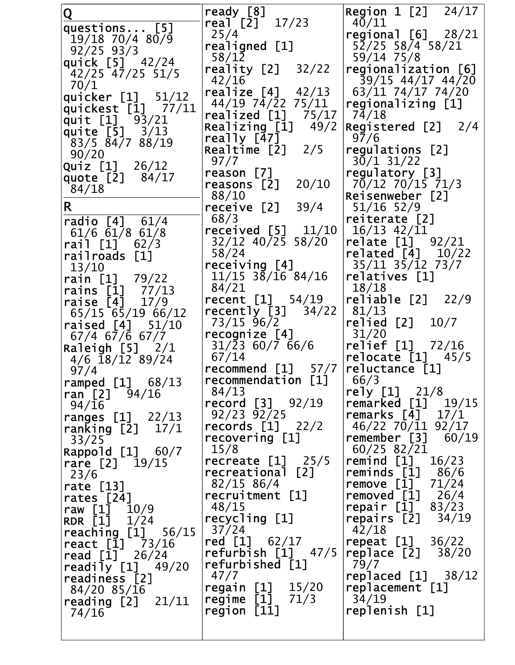| $ \mathsf{Q} $                                                 | ready [8]                               | Region $1$ $[2]$<br>24/17          |  |
|----------------------------------------------------------------|-----------------------------------------|------------------------------------|--|
| $ {\sf questions.~ }$ [5]                                      | real $[2]$ $17/23$                      | 40/11                              |  |
| 19/18 70/4 80/9                                                | 25/4                                    | regional $[6]$ 28/21               |  |
| $92/25$ 93/3                                                   | realigned [1]                           | 52/25 58/4 58/21                   |  |
| quick [5] 42/24                                                | 58/12                                   | $59/14$ 75/8                       |  |
| 42/25 47/25 51/5                                               | reality [2]<br>32/22                    | regionalization [6]                |  |
| 70/1                                                           | 42/16                                   | 39/15 44/17 44/20                  |  |
| quicker [1] 51/12                                              | realize [4] $42/13$   63/11 74/17 74/20 |                                    |  |
| quickest [1] 77/11                                             | 44/19 74/22 75/11   regionalizing [1]   |                                    |  |
| <b>quit [1]</b> 93/21                                          | realized $[1]$ 75/17   74/18            |                                    |  |
| quite [5] 3/13                                                 | Realizing $[1]$ 49/2 Registered $[2]$   | 2/4                                |  |
| 83/5 84/7 88/19                                                | really $[47]$                           | 97/6                               |  |
| 90/20                                                          | Realtime [2]<br>2/5<br>97/7             | regulations [2]<br>$30/1$ 31/22    |  |
| <b>Quiz [1]</b> 26/12                                          |                                         |                                    |  |
| quote [2] 84/17                                                | reason [7]<br>20/10                     | regulatory [3]<br>70/12 70/15 71/3 |  |
| 84/18                                                          | reasons [2]<br>88/10                    | Reisenweber [2]                    |  |
| R                                                              | 39/4<br>receive [2]                     | 51/16 52/9                         |  |
|                                                                | 68/3                                    | reiterate [2]                      |  |
| radio $[4]$ 61/4                                               | received $[5]$ 11/10   16/13 42/11      |                                    |  |
| $61/6$ 61/8 61/8                                               | 32/12 40/25 58/20                       | <b>relate [1]</b> 92/21            |  |
| rail $[1]$ 62/3<br>railroads [1]                               | 58/24                                   | $\lvert$ related [4] $\;$ 10/22    |  |
| 13/10                                                          | receiving $[4]$                         | 35/11 35/12 73/7                   |  |
| rain [1] 79/22                                                 | 11/15 38/16 84/16                       | relativeS [1]                      |  |
| rains $[1]$ 77/13                                              | 84/21                                   | 18/18                              |  |
| raise [4]<br>17/9                                              | recent $[1] 54/19$                      | reliable [2]<br>22/9               |  |
| 65/15 65/19 66/12                                              | recently $[3] 34/22$                    | 81/13                              |  |
| raised [4] $51/10$                                             | 73/15 96/2                              | relied [2]<br>10/7                 |  |
| 67/4 67/6 67/7                                                 | recognize $[4]$                         | 31/20                              |  |
| Raleigh [5] $2/1$                                              | 31/23 60/7 66/6                         | <b>relief [1]</b> 72/16            |  |
| 4/6 18/12 89/24                                                | 67/14                                   | relocate $[1]$ 45/5                |  |
| 97/4                                                           | 57/7<br>recommend $[1]$                 | reluctance [1]                     |  |
| ramped [1] 68/13                                               | recommendation [1]                      | 66/3                               |  |
| ran $[2]$ 94/16                                                | 84/13                                   | rely [1]<br>21/8                   |  |
| 94/16                                                          | record $[3]$ 92/19                      | remarked [1]<br>19/15              |  |
| ranges [1]<br>22/13                                            | 92/23 92/25                             | remarks [4]<br>17/1                |  |
| ranking [2]<br>17/1                                            | records $[1]$ 22/2                      | 46/22 70/11 92/17                  |  |
| 33/25                                                          | recovering [1]                          | remember [3]<br>60/19              |  |
| Rappold [1]<br>60/7                                            | 15/8                                    | $60/25$ 82/21                      |  |
| rare $[2]$ $19/15$                                             | 25/5<br>recreate [1]                    | remind [1]<br>16/23                |  |
| 23/6                                                           | recreational [2]                        | reminds [1]<br>86/6                |  |
| rate $[13]$                                                    | $82/15$ 86/4                            | remove [1]<br>71/24                |  |
| rates [24]                                                     | recruitment [1]                         | removed [1]<br>26/4                |  |
| raw [1]<br>10/9                                                | 48/15                                   | repair [1]<br>83/23                |  |
| RDR [1]<br>1/24                                                | recycling [1]<br>37/24                  | repairs [2]<br>34/19<br>42/18      |  |
| reaching [1]<br>56/15                                          | red $[1]$<br>62/17                      | repeat $[1]$<br>36/22              |  |
| react $[1]$<br>73/16                                           | refurbish [1]<br>47/5                   | replace [2]<br>38/20               |  |
| $\lceil \mathsf{read}\nceil \lceil 1\rceil \rceil \cdot 26/24$ | refurbished [1]                         | 79/7                               |  |
| readily [1]<br>49/20                                           | 47/7                                    | replaced $[1]$ $38/12$             |  |
| readiness [2]                                                  | regain [1]<br>15/20                     | replacement [1]                    |  |
| 84/20 85/16<br>21/11                                           | regime [1]<br>71/3                      | 34/19                              |  |
| reading [2]<br>74/16                                           | region [11]                             | replenish [1]                      |  |
|                                                                |                                         |                                    |  |
|                                                                |                                         |                                    |  |
|                                                                |                                         |                                    |  |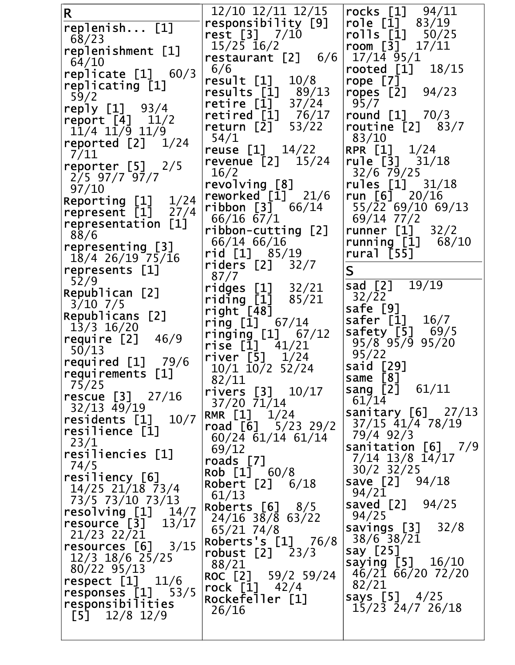| R                                                       | 12/10 12/11 12/15                           | rocks $[1]$<br>94/11          |  |
|---------------------------------------------------------|---------------------------------------------|-------------------------------|--|
| replenish [1]                                           | responsibility [9]                          | role [1]<br>83/19             |  |
| 68/23                                                   | $rest$ $[3]$<br>7/10                        | rolls [1]<br>50/25            |  |
| $\lvert$ rep $\lvert$ enishment [1]                     | $15/25$ 16/2                                | room $[3]$<br>17/11           |  |
| 64/10                                                   | 6/6<br>restaurant [2]                       | $17/14$ 95/1                  |  |
| $\vert$ replicate [1] $60/3$                            | 6/6                                         | rooted $[1]$<br>18/15         |  |
| replicating [1]                                         | result [1]<br>10/8                          | rope $[7]$                    |  |
| 59/2                                                    | results $[1]$ 89/13                         | ropes [2]<br>94/23            |  |
| <b>reply [1]</b> 93/4                                   | retire [1]<br>37/24                         | 95/7<br>round $[1]$           |  |
| report [4]<br>11/2                                      | retired [1]<br>76/17<br>return [2]<br>53/22 | 70/3<br>routine [2]<br>83/7   |  |
| $11/4$ $11/9$ $11/9$                                    | 54/1                                        | 83/10                         |  |
| reported [2]<br>1/24                                    | reuse [1]<br>14/22                          | <b>RPR [1]</b><br>1/24        |  |
| 7/11                                                    | revenue [2]<br>15/24                        | rule [3]<br>31/18             |  |
| 2/5<br> reporter [5]                                    | 16/2                                        | 32/6 79/25                    |  |
| 2/5 97/7 97/7                                           | revolving [8]                               | rules $[1]$ $31/18$           |  |
| 97/10                                                   | reworked [1]<br>21/6                        | run $[6]$<br>20/16            |  |
| 1/24<br>$ $ Reporting $[1]$                             | ribbon [3]<br>66/14                         | 55/22 69/10 69/13             |  |
| 27/4<br> represent [1]                                  | $66/16$ 67/1                                | 69/14 77/2                    |  |
| $\mid$ representation [1]<br>88/6                       | ribbon-cutting [2]                          | runner $[1]$<br>32/2          |  |
| $ $ representing [3]                                    | 66/14 66/16                                 | running [1]<br>68/10          |  |
| 18/4 26/19 75/16                                        | rid $[1]$ 85/19                             | rural $[55]$                  |  |
| $\mid$ represents [1]                                   | riders [2]<br>32/7                          | $\mathsf{S}$                  |  |
| 52/9                                                    | 87/7                                        |                               |  |
| Republican [2]                                          | ridges [1]<br>32/21                         | sad [2]<br>19/19              |  |
| $3/10$ 7/5                                              | riding [1]<br>85/21                         | 32/22                         |  |
| Republicans [2]                                         | right [48]                                  | safe [9]<br>safer [1]<br>16/7 |  |
| $13/3$ 16/20                                            | $ring$ [1]<br>67/14                         | safety [5]<br>69/5            |  |
| 46/9<br> require [2]                                    | ringing [1]<br>67/12                        | 95/8 95/9 95/20               |  |
| 50/13                                                   | rise $[1]$<br>41/21<br>river [5]<br>1/24    | 95/22                         |  |
| $ $ required [1]<br>79/6                                | $10/1$ $10/2$ 52/24                         | said [29]                     |  |
| $[1]$<br> requirements                                  | 82/11                                       | same [8]                      |  |
| 75/25                                                   | rivers $[3]$ 10/17                          | sang [2]<br>61/11             |  |
| <b>rescue [3]</b> 27/16                                 | 37/20 71/14                                 | 61/14                         |  |
| $32/13$ 49/19                                           | RMR $[1]$ $1/24$                            | sanitary $[6]$ 27/13          |  |
| 10/7<br> residents [1]                                  | road $[6]$ 5/23 29/2                        | 37/15 41/4 78/19              |  |
| resilience [1]<br>23/1                                  | 60/24 61/14 61/14                           | 79/4 92/3                     |  |
| resiliencies [1]                                        | 69/12                                       | sanitation [6]<br>7/9         |  |
| 74/5                                                    | roads [7]                                   | $7/14$ 13/8 14/17             |  |
| resiliency [6]                                          | Rob $[1] 60/8$                              | $30/2$ 32/25                  |  |
| 14/25 21/18 73/4                                        | Robert [2]<br>6/18                          | save $[2]$ 94/18<br>94/21     |  |
| 73/5 73/10 73/13                                        | 61/13                                       | saved $[2]$ 94/25             |  |
| resolving [1]<br>14/7                                   | Roberts [6]<br>8/5                          | 94/25                         |  |
| 13/17<br> resource [3]                                  | 24/16 38/8 63/22                            | savings [3]<br>32/8           |  |
| 21/23 22/21                                             | 65/21 74/8<br>Roberts's $[1]$ 76/8          | 38/6 38/21                    |  |
| resources [6]<br>3/15                                   | robust $[2]$ $23/3$                         | say [25]                      |  |
| 12/3 18/6 25/25                                         | 88/21                                       | saying $[5]$ 16/10            |  |
| 80/22 95/13                                             | ROC $[2]$ 59/2 59/24                        | 46/21 66/20 72/20             |  |
| $\left\vert \text {respect [1]} \quad 11/6 \right\vert$ | rock [1] 42/4                               | 82/21                         |  |
| 53/5<br>responents [1]                                  | Rockefeller [1]                             | says $[5]$ 4/25               |  |
| responsibilities                                        | 26/16                                       | $15/23$ 24/7 26/18            |  |
| [5]<br>12/8 12/9                                        |                                             |                               |  |
|                                                         |                                             |                               |  |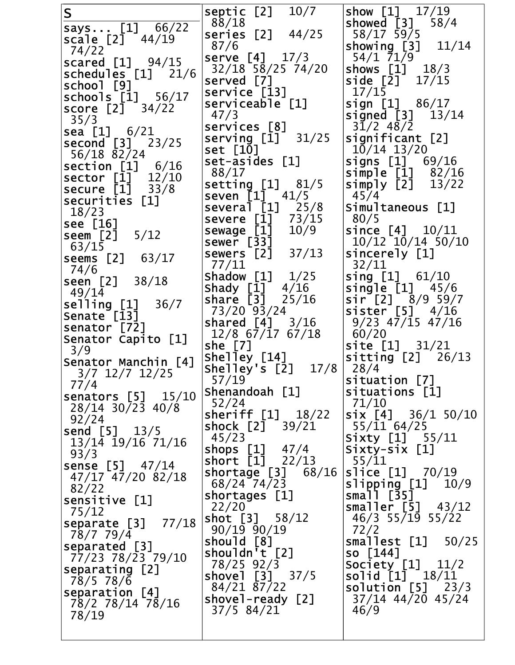| $\mathsf{S}$                           | septic [2]<br>10/7    | show $[1]$ $17/19$            |  |
|----------------------------------------|-----------------------|-------------------------------|--|
| says [1] 66/22                         | 88/18                 | showed [3]<br>58/4            |  |
|                                        | series [2]<br>44/25   | 58/17 59/5                    |  |
| scale [2] 44/19                        | 87/6                  | showing $[3]$ $11/14$         |  |
| 74/22                                  | serve $[4]$ $17/3$    | 54/1 71/9                     |  |
| $ {\rm{scared}}$ $[1]$ $94/15$         | 32/18 58/25 74/20     | shows [1]<br>18/3             |  |
| schedules [1]<br>21/6                  |                       |                               |  |
| school [9]                             | served [7]            | side [2]<br>17/15             |  |
| schools [1] 56/17                      | service [13]          | 17/15                         |  |
| <b>score [2]</b> 34/22                 | serviceable [1]       | sign $[1]$ 86/17              |  |
| 35/3                                   | 47/3                  | signed $[3]$ $13/14$          |  |
| $ $ sea [1] $6/21$                     | services [8]          | $31/2$ 48/2                   |  |
| <b>second [3]</b> 23/25                | serving [1] 31/25     | significant [2]               |  |
| 56/18 82/24                            | set [10]              | $10/14$ 13/20                 |  |
| $\vert$ section [1] $\vert 6/16 \vert$ | set-asides [1]        | signs [1]<br>69/16            |  |
| $\vert$ sector [1] $\vert$ 12/10       | 88/17                 | simple $[1]$ 82/16            |  |
|                                        | setting [1]<br>81/5   | simply [2]<br>13/22           |  |
| secure [1]<br>33/8                     | seven $[1]$ 41/5      | 45/4                          |  |
| securities [1]                         | several $[1]$ $25/8$  | Simultaneous [1]              |  |
| 18/23                                  | severe [1]<br>73/15   | 80/5                          |  |
| see [16]                               | sewage [1]<br>10/9    | since $[4]$ 10/11             |  |
| 5/12<br> seem [2]                      | sewer [33]            | $10/12$ $10/14$ $50/10$       |  |
| 63/15                                  | sewers [2]<br>37/13   | sincerely [1]                 |  |
| <b>seems [2]</b> 63/17                 | 77/11                 | 32/11                         |  |
| 74/6                                   | Shadow $[1]$ $1/25$   | sing $[1]$ $61/10$            |  |
| seen [2]<br>38/18                      |                       |                               |  |
| 49/14                                  | Shady $[1]$ 4/16      | single $[1]$ 45/6             |  |
| selling [1]<br>36/7                    | share [3]<br>25/16    | $\sin$ [2] $\frac{8}{9}$ 59/7 |  |
| Senate [13]                            | 73/20 93/24           | sister [5]<br>4/16            |  |
| senator [72]                           | shared [4]<br>3/16    | $9/23$ 47/15 47/16            |  |
| Senator Capito [1]                     | 12/8 67/17 67/18      | 60/20                         |  |
| 3/9                                    | she [7]               | site $[1]$ $31/21$            |  |
| Senator Manchin [4]                    | Shelley [14]          | sitting $[2]$ 26/13           |  |
| $3/7$ $12/7$ $12/25$                   | 17/8<br>Shelley's [2] | 28/4                          |  |
| 77/4                                   | 57/19                 | situation [7]                 |  |
| senators [5]<br>15/10                  | Shenandoah [1]        | situations [1]                |  |
| 28/14 30/23 40/8                       | 52/24                 | 71/10                         |  |
|                                        | sheriff [1]<br>18/22  | $\text{six}$ [4] 36/1 50/10   |  |
| 92/24                                  | shock [2]<br>39/21    | 55/11 64/25                   |  |
| send [5] 13/5                          | 45/23                 | Sixty $[1] 55/11$             |  |
| 13/14 19/16 71/16                      | shops [1]<br>47/4     | Sixty-six [1]                 |  |
| 93/3                                   | short [1]<br>22/13    | 55/11                         |  |
| <b>sense [5]</b> 47/14                 | shortage [3]<br>68/16 | slice [1]<br>70/19            |  |
| 47/17 47/20 82/18                      | 68/24 74/23           | 10/9<br>slipping [1]          |  |
| 82/22                                  | shortages [1]         | small [35]                    |  |
| sensitive [1]                          | 22/20                 | smaller [5]<br>43/12          |  |
| 75/12                                  | shot $[3]$<br>58/12   |                               |  |
| 77/18<br> separate [3]                 |                       | 46/3 55/19 55/22              |  |
| 78/7 79/4                              | 90/19 90/19           | 72/2                          |  |
| separated [3]                          | should [8]            | smallest [1]<br>50/25         |  |
| 77/23 78/23 79/10                      | shouldn't [2]         | so [144]                      |  |
| separating [2]                         | 78/25 92/3            | Society [1]<br>11/2           |  |
| 78/5 78/6                              | shovel [3]<br>37/5    | solid [1]<br>18/11            |  |
| $ $ separation [4]                     | 84/21 87/22           | solution [5]<br>23/3          |  |
| 78/2 78/14 78/16                       | shovel-ready [2]      | 37/14 44/20 45/24             |  |
| 78/19                                  | 37/5 84/21            | 46/9                          |  |
|                                        |                       |                               |  |
|                                        |                       |                               |  |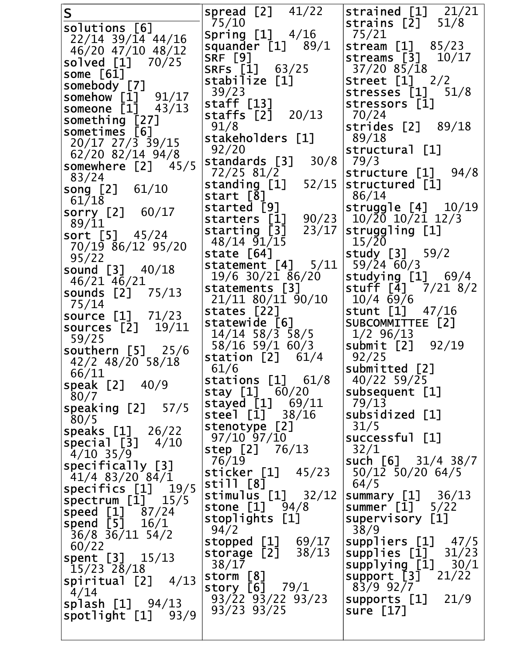| $\mathsf S$               | spread [2]<br>41/22                                                 | strained $[1]$ $21/21$                            |  |
|---------------------------|---------------------------------------------------------------------|---------------------------------------------------|--|
| solutions [6]             | 75/10                                                               | strains [2]<br>51/8                               |  |
| 22/14 39/14 44/16         | $\textsf{Spring [1]} \quad 4/16$                                    | 75/21                                             |  |
| 46/20 47/10 48/12         | squander [ $1$ ] $89/1$                                             | stream $[1]$ 85/23                                |  |
| solved $[1]$ $70/25$      | <b>SRF [9]</b>                                                      | streams $[3]$ $10/17$                             |  |
| some $[61]$               | SRFS [1] 63/25                                                      | $37/20$ 85/18                                     |  |
| somebody [7]              | stabilize [1]                                                       | $\textsf{Street} \texttt{[1]} \quad \texttt{2/2}$ |  |
| 91/17<br>somehow [1]      | 39/23                                                               | stresses [1]<br>51/8                              |  |
| <b>someone [1]</b> 43/13  | staff [13]                                                          | stressors [1]                                     |  |
| something [27]            | staffs [2]<br>20/13                                                 | 170/24                                            |  |
| sometimes [6]             | 91/8                                                                | strides $[2]$ 89/18                               |  |
| 20/17 27/3 39/15          | stakeholders [1]                                                    | 89/18                                             |  |
| 62/20 82/14 94/8          | 92/20                                                               | structural [1]                                    |  |
| <b>somewhere [2]</b> 45/5 | <b>standards</b> $[3]$ $30/8$ 79/3                                  |                                                   |  |
| 83/24                     | 72/25 81/2                                                          | $\left \text{structure}\right[1\right]\quad 94/8$ |  |
| song [2]<br>61/10         | standing [1]                                                        | $52/15$ structured [1]                            |  |
| 61/18                     | start [8]                                                           | 86/14                                             |  |
| <b>sorry [2]</b> 60/17    | started [9]                                                         | struggle [4] 10/19                                |  |
| 89/11                     | starters $\begin{bmatrix} 1 \end{bmatrix}$ 90/23   10/20 10/21 12/3 |                                                   |  |
| <b>sort</b> $[5]$ 45/24   | starting $[3]$ $23/17$ struggling $[1]$                             |                                                   |  |
| 70/19 86/12 95/20         | 48/14 91/15                                                         | 15/20                                             |  |
| 95/22                     | state $[64]$                                                        | study [3]<br>59/2                                 |  |
| <b>sound [3]</b> 40/18    | statement $[4]$ $5/11$   $59/24$ 60/3                               |                                                   |  |
| 46/21 46/21               | 19/6 30/21 86/20                                                    | studying [1] 69/4                                 |  |
| <b>sounds [2]</b> 75/13   | statements [3]                                                      | stuff [4]<br>7/21 8/2                             |  |
| 75/14                     | 21/11 80/11 90/10                                                   | $\vert$ 10/4 69/6                                 |  |
| <b>source [1]</b> 71/23   | states [22]                                                         | stunt [1]<br>47/16                                |  |
| <b>sources [2]</b> 19/11  | statewide [6]                                                       | SUBCOMMITTEE [2]                                  |  |
| 59/25                     | 14/14 58/3 58/5                                                     | $1/2$ 96/13                                       |  |
| $ $ southern [5] $25/6$   | 58/16 59/1 60/3                                                     | submit [2]<br>92/19                               |  |
| 42/2 48/20 58/18          | station $[2]$ $61/4$                                                | 92/25                                             |  |
| 66/11                     | 61/6                                                                | submitted [2]                                     |  |
| speak [2] 40/9            | stations $\begin{bmatrix} 1 \end{bmatrix}$ 61/8                     | 40/22 59/25                                       |  |
| 80/7                      | stay $[1] 60/20$                                                    | subsequent [1]                                    |  |
| speaking [2]<br>57/5      | stayed [1] 69/11                                                    | 79/13                                             |  |
| 80/5                      | steel [1]<br>38/16                                                  | subsidized [1]                                    |  |
| speaks $[1]$ 26/22        | stenotype [2]                                                       | 31/5                                              |  |
| special [3]<br>4/10       | 97/10 97/10                                                         | successful [1]                                    |  |
| $4/10$ 35/9               | step $[2]$ 76/13                                                    | 32/1                                              |  |
| specifically [3]          | 76/19                                                               | such $[6]$ $31/4$ $38/7$                          |  |
| 41/4 83/20 84/1           | sticker [1]<br>45/23                                                | 50/12 50/20 64/5                                  |  |
| specifics [1]<br>19/5     | still [8]                                                           | 64/5                                              |  |
| $ spectrum$ [1]<br>15/5   | stimulus [1]<br>32/12                                               | 36/13<br>summary [1]                              |  |
| speed [1] <br>87/24       | stone $[1]$ 94/8                                                    | summer [1]<br>5/22                                |  |
| spend [5]<br>16/1         | stoplights [1]                                                      | supervisory [1]                                   |  |
| $36/8$ 36/11 54/2         | 94/2                                                                | 38/9                                              |  |
| 60/22                     | stopped [1]<br>69/17                                                | suppliers [1]<br>47/5                             |  |
| spent [3] 15/13           | storage [2]<br>38/13                                                | supplies [1]<br>31/23                             |  |
| $15/23$ 28/18             | 38/17                                                               | supplying [1]<br>30/1                             |  |
| 4/13<br> spiritual [2]    | storm [8]                                                           | 21/22<br>support [3]                              |  |
| 4/14                      | story [6]<br>79/1                                                   | 83/9 92/7                                         |  |
| splash [1] 94/13          | 93/22 93/22 93/23                                                   | supports [1]<br>21/9                              |  |
| spotlight [1]<br>93/9     | 93/23 93/25                                                         | sure [17]                                         |  |
|                           |                                                                     |                                                   |  |
|                           |                                                                     |                                                   |  |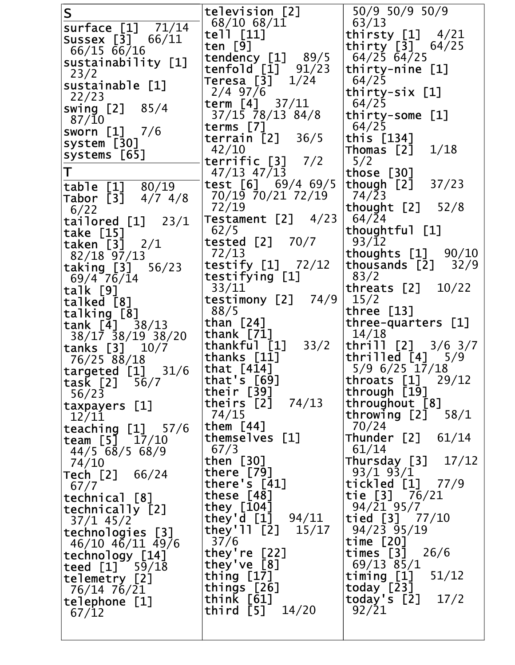| $\mathsf{S}$                                | television [2]           | 50/9 50/9 50/9                             |  |
|---------------------------------------------|--------------------------|--------------------------------------------|--|
| 71/14<br>surface [1]                        | 68/10 68/11              | 63/13                                      |  |
| Sussex [3] 66/11                            | tell [11]                | thirsty $[1]$ 4/21                         |  |
| 66/15 66/16                                 | ten [9]                  | thirty $[3] 64/25$                         |  |
| sustainability [1]                          | tendency $[1]$ 89/5      | 64/25 64/25                                |  |
| 23/2                                        | $t$ enfold $[1]$ $91/23$ | thirty-nine [1]                            |  |
| sustainable [1]                             | Teresa [3] 1/24          | 64/25                                      |  |
| 22/23                                       | $2/4$ 97/6               | thirty-six $[1]$                           |  |
| swing [2] 85/4                              | term $[4]$ 37/11         | 64/25                                      |  |
| 87/10                                       | 37/15 78/13 84/8         | thirty-some $[1]$                          |  |
| sworn $\begin{bmatrix} 1 \end{bmatrix}$ 7/6 | terms [7]                | 64/25                                      |  |
| system [30]                                 | terrain [2]<br>36/5      | this [134]                                 |  |
| systems [65]                                | 42/10                    | Thomas [2]<br>1/18                         |  |
|                                             | terrific [3]<br>7/2      | 5/2                                        |  |
|                                             | $47/13$ $47/13$          | those $[30]$                               |  |
| 80/19<br>$table$ $[1]$                      | test $[6]$ 69/4 69/5     | 37/23<br>though [2]                        |  |
| Tabor [3]<br>$4/7$ 4/8                      | 70/19 70/21 72/19        | 74/23                                      |  |
| 6/22                                        | 72/19                    | thought [2]<br>52/8                        |  |
| tailored [1]<br>23/1                        | Testament [2] 4/23       | 64/24                                      |  |
| take [15]                                   | 62/5                     | thoughtful [1]                             |  |
| taken $[3]$ 2/1                             | tested [2]<br>70/7       | 93/12                                      |  |
| 82/18 97/13                                 | 72/13                    | thoughts [1]<br>90/10                      |  |
| taking [3]<br>56/23                         | testify $[1]$ $72/12$    | thousands [2]<br>32/9                      |  |
| 69/4 76/14                                  | testifying [1]           | 83/2                                       |  |
| talk [9]                                    | 33/11                    | threats [2]<br>10/22                       |  |
| talked [8]                                  | 74/9<br>testimony [2]    | 15/2                                       |  |
| talking [8]                                 | 88/5                     | three $[13]$                               |  |
| tank $[\bar{4}]$ $\bar{3}8/13$              | than $[24]$              | three-quarters $[1]$                       |  |
| 38/17 38/19 38/20                           | thank [71]               | 14/18                                      |  |
| tanks $[3]$ $10/7$                          | thankful [1]<br>33/2     | thrill $[2]$ $3/6$ $3/7$                   |  |
| 76/25 88/18                                 | thanks [11]              | $thri$ lled $[4]$<br>5/9                   |  |
| targeted [1]<br>31/6                        | that [414]               | $5/9$ 6/25 17/18                           |  |
| task [2]<br>56/7                            | that's $[69]$            | throats [1] 29/12                          |  |
| 56/23                                       | their [39]               | through [19]                               |  |
| taxpayers [1]                               | theirs [2]<br>74/13      | throughout [8]                             |  |
| 12/11                                       | 74/15                    | 58/1<br>throwing [2]                       |  |
| teaching [1]<br>57/6                        | them $[44]$              | 70/24                                      |  |
| team $[5]$ $17/10$                          | themselves [1]           | Thunder [2]<br>61/14                       |  |
| 44/5 68/5 68/9                              | 67/3                     | 61/14                                      |  |
| 74/10                                       | then $[30]$              | Thursday [3]<br>17/12                      |  |
| Tech [2]<br>66/24                           | there [79]               | $93/1$ 93/1                                |  |
| 67/7                                        | there's $[41]$           | tickled [1]<br>77/9                        |  |
| technical [8]                               | these [48]<br>they [104] | tie $[3]$ 76/21<br>$94/\overline{21}$ 95/7 |  |
| technically [2]                             | they'd $[1]$<br>94/11    | tied $[3]$ $77/10$                         |  |
| $37/1$ 45/2                                 | they'll $[2]$<br>15/17   | 94/23 95/19                                |  |
| technologies [3]                            | 37/6                     | time $[20]$                                |  |
| 46/10 46/11 49/6                            | they're [22]             | 26/6<br>times $[3]$                        |  |
| technology [14]                             | they've $[8]$            | $69/13$ 85/1                               |  |
| teed $[1] 59/18$                            | thing $[17]$             | 51/12<br>timing $[1]$                      |  |
| telemetry [2]                               | things [26]              | today $[23]$                               |  |
| 76/14 76/21                                 | think $[61]$             | today's [2]<br>17/2                        |  |
| telephone [1]                               | third [5]<br>14/20       | 92/21                                      |  |
| 67/12                                       |                          |                                            |  |
|                                             |                          |                                            |  |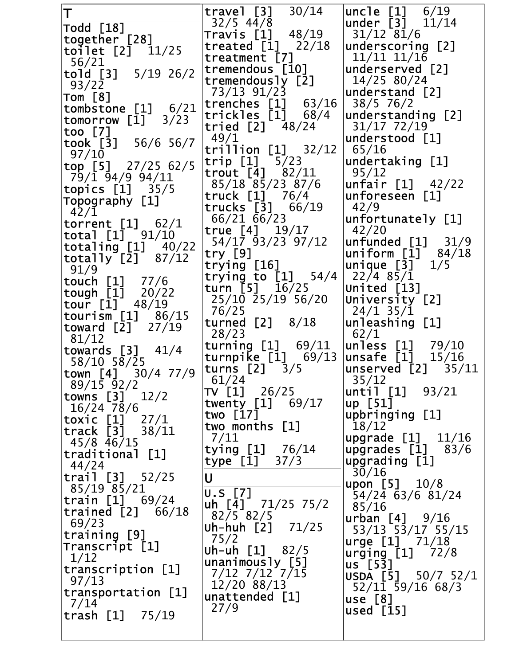| T                               | travel [3]<br>30/14                                  | $ $ uncle $[1]$<br>6/19   |  |
|---------------------------------|------------------------------------------------------|---------------------------|--|
| Todd [18]                       | $32/5$ 44/8                                          | under [3]<br>11/14        |  |
| together [28]                   | Travis $[1]$ 48/19                                   | 31/12 81/6                |  |
| <b>toilet [2]</b> 11/25         | treated $[1]$ $22/18$                                | underscoring [2]          |  |
| 56/21                           | treatment [7]                                        | $11/11$ $11/16$           |  |
| <b>told [3]</b> 5/19 26/2       | tremendous [10]                                      | underserved [2]           |  |
|                                 | tremendously [2]                                     | 14/25 80/24               |  |
| 93/22                           | 73/13 91/23                                          | understand [2]            |  |
| Tom $[8]$                       | <code>trenches [1] <math>\,</math> 63/16</code> $\,$ | 38/5 76/2                 |  |
| 6/21<br> tombstone [1]          | trickles $[1]$ $68/4$                                | understanding [2]         |  |
| 3/23<br> tomorrow [1]           | tried $[2]$ 48/24                                    | $31/17$ 72/19             |  |
| too [7]                         | 49/1                                                 | understood [1]            |  |
| took [3]<br>56/6 56/7           | $tri$ lion $[1]$ $32/12$                             | 65/16                     |  |
| 97/10                           |                                                      |                           |  |
| top [5] 27/25 62/5              | trip $[1]$ 5/23                                      | undertaking [1]           |  |
| 79/1 94/9 94/11                 | trout $[4]$ 82/11                                    | 95/12                     |  |
| <b>topics [1]</b> 35/5          | 85/18 85/23 87/6                                     | <b>unfair [1]</b> 42/22   |  |
| Topography [1]                  | truck [1]<br>76/4                                    | unforeseen [1]            |  |
| 42/1                            | trucks [3] 66/19                                     | 42/9                      |  |
| <code>torrent</code> [1] $62/1$ | 66/21 66/23                                          | unfortunately [1]         |  |
| <b>total [1]</b> 91/10          | true [4] 19/17                                       | 42/20                     |  |
| $\textsf{totaling [1]}$ 40/22   | 54/17 93/23 97/12                                    | unfunded [1]<br>31/9      |  |
| <b>totally [2]</b> 87/12        | try [9]                                              | uniform $[1]$ 84/18       |  |
| 91/9                            | trying [16]                                          | unique [3]<br>1/5         |  |
| touch [1]                       | trying to $[1]$ 54/4                                 | 22/4 85/1                 |  |
| 77/6                            | turn [5] 16/25                                       | United [13]               |  |
| tough [1]<br>20/22              | 25/10 25/19 56/20                                    | University [2]            |  |
| <b>tour [1]</b> 48/19           | 76/25                                                | 24/1 35/1                 |  |
| $\tt{tourism}$ $[1]$ $86/15$    | turned [2]<br>8/18                                   | unleashing [1]            |  |
| 27/19<br> toward [2]            | 28/23                                                | 62/1                      |  |
| 81/12                           | turning $[1]$ 69/11 $ $ unless $[1]$                 | 79/10                     |  |
| <b>towards [3]</b> 41/4         | turnpike $[1]$ 69/13                                 | $ $ unsafe $[1]$<br>15/16 |  |
| 58/10 58/25                     | turns $[2]$<br>3/5                                   | 35/11<br>unserved $[2]$   |  |
| <b>town [4]</b> 30/4 77/9       | 61/24                                                | 35/12                     |  |
| 89/15 92/2                      | TV $[1]$ 26/25                                       | until [1]<br>93/21        |  |
| <b>towns [3]</b> 12/2           |                                                      |                           |  |
| $16/24$ 78/6                    | 69/17<br>twenty [1]                                  | up [51]                   |  |
| toxic [1]<br>27/1               | two $[17]$                                           | upbringing [1]            |  |
| track [3]<br>38/11              | two months $[1]$                                     | 18/12                     |  |
| $45/8$ 46/15                    | 7/11                                                 | upgrade [1]<br>11/16      |  |
| $ $ traditional $[1]$           | tying $[1]$<br>76/14                                 | upgrades [1]<br>83/6      |  |
| 44/24                           | type $[1]$<br>37/3                                   | upgrading [1]             |  |
| <b>trail [3]</b> 52/25          | U                                                    | 30/16                     |  |
| 85/19 85/21                     | U.S [7]                                              | upon $[5]$ $10/8$         |  |
| <b>train [1]</b> 69/24          |                                                      | 54/24 63/6 81/24          |  |
| trained [2]<br>66/18            | uh $[4]$ 71/25 75/2                                  | 85/16                     |  |
| 69/23                           | $82/5$ 82/5                                          | urban $[4]$<br>9/16       |  |
| training [9]                    | Uh-huh [2]<br>71/25                                  | 53/13 53/17 55/15         |  |
| Transcript [1]                  | 75/2                                                 | $\textsf{urge} [1] 71/18$ |  |
| 1/12                            | Uh-uh $[1]$ 82/5                                     | urging $[1]$<br>72/8      |  |
|                                 | unanimously [5]                                      | us [53]                   |  |
| $ $ transcription [1]           | $7/12$ $7/12$ $7/15$                                 | USDA [5] $50/7$ 52/1      |  |
| 97/13                           | $12/20$ 88/13                                        | 52/11 59/16 68/3          |  |
| $ $ transportation [1]          | unattended [1]                                       | use $[8]$                 |  |
| 7/14                            | 27/9                                                 | used [15]                 |  |
| trash [1]<br>75/19              |                                                      |                           |  |
|                                 |                                                      |                           |  |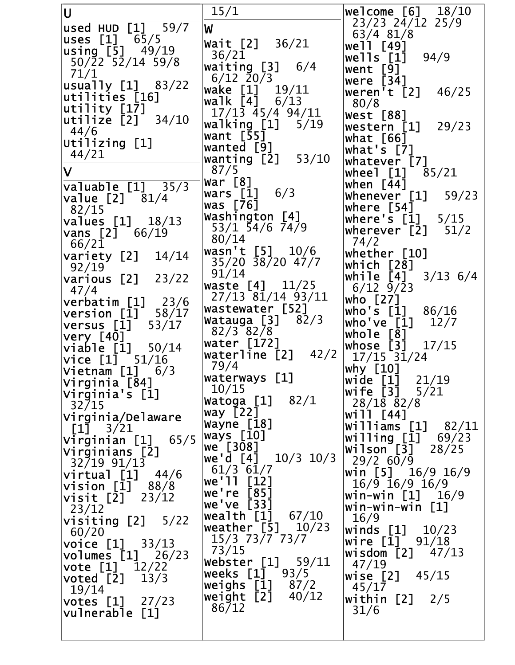| $\overline{U}$                              | 15/1                                         | welcome [6]<br>18/10                             |  |
|---------------------------------------------|----------------------------------------------|--------------------------------------------------|--|
| used HUD $[1]$ 59/7                         | W                                            | 23/23 24/12 25/9                                 |  |
| uses $[1]$ $65/5$                           | 36/21<br>Wait [2]                            | 63/4 81/8                                        |  |
| $\vert$ using [5] 49/19                     | 36/21                                        | well [49]                                        |  |
| 50/22 52/14 59/8                            | waiting [3]<br>6/4                           | wells [1]<br>94/9                                |  |
| 71/1                                        | $6/12$ 20/3                                  | went $[9]$<br>were $[34]$                        |  |
| $\left $ usually $\left[1\right]$ 83/22     | wake [1]<br>19/11                            | weren't [2]<br>46/25                             |  |
| utilities [16]                              | walk [4]<br>6/13                             | 80/8                                             |  |
| utility [17]                                | $17/13$ 45/4 94/11                           | West [88]                                        |  |
| $ $ utilize $[2]$ 34/10                     | walking [1]<br>5/19                          | western [1]<br>29/23                             |  |
| 44/6                                        | want [55]                                    | what [66]                                        |  |
| Utilizing [1]                               | wanted [9]                                   | what's [7]                                       |  |
| 44/21                                       | 53/10<br>wanting [2]                         | whatever [7]                                     |  |
| $\mathsf{V}$                                | 87/5                                         | whee $1$ $[1]$<br>85/21                          |  |
| <b>valuable [1]</b> 35/3                    | War [8]                                      | when $[44]$                                      |  |
| value $[2]$ 81/4                            | wars $[1]$<br>6/3                            | Whenever [1]<br>59/23                            |  |
| 82/15                                       | was [76]                                     | where [54]                                       |  |
| values $[1]$ $18/13$                        | Washington [4]                               | where's $\left[1\right]_-$<br>5/15               |  |
| $\sqrt{2}$ 06/19                            | 53/1 54/6 74/9                               | wherever [2]<br>51/2                             |  |
| 66/21                                       | 80/14<br>wasn't $[5]$ 10/6                   | 74/2                                             |  |
| 14/14<br> variety [2]                       | 35/20 38/20 47/7                             | whether [10]                                     |  |
| 92/19                                       | 91/14                                        | which [28]<br> while [4]<br>$3/13$ 6/4           |  |
| 23/22<br>various [2]                        | waste $[4]$ $11/25$                          | $6/12$ 9/23                                      |  |
| 47/4<br>23/6                                | 27/13 81/14 93/11                            | who [27]                                         |  |
| verbatim [1]<br>$\mid$ version [1]<br>58/17 | wastewater [52]                              | <b>who's [1]</b> 86/16                           |  |
| versus [1]<br>53/17                         | Watauga [3]<br>82/3                          | <code> who've [1]</code><br>12/7                 |  |
| very [40]                                   | 82/3 82/8                                    | whole $[8]$                                      |  |
| viable [1]<br>50/14                         | water [172]                                  | whose [3]<br>17/15                               |  |
| $\forall$ ice [1]<br>51/16                  | waterline [2]<br>42/2                        | 17/15 31/24                                      |  |
| <b>Vietnam [1]</b> 6/3                      | 79/4                                         | why [10]                                         |  |
| Virginia [84]                               | waterways [1]                                | wide [1]<br>21/19                                |  |
| Virginia's [1]                              | 10/15                                        | wife $[3]$ $5/21$                                |  |
| 32/15                                       | Watoga [1]<br>82/1                           | 28/18 82/8                                       |  |
| Virginia/Delaware                           | way [22]<br>Wayne [18]                       | will [44]                                        |  |
| $[1]$ $3/21$                                | ways [10]                                    | Williams $[1]$ 82/11                             |  |
| Virginian [1]<br>65/5                       | we [308]                                     | <b>willing [1]</b> 69/23<br> Wilson [3]<br>28/25 |  |
| Virginians [2]                              | we'd [4]<br>$10/3$ 10/3                      | 29/2 60/9                                        |  |
| 32/19 91/13                                 | $61/3$ $61/7$                                | win [5] $16/9$ $16/9$                            |  |
| virtual [1]<br>44/6<br>$\forall$ ision [1]  | we'11<br>[12]                                | 16/9 16/9 16/9                                   |  |
| 88/8<br>visit [2]<br>23/12                  | [85]<br>we're                                | win-win [1]<br>16/9                              |  |
| 23/12                                       | we've [33]                                   | win-win-win [1]                                  |  |
| visiting [2]<br>5/22                        | wealth [1]<br>67/10                          | 16/9                                             |  |
| 60/20                                       | weather [5]<br>10/23                         | $ $ winds $[1]$<br>10/23                         |  |
| <b>voice [1]</b> 33/13                      | $15/3$ 73/7 73/7                             | wire [1]<br>91/18                                |  |
| volumes [1] 26/23                           | 73/15                                        | wisdom [2]<br>47/13                              |  |
| vote $[1]$<br>12/22                         | Webster [1]<br>59/11                         | 47/19                                            |  |
| voted [2]<br>13/3                           | weeks $\begin{bmatrix} 1 \end{bmatrix}$ 93/5 | wise [2]<br>45/15                                |  |
| 19/14                                       | weighs $[1]$<br>87/2<br>weight [2]<br>40/12  | 45/17                                            |  |
| $ {\sf votes} \; [\,1]$<br>27/23            | 86/12                                        | within [2]<br>2/5                                |  |
| vulnerable [1]                              |                                              | 31/6                                             |  |
|                                             |                                              |                                                  |  |
|                                             |                                              |                                                  |  |